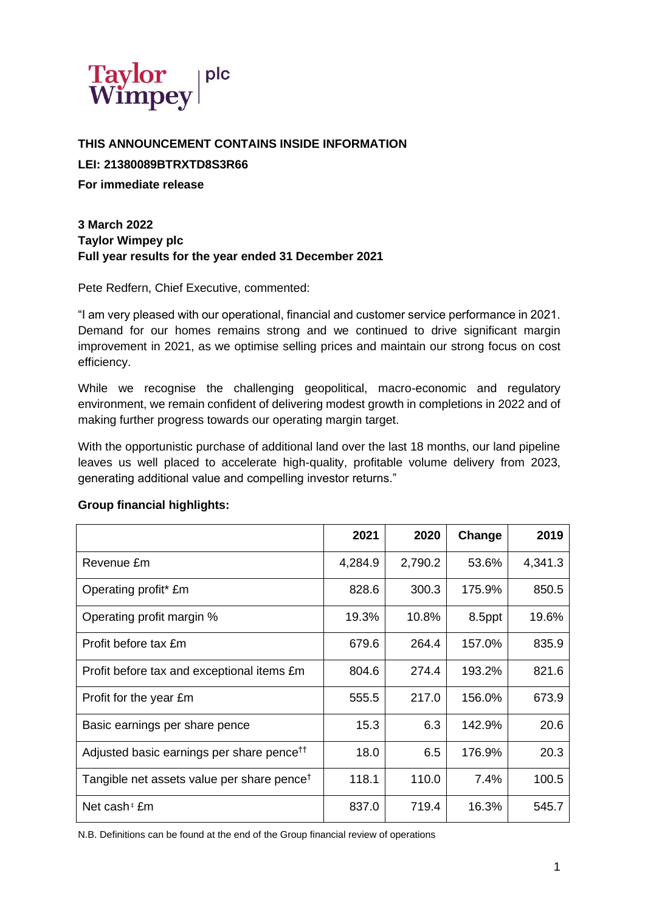

**THIS ANNOUNCEMENT CONTAINS INSIDE INFORMATION LEI: 21380089BTRXTD8S3R66**

**For immediate release**

# **3 March 2022 Taylor Wimpey plc Full year results for the year ended 31 December 2021**

Pete Redfern, Chief Executive, commented:

"I am very pleased with our operational, financial and customer service performance in 2021. Demand for our homes remains strong and we continued to drive significant margin improvement in 2021, as we optimise selling prices and maintain our strong focus on cost efficiency.

While we recognise the challenging geopolitical, macro-economic and regulatory environment, we remain confident of delivering modest growth in completions in 2022 and of making further progress towards our operating margin target.

With the opportunistic purchase of additional land over the last 18 months, our land pipeline leaves us well placed to accelerate high-quality, profitable volume delivery from 2023, generating additional value and compelling investor returns."

#### **Group financial highlights:**

|                                                        | 2021    | 2020    | Change | 2019    |
|--------------------------------------------------------|---------|---------|--------|---------|
| Revenue £m                                             | 4,284.9 | 2,790.2 | 53.6%  | 4,341.3 |
| Operating profit* £m                                   | 828.6   | 300.3   | 175.9% | 850.5   |
| Operating profit margin %                              | 19.3%   | 10.8%   | 8.5ppt | 19.6%   |
| Profit before tax £m                                   | 679.6   | 264.4   | 157.0% | 835.9   |
| Profit before tax and exceptional items £m             | 804.6   | 274.4   | 193.2% | 821.6   |
| Profit for the year £m                                 | 555.5   | 217.0   | 156.0% | 673.9   |
| Basic earnings per share pence                         | 15.3    | 6.3     | 142.9% | 20.6    |
| Adjusted basic earnings per share pence <sup>ff</sup>  | 18.0    | 6.5     | 176.9% | 20.3    |
| Tangible net assets value per share pence <sup>†</sup> | 118.1   | 110.0   | 7.4%   | 100.5   |
| Net cash <sup><math>\pm</math></sup> £m                | 837.0   | 719.4   | 16.3%  | 545.7   |

N.B. Definitions can be found at the end of the Group financial review of operations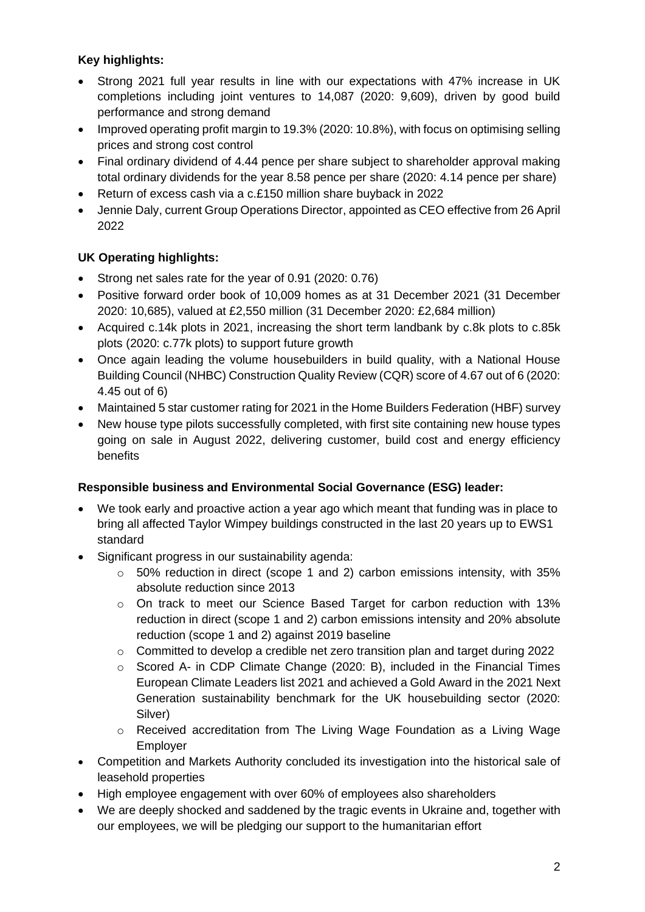# **Key highlights:**

- Strong 2021 full year results in line with our expectations with 47% increase in UK completions including joint ventures to 14,087 (2020: 9,609), driven by good build performance and strong demand
- Improved operating profit margin to 19.3% (2020: 10.8%), with focus on optimising selling prices and strong cost control
- Final ordinary dividend of 4.44 pence per share subject to shareholder approval making total ordinary dividends for the year 8.58 pence per share (2020: 4.14 pence per share)
- Return of excess cash via a c.£150 million share buyback in 2022
- Jennie Daly, current Group Operations Director, appointed as CEO effective from 26 April 2022

# **UK Operating highlights:**

- Strong net sales rate for the year of 0.91 (2020: 0.76)
- Positive forward order book of 10,009 homes as at 31 December 2021 (31 December 2020: 10,685), valued at £2,550 million (31 December 2020: £2,684 million)
- Acquired c.14k plots in 2021, increasing the short term landbank by c.8k plots to c.85k plots (2020: c.77k plots) to support future growth
- Once again leading the volume housebuilders in build quality, with a National House Building Council (NHBC) Construction Quality Review (CQR) score of 4.67 out of 6 (2020: 4.45 out of 6)
- Maintained 5 star customer rating for 2021 in the Home Builders Federation (HBF) survey
- New house type pilots successfully completed, with first site containing new house types going on sale in August 2022, delivering customer, build cost and energy efficiency benefits

# **Responsible business and Environmental Social Governance (ESG) leader:**

- We took early and proactive action a year ago which meant that funding was in place to bring all affected Taylor Wimpey buildings constructed in the last 20 years up to EWS1 standard
- Significant progress in our sustainability agenda:
	- o 50% reduction in direct (scope 1 and 2) carbon emissions intensity, with 35% absolute reduction since 2013
	- $\circ$  On track to meet our Science Based Target for carbon reduction with 13% reduction in direct (scope 1 and 2) carbon emissions intensity and 20% absolute reduction (scope 1 and 2) against 2019 baseline
	- $\circ$  Committed to develop a credible net zero transition plan and target during 2022
	- o Scored A- in CDP Climate Change (2020: B), included in the Financial Times European Climate Leaders list 2021 and achieved a Gold Award in the 2021 Next Generation sustainability benchmark for the UK housebuilding sector (2020: Silver)
	- o Received accreditation from The Living Wage Foundation as a Living Wage Employer
- Competition and Markets Authority concluded its investigation into the historical sale of leasehold properties
- High employee engagement with over 60% of employees also shareholders
- We are deeply shocked and saddened by the tragic events in Ukraine and, together with our employees, we will be pledging our support to the humanitarian effort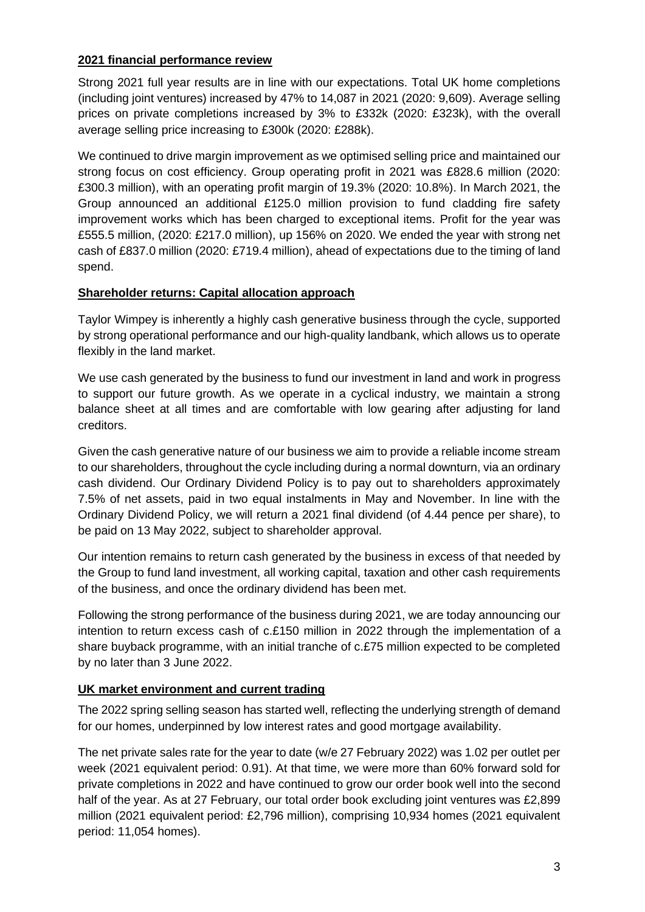# **2021 financial performance review**

Strong 2021 full year results are in line with our expectations. Total UK home completions (including joint ventures) increased by 47% to 14,087 in 2021 (2020: 9,609). Average selling prices on private completions increased by 3% to £332k (2020: £323k), with the overall average selling price increasing to £300k (2020: £288k).

We continued to drive margin improvement as we optimised selling price and maintained our strong focus on cost efficiency. Group operating profit in 2021 was £828.6 million (2020: £300.3 million), with an operating profit margin of 19.3% (2020: 10.8%). In March 2021, the Group announced an additional £125.0 million provision to fund cladding fire safety improvement works which has been charged to exceptional items. Profit for the year was £555.5 million, (2020: £217.0 million), up 156% on 2020. We ended the year with strong net cash of £837.0 million (2020: £719.4 million), ahead of expectations due to the timing of land spend.

# **Shareholder returns: Capital allocation approach**

Taylor Wimpey is inherently a highly cash generative business through the cycle, supported by strong operational performance and our high-quality landbank, which allows us to operate flexibly in the land market.

We use cash generated by the business to fund our investment in land and work in progress to support our future growth. As we operate in a cyclical industry, we maintain a strong balance sheet at all times and are comfortable with low gearing after adjusting for land creditors.

Given the cash generative nature of our business we aim to provide a reliable income stream to our shareholders, throughout the cycle including during a normal downturn, via an ordinary cash dividend. Our Ordinary Dividend Policy is to pay out to shareholders approximately 7.5% of net assets, paid in two equal instalments in May and November. In line with the Ordinary Dividend Policy, we will return a 2021 final dividend (of 4.44 pence per share), to be paid on 13 May 2022, subject to shareholder approval.

Our intention remains to return cash generated by the business in excess of that needed by the Group to fund land investment, all working capital, taxation and other cash requirements of the business, and once the ordinary dividend has been met.

Following the strong performance of the business during 2021, we are today announcing our intention to return excess cash of c.£150 million in 2022 through the implementation of a share buyback programme, with an initial tranche of c.£75 million expected to be completed by no later than 3 June 2022.

# **UK market environment and current trading**

The 2022 spring selling season has started well, reflecting the underlying strength of demand for our homes, underpinned by low interest rates and good mortgage availability.

The net private sales rate for the year to date (w/e 27 February 2022) was 1.02 per outlet per week (2021 equivalent period: 0.91). At that time, we were more than 60% forward sold for private completions in 2022 and have continued to grow our order book well into the second half of the year. As at 27 February, our total order book excluding joint ventures was £2,899 million (2021 equivalent period: £2,796 million), comprising 10,934 homes (2021 equivalent period: 11,054 homes).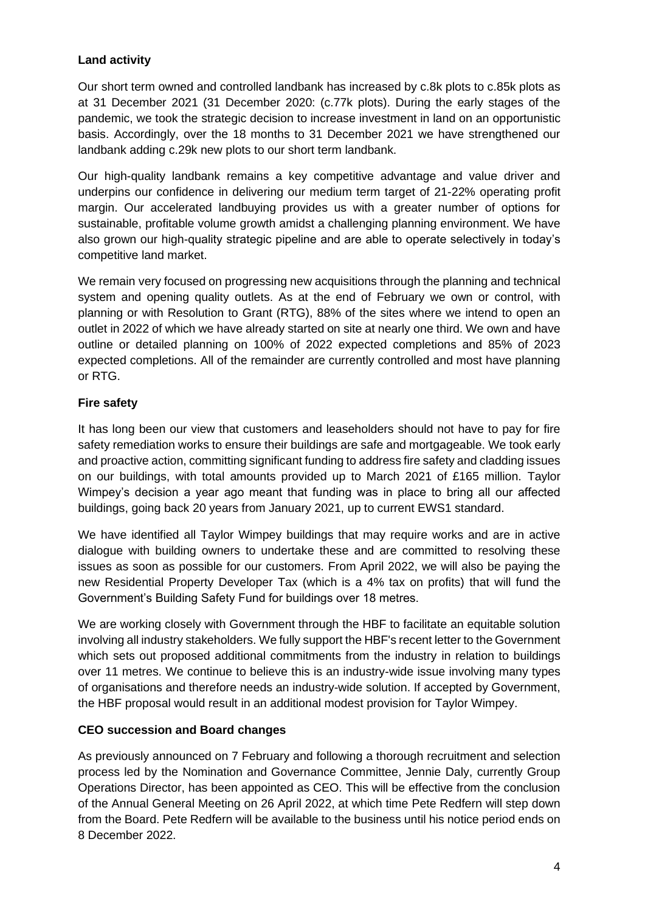# **Land activity**

Our short term owned and controlled landbank has increased by c.8k plots to c.85k plots as at 31 December 2021 (31 December 2020: (c.77k plots). During the early stages of the pandemic, we took the strategic decision to increase investment in land on an opportunistic basis. Accordingly, over the 18 months to 31 December 2021 we have strengthened our landbank adding c.29k new plots to our short term landbank.

Our high-quality landbank remains a key competitive advantage and value driver and underpins our confidence in delivering our medium term target of 21-22% operating profit margin. Our accelerated landbuying provides us with a greater number of options for sustainable, profitable volume growth amidst a challenging planning environment. We have also grown our high-quality strategic pipeline and are able to operate selectively in today's competitive land market.

We remain very focused on progressing new acquisitions through the planning and technical system and opening quality outlets. As at the end of February we own or control, with planning or with Resolution to Grant (RTG), 88% of the sites where we intend to open an outlet in 2022 of which we have already started on site at nearly one third. We own and have outline or detailed planning on 100% of 2022 expected completions and 85% of 2023 expected completions. All of the remainder are currently controlled and most have planning or RTG.

# **Fire safety**

It has long been our view that customers and leaseholders should not have to pay for fire safety remediation works to ensure their buildings are safe and mortgageable. We took early and proactive action, committing significant funding to address fire safety and cladding issues on our buildings, with total amounts provided up to March 2021 of £165 million. Taylor Wimpey's decision a year ago meant that funding was in place to bring all our affected buildings, going back 20 years from January 2021, up to current EWS1 standard.

We have identified all Taylor Wimpey buildings that may require works and are in active dialogue with building owners to undertake these and are committed to resolving these issues as soon as possible for our customers. From April 2022, we will also be paying the new Residential Property Developer Tax (which is a 4% tax on profits) that will fund the Government's Building Safety Fund for buildings over 18 metres.

We are working closely with Government through the HBF to facilitate an equitable solution involving all industry stakeholders. We fully support the HBF's recent letter to the Government which sets out proposed additional commitments from the industry in relation to buildings over 11 metres. We continue to believe this is an industry-wide issue involving many types of organisations and therefore needs an industry-wide solution. If accepted by Government, the HBF proposal would result in an additional modest provision for Taylor Wimpey.

# **CEO succession and Board changes**

As previously announced on 7 February and following a thorough recruitment and selection process led by the Nomination and Governance Committee, Jennie Daly, currently Group Operations Director, has been appointed as CEO. This will be effective from the conclusion of the Annual General Meeting on 26 April 2022, at which time Pete Redfern will step down from the Board. Pete Redfern will be available to the business until his notice period ends on 8 December 2022.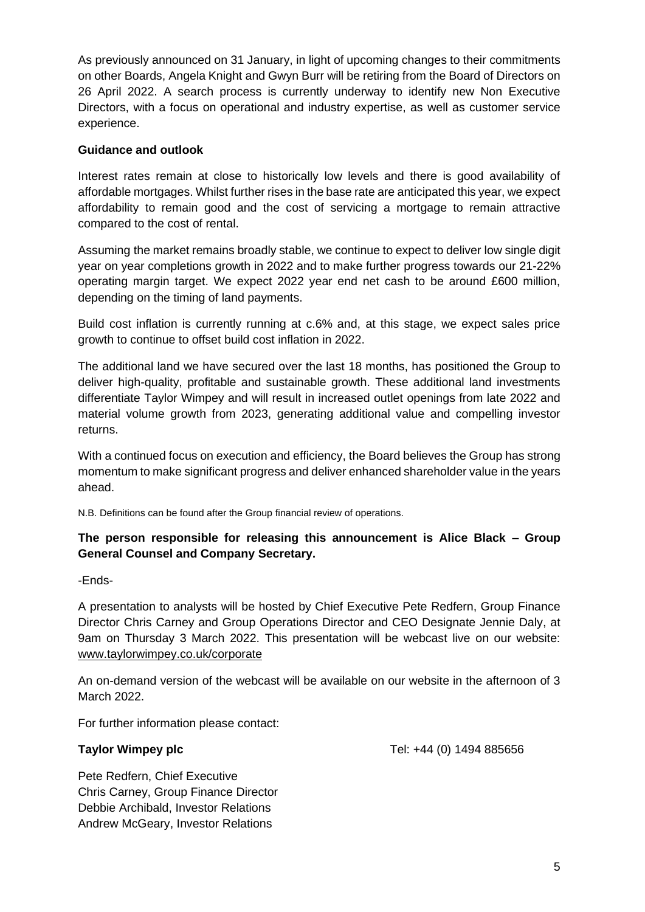As previously announced on 31 January, in light of upcoming changes to their commitments on other Boards, Angela Knight and Gwyn Burr will be retiring from the Board of Directors on 26 April 2022. A search process is currently underway to identify new Non Executive Directors, with a focus on operational and industry expertise, as well as customer service experience.

#### **Guidance and outlook**

Interest rates remain at close to historically low levels and there is good availability of affordable mortgages. Whilst further rises in the base rate are anticipated this year, we expect affordability to remain good and the cost of servicing a mortgage to remain attractive compared to the cost of rental.

Assuming the market remains broadly stable, we continue to expect to deliver low single digit year on year completions growth in 2022 and to make further progress towards our 21-22% operating margin target. We expect 2022 year end net cash to be around £600 million, depending on the timing of land payments.

Build cost inflation is currently running at c.6% and, at this stage, we expect sales price growth to continue to offset build cost inflation in 2022.

The additional land we have secured over the last 18 months, has positioned the Group to deliver high-quality, profitable and sustainable growth. These additional land investments differentiate Taylor Wimpey and will result in increased outlet openings from late 2022 and material volume growth from 2023, generating additional value and compelling investor returns.

With a continued focus on execution and efficiency, the Board believes the Group has strong momentum to make significant progress and deliver enhanced shareholder value in the years ahead.

N.B. Definitions can be found after the Group financial review of operations.

# **The person responsible for releasing this announcement is Alice Black – Group General Counsel and Company Secretary.**

-Ends-

A presentation to analysts will be hosted by Chief Executive Pete Redfern, Group Finance Director Chris Carney and Group Operations Director and CEO Designate Jennie Daly, at 9am on Thursday 3 March 2022. This presentation will be webcast live on our website: [www.taylorwimpey.co.uk/corporate](http://www.taylorwimpey.co.uk/corporate)

An on-demand version of the webcast will be available on our website in the afternoon of 3 March 2022.

For further information please contact:

**Taylor Wimpey plc Taylor Wimpey plc Tel: +44 (0) 1494 885656** 

Pete Redfern, Chief Executive Chris Carney, Group Finance Director Debbie Archibald, Investor Relations Andrew McGeary, Investor Relations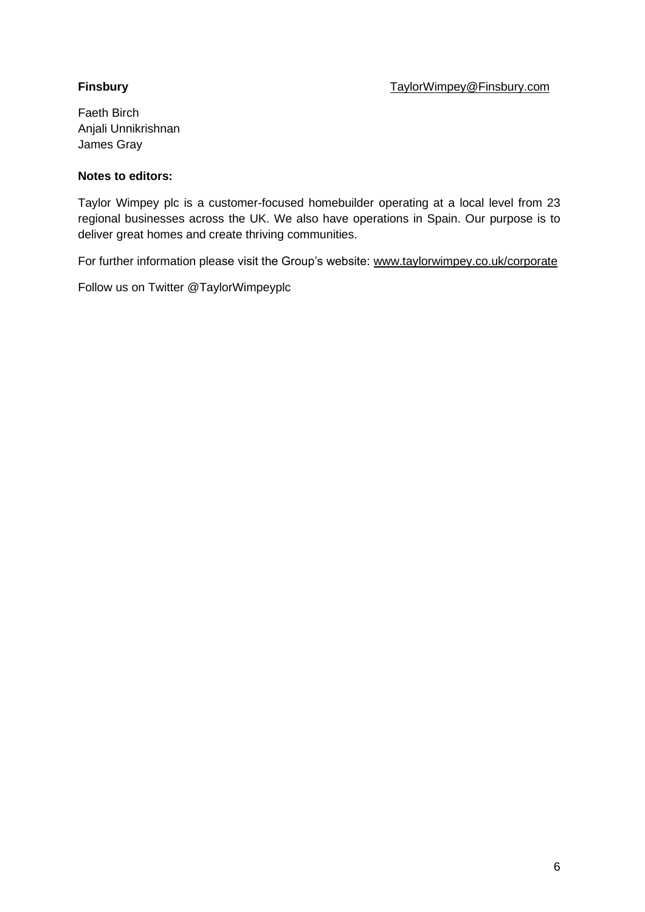Faeth Birch Anjali Unnikrishnan James Gray

# **Notes to editors:**

Taylor Wimpey plc is a customer-focused homebuilder operating at a local level from 23 regional businesses across the UK. We also have operations in Spain. Our purpose is to deliver great homes and create thriving communities.

For further information please visit the Group's website: [www.taylorwimpey.co.uk/corporate](https://www.taylorwimpey.co.uk/corporate)

Follow us on Twitter @TaylorWimpeyplc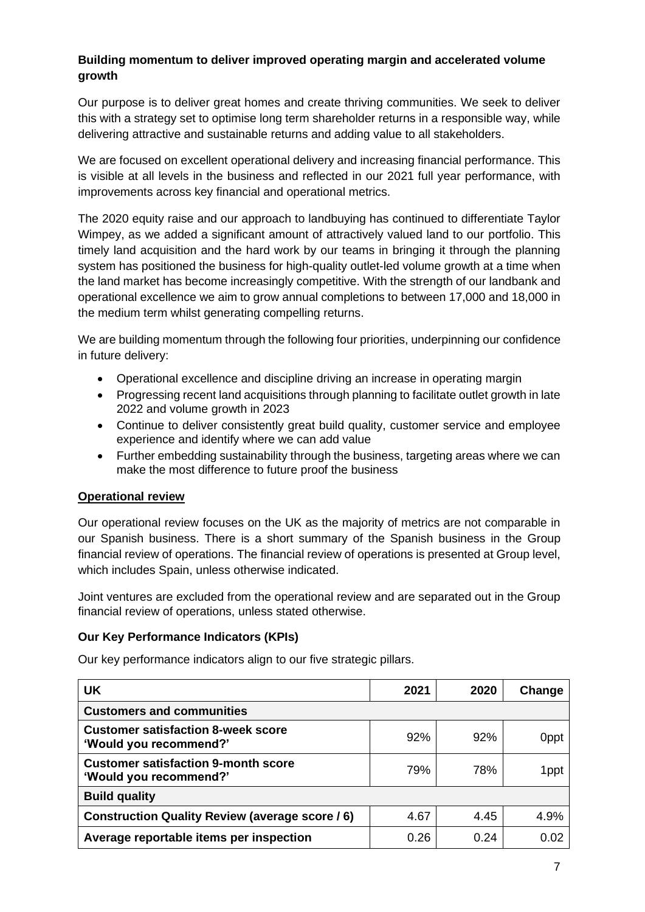# **Building momentum to deliver improved operating margin and accelerated volume growth**

Our purpose is to deliver great homes and create thriving communities. We seek to deliver this with a strategy set to optimise long term shareholder returns in a responsible way, while delivering attractive and sustainable returns and adding value to all stakeholders.

We are focused on excellent operational delivery and increasing financial performance. This is visible at all levels in the business and reflected in our 2021 full year performance, with improvements across key financial and operational metrics.

The 2020 equity raise and our approach to landbuying has continued to differentiate Taylor Wimpey, as we added a significant amount of attractively valued land to our portfolio. This timely land acquisition and the hard work by our teams in bringing it through the planning system has positioned the business for high-quality outlet-led volume growth at a time when the land market has become increasingly competitive. With the strength of our landbank and operational excellence we aim to grow annual completions to between 17,000 and 18,000 in the medium term whilst generating compelling returns.

We are building momentum through the following four priorities, underpinning our confidence in future delivery:

- Operational excellence and discipline driving an increase in operating margin
- Progressing recent land acquisitions through planning to facilitate outlet growth in late 2022 and volume growth in 2023
- Continue to deliver consistently great build quality, customer service and employee experience and identify where we can add value
- Further embedding sustainability through the business, targeting areas where we can make the most difference to future proof the business

#### **Operational review**

Our operational review focuses on the UK as the majority of metrics are not comparable in our Spanish business. There is a short summary of the Spanish business in the Group financial review of operations. The financial review of operations is presented at Group level, which includes Spain, unless otherwise indicated.

Joint ventures are excluded from the operational review and are separated out in the Group financial review of operations, unless stated otherwise.

#### **Our Key Performance Indicators (KPIs)**

Our key performance indicators align to our five strategic pillars.

| <b>UK</b>                                                            | 2021 | 2020 | Change           |
|----------------------------------------------------------------------|------|------|------------------|
| <b>Customers and communities</b>                                     |      |      |                  |
| <b>Customer satisfaction 8-week score</b><br>'Would you recommend?'  | 92%  | 92%  | 0 <sub>ppt</sub> |
| <b>Customer satisfaction 9-month score</b><br>'Would you recommend?' | 79%  | 78%  | 1ppt             |
| <b>Build quality</b>                                                 |      |      |                  |
| Construction Quality Review (average score / 6)                      | 4.67 | 4.45 | 4.9%             |
| Average reportable items per inspection                              | 0.26 | 0.24 | 0.02             |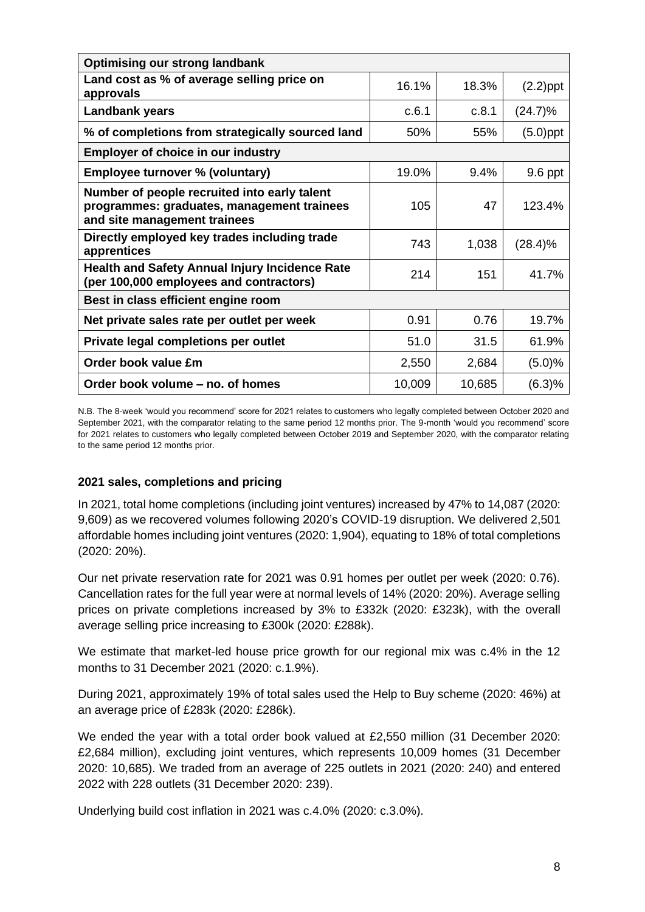| <b>Optimising our strong landbank</b>                                                                                      |        |        |             |
|----------------------------------------------------------------------------------------------------------------------------|--------|--------|-------------|
| Land cost as % of average selling price on<br>approvals                                                                    | 16.1%  | 18.3%  | $(2.2)$ ppt |
| Landbank years                                                                                                             | c.6.1  | c.8.1  | $(24.7)\%$  |
| % of completions from strategically sourced land                                                                           | 50%    | 55%    | $(5.0)$ ppt |
| <b>Employer of choice in our industry</b>                                                                                  |        |        |             |
| Employee turnover % (voluntary)                                                                                            | 19.0%  | 9.4%   | 9.6 ppt     |
| Number of people recruited into early talent<br>programmes: graduates, management trainees<br>and site management trainees | 105    | 47     | 123.4%      |
| Directly employed key trades including trade<br>apprentices                                                                | 743    | 1,038  | (28.4)%     |
| <b>Health and Safety Annual Injury Incidence Rate</b><br>(per 100,000 employees and contractors)                           | 214    | 151    | 41.7%       |
| Best in class efficient engine room                                                                                        |        |        |             |
| Net private sales rate per outlet per week                                                                                 | 0.91   | 0.76   | 19.7%       |
| Private legal completions per outlet                                                                                       | 51.0   | 31.5   | 61.9%       |
| Order book value £m                                                                                                        | 2,550  | 2,684  | (5.0)%      |
| Order book volume - no. of homes                                                                                           | 10,009 | 10,685 | (6.3)%      |

N.B. The 8-week 'would you recommend' score for 2021 relates to customers who legally completed between October 2020 and September 2021, with the comparator relating to the same period 12 months prior. The 9-month 'would you recommend' score for 2021 relates to customers who legally completed between October 2019 and September 2020, with the comparator relating to the same period 12 months prior.

#### **2021 sales, completions and pricing**

In 2021, total home completions (including joint ventures) increased by 47% to 14,087 (2020: 9,609) as we recovered volumes following 2020's COVID-19 disruption. We delivered 2,501 affordable homes including joint ventures (2020: 1,904), equating to 18% of total completions (2020: 20%).

Our net private reservation rate for 2021 was 0.91 homes per outlet per week (2020: 0.76). Cancellation rates for the full year were at normal levels of 14% (2020: 20%). Average selling prices on private completions increased by 3% to £332k (2020: £323k), with the overall average selling price increasing to £300k (2020: £288k).

We estimate that market-led house price growth for our regional mix was c.4% in the 12 months to 31 December 2021 (2020: c.1.9%).

During 2021, approximately 19% of total sales used the Help to Buy scheme (2020: 46%) at an average price of £283k (2020: £286k).

We ended the year with a total order book valued at £2,550 million (31 December 2020: £2,684 million), excluding joint ventures, which represents 10,009 homes (31 December 2020: 10,685). We traded from an average of 225 outlets in 2021 (2020: 240) and entered 2022 with 228 outlets (31 December 2020: 239).

Underlying build cost inflation in 2021 was c.4.0% (2020: c.3.0%).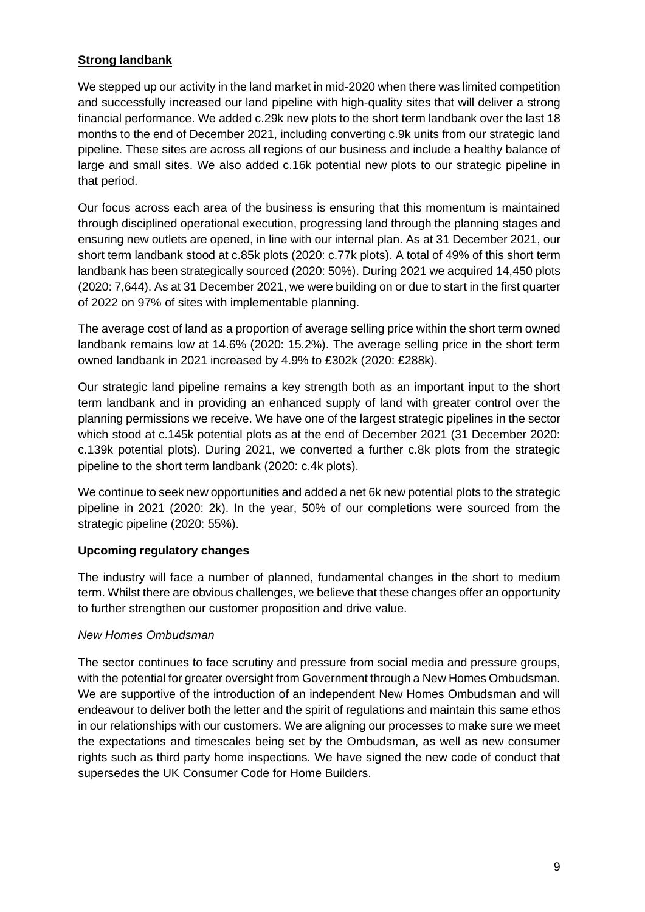# **Strong landbank**

We stepped up our activity in the land market in mid-2020 when there was limited competition and successfully increased our land pipeline with high-quality sites that will deliver a strong financial performance. We added c.29k new plots to the short term landbank over the last 18 months to the end of December 2021, including converting c.9k units from our strategic land pipeline. These sites are across all regions of our business and include a healthy balance of large and small sites. We also added c.16k potential new plots to our strategic pipeline in that period.

Our focus across each area of the business is ensuring that this momentum is maintained through disciplined operational execution, progressing land through the planning stages and ensuring new outlets are opened, in line with our internal plan. As at 31 December 2021, our short term landbank stood at c.85k plots (2020: c.77k plots). A total of 49% of this short term landbank has been strategically sourced (2020: 50%). During 2021 we acquired 14,450 plots (2020: 7,644). As at 31 December 2021, we were building on or due to start in the first quarter of 2022 on 97% of sites with implementable planning.

The average cost of land as a proportion of average selling price within the short term owned landbank remains low at 14.6% (2020: 15.2%). The average selling price in the short term owned landbank in 2021 increased by 4.9% to £302k (2020: £288k).

Our strategic land pipeline remains a key strength both as an important input to the short term landbank and in providing an enhanced supply of land with greater control over the planning permissions we receive. We have one of the largest strategic pipelines in the sector which stood at c.145k potential plots as at the end of December 2021 (31 December 2020: c.139k potential plots). During 2021, we converted a further c.8k plots from the strategic pipeline to the short term landbank (2020: c.4k plots).

We continue to seek new opportunities and added a net 6k new potential plots to the strategic pipeline in 2021 (2020: 2k). In the year, 50% of our completions were sourced from the strategic pipeline (2020: 55%).

# **Upcoming regulatory changes**

The industry will face a number of planned, fundamental changes in the short to medium term. Whilst there are obvious challenges, we believe that these changes offer an opportunity to further strengthen our customer proposition and drive value.

#### *New Homes Ombudsman*

The sector continues to face scrutiny and pressure from social media and pressure groups, with the potential for greater oversight from Government through a New Homes Ombudsman. We are supportive of the introduction of an independent New Homes Ombudsman and will endeavour to deliver both the letter and the spirit of regulations and maintain this same ethos in our relationships with our customers. We are aligning our processes to make sure we meet the expectations and timescales being set by the Ombudsman, as well as new consumer rights such as third party home inspections. We have signed the new code of conduct that supersedes the UK Consumer Code for Home Builders.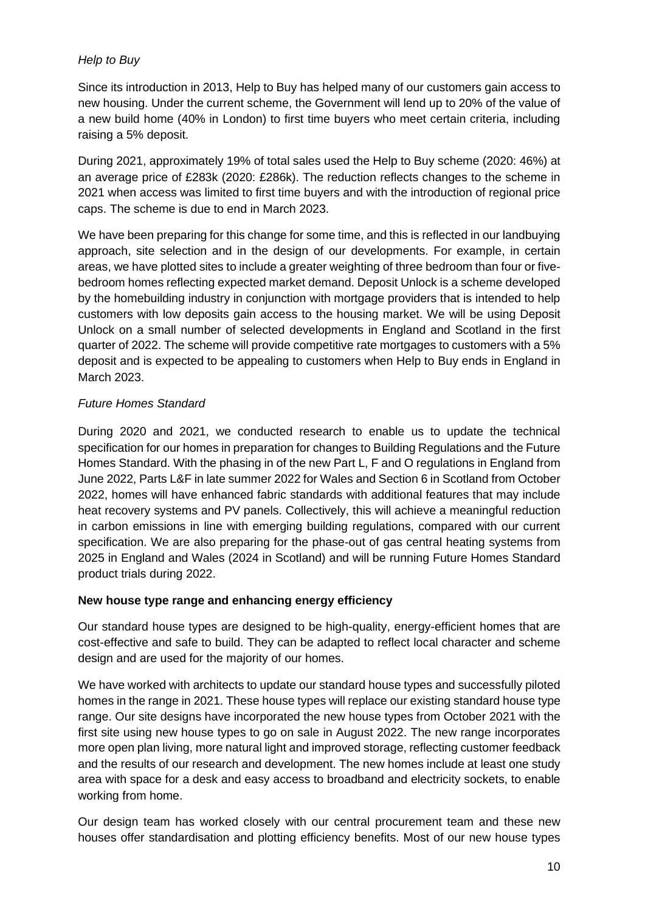# *Help to Buy*

Since its introduction in 2013, Help to Buy has helped many of our customers gain access to new housing. Under the current scheme, the Government will lend up to 20% of the value of a new build home (40% in London) to first time buyers who meet certain criteria, including raising a 5% deposit.

During 2021, approximately 19% of total sales used the Help to Buy scheme (2020: 46%) at an average price of £283k (2020: £286k). The reduction reflects changes to the scheme in 2021 when access was limited to first time buyers and with the introduction of regional price caps. The scheme is due to end in March 2023.

We have been preparing for this change for some time, and this is reflected in our landbuying approach, site selection and in the design of our developments. For example, in certain areas, we have plotted sites to include a greater weighting of three bedroom than four or fivebedroom homes reflecting expected market demand. Deposit Unlock is a scheme developed by the homebuilding industry in conjunction with mortgage providers that is intended to help customers with low deposits gain access to the housing market. We will be using Deposit Unlock on a small number of selected developments in England and Scotland in the first quarter of 2022. The scheme will provide competitive rate mortgages to customers with a 5% deposit and is expected to be appealing to customers when Help to Buy ends in England in March 2023.

# *Future Homes Standard*

During 2020 and 2021, we conducted research to enable us to update the technical specification for our homes in preparation for changes to Building Regulations and the Future Homes Standard. With the phasing in of the new Part L, F and O regulations in England from June 2022, Parts L&F in late summer 2022 for Wales and Section 6 in Scotland from October 2022, homes will have enhanced fabric standards with additional features that may include heat recovery systems and PV panels. Collectively, this will achieve a meaningful reduction in carbon emissions in line with emerging building regulations, compared with our current specification. We are also preparing for the phase-out of gas central heating systems from 2025 in England and Wales (2024 in Scotland) and will be running Future Homes Standard product trials during 2022.

# **New house type range and enhancing energy efficiency**

Our standard house types are designed to be high-quality, energy-efficient homes that are cost-effective and safe to build. They can be adapted to reflect local character and scheme design and are used for the majority of our homes.

We have worked with architects to update our standard house types and successfully piloted homes in the range in 2021. These house types will replace our existing standard house type range. Our site designs have incorporated the new house types from October 2021 with the first site using new house types to go on sale in August 2022. The new range incorporates more open plan living, more natural light and improved storage, reflecting customer feedback and the results of our research and development. The new homes include at least one study area with space for a desk and easy access to broadband and electricity sockets, to enable working from home.

Our design team has worked closely with our central procurement team and these new houses offer standardisation and plotting efficiency benefits. Most of our new house types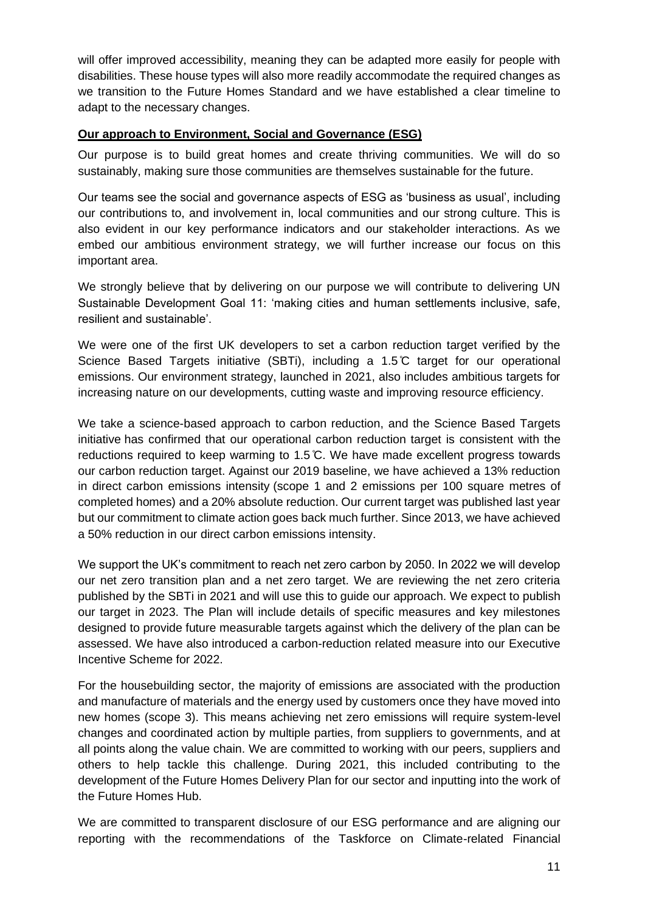will offer improved accessibility, meaning they can be adapted more easily for people with disabilities. These house types will also more readily accommodate the required changes as we transition to the Future Homes Standard and we have established a clear timeline to adapt to the necessary changes.

#### **Our approach to Environment, Social and Governance (ESG)**

Our purpose is to build great homes and create thriving communities. We will do so sustainably, making sure those communities are themselves sustainable for the future.

Our teams see the social and governance aspects of ESG as 'business as usual', including our contributions to, and involvement in, local communities and our strong culture. This is also evident in our key performance indicators and our stakeholder interactions. As we embed our ambitious environment strategy, we will further increase our focus on this important area.

We strongly believe that by delivering on our purpose we will contribute to delivering UN Sustainable Development Goal 11: 'making cities and human settlements inclusive, safe, resilient and sustainable'.

We were one of the first UK developers to set a carbon reduction target verified by the Science Based Targets initiative (SBTi), including a 1.5 ̊C target for our operational emissions. Our environment strategy, launched in 2021, also includes ambitious targets for increasing nature on our developments, cutting waste and improving resource efficiency.

We take a science-based approach to carbon reduction, and the Science Based Targets initiative has confirmed that our operational carbon reduction target is consistent with the reductions required to keep warming to 1.5 ̊C. We have made excellent progress towards our carbon reduction target. Against our 2019 baseline, we have achieved a 13% reduction in direct carbon emissions intensity (scope 1 and 2 emissions per 100 square metres of completed homes) and a 20% absolute reduction. Our current target was published last year but our commitment to climate action goes back much further. Since 2013, we have achieved a 50% reduction in our direct carbon emissions intensity.

We support the UK's commitment to reach net zero carbon by 2050. In 2022 we will develop our net zero transition plan and a net zero target. We are reviewing the net zero criteria published by the SBTi in 2021 and will use this to guide our approach. We expect to publish our target in 2023. The Plan will include details of specific measures and key milestones designed to provide future measurable targets against which the delivery of the plan can be assessed. We have also introduced a carbon-reduction related measure into our Executive Incentive Scheme for 2022.

For the housebuilding sector, the majority of emissions are associated with the production and manufacture of materials and the energy used by customers once they have moved into new homes (scope 3). This means achieving net zero emissions will require system-level changes and coordinated action by multiple parties, from suppliers to governments, and at all points along the value chain. We are committed to working with our peers, suppliers and others to help tackle this challenge. During 2021, this included contributing to the development of the Future Homes Delivery Plan for our sector and inputting into the work of the Future Homes Hub.

We are committed to transparent disclosure of our ESG performance and are aligning our reporting with the recommendations of the Taskforce on Climate-related Financial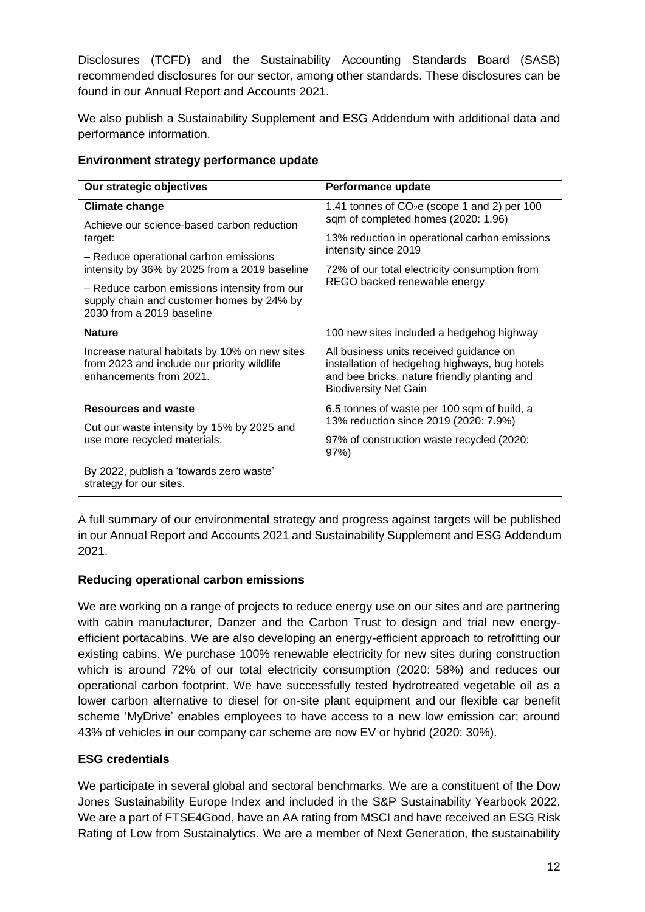Disclosures (TCFD) and the Sustainability Accounting Standards Board (SASB) recommended disclosures for our sector, among other standards. These disclosures can be found in our Annual Report and Accounts 2021.

We also publish a Sustainability Supplement and ESG Addendum with additional data and performance information.

# **Environment strategy performance update**

| Our strategic objectives                                                                                                | Performance update                                                                                                                                                       |
|-------------------------------------------------------------------------------------------------------------------------|--------------------------------------------------------------------------------------------------------------------------------------------------------------------------|
| <b>Climate change</b>                                                                                                   | 1.41 tonnes of $CO2e$ (scope 1 and 2) per 100<br>sqm of completed homes (2020: 1.96)                                                                                     |
| Achieve our science-based carbon reduction<br>target:                                                                   | 13% reduction in operational carbon emissions                                                                                                                            |
| - Reduce operational carbon emissions<br>intensity by 36% by 2025 from a 2019 baseline                                  | intensity since 2019<br>72% of our total electricity consumption from                                                                                                    |
| - Reduce carbon emissions intensity from our<br>supply chain and customer homes by 24% by<br>2030 from a 2019 baseline  | REGO backed renewable energy                                                                                                                                             |
| <b>Nature</b>                                                                                                           | 100 new sites included a hedgehog highway                                                                                                                                |
| Increase natural habitats by 10% on new sites<br>from 2023 and include our priority wildlife<br>enhancements from 2021. | All business units received guidance on<br>installation of hedgehog highways, bug hotels<br>and bee bricks, nature friendly planting and<br><b>Biodiversity Net Gain</b> |
| <b>Resources and waste</b>                                                                                              | 6.5 tonnes of waste per 100 sqm of build, a<br>13% reduction since 2019 (2020: 7.9%)                                                                                     |
| Cut our waste intensity by 15% by 2025 and<br>use more recycled materials.                                              | 97% of construction waste recycled (2020:<br>97%                                                                                                                         |
| By 2022, publish a 'towards zero waste'<br>strategy for our sites.                                                      |                                                                                                                                                                          |

A full summary of our environmental strategy and progress against targets will be published in our Annual Report and Accounts 2021 and Sustainability Supplement and ESG Addendum 2021.

# **Reducing operational carbon emissions**

We are working on a range of projects to reduce energy use on our sites and are partnering with cabin manufacturer, Danzer and the Carbon Trust to design and trial new energyefficient portacabins. We are also developing an energy-efficient approach to retrofitting our existing cabins. We purchase 100% renewable electricity for new sites during construction which is around 72% of our total electricity consumption (2020: 58%) and reduces our operational carbon footprint. We have successfully tested hydrotreated vegetable oil as a lower carbon alternative to diesel for on-site plant equipment and our flexible car benefit scheme 'MyDrive' enables employees to have access to a new low emission car; around 43% of vehicles in our company car scheme are now EV or hybrid (2020: 30%).

# **ESG credentials**

We participate in several global and sectoral benchmarks. We are a constituent of the Dow Jones Sustainability Europe Index and included in the S&P Sustainability Yearbook 2022. We are a part of FTSE4Good, have an AA rating from MSCI and have received an ESG Risk Rating of Low from Sustainalytics. We are a member of Next Generation, the sustainability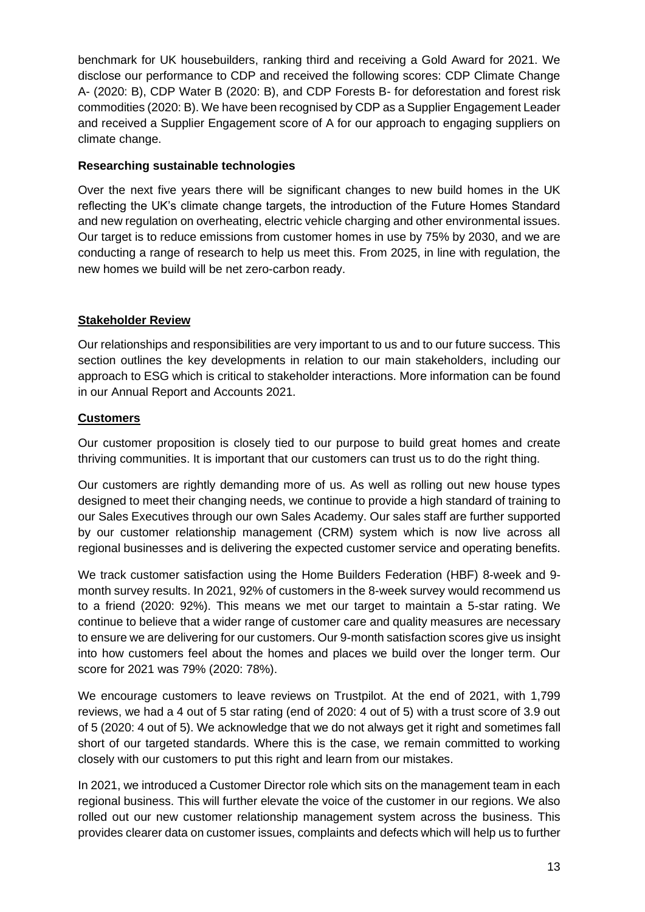benchmark for UK housebuilders, ranking third and receiving a Gold Award for 2021. We disclose our performance to CDP and received the following scores: CDP Climate Change A- (2020: B), CDP Water B (2020: B), and CDP Forests B- for deforestation and forest risk commodities (2020: B). We have been recognised by CDP as a Supplier Engagement Leader and received a Supplier Engagement score of A for our approach to engaging suppliers on climate change.

#### **Researching sustainable technologies**

Over the next five years there will be significant changes to new build homes in the UK reflecting the UK's climate change targets, the introduction of the Future Homes Standard and new regulation on overheating, electric vehicle charging and other environmental issues. Our target is to reduce emissions from customer homes in use by 75% by 2030, and we are conducting a range of research to help us meet this. From 2025, in line with regulation, the new homes we build will be net zero-carbon ready.

# **Stakeholder Review**

Our relationships and responsibilities are very important to us and to our future success. This section outlines the key developments in relation to our main stakeholders, including our approach to ESG which is critical to stakeholder interactions. More information can be found in our Annual Report and Accounts 2021.

#### **Customers**

Our customer proposition is closely tied to our purpose to build great homes and create thriving communities. It is important that our customers can trust us to do the right thing.

Our customers are rightly demanding more of us. As well as rolling out new house types designed to meet their changing needs, we continue to provide a high standard of training to our Sales Executives through our own Sales Academy. Our sales staff are further supported by our customer relationship management (CRM) system which is now live across all regional businesses and is delivering the expected customer service and operating benefits.

We track customer satisfaction using the Home Builders Federation (HBF) 8-week and 9 month survey results. In 2021, 92% of customers in the 8-week survey would recommend us to a friend (2020: 92%). This means we met our target to maintain a 5-star rating. We continue to believe that a wider range of customer care and quality measures are necessary to ensure we are delivering for our customers. Our 9-month satisfaction scores give us insight into how customers feel about the homes and places we build over the longer term. Our score for 2021 was 79% (2020: 78%).

We encourage customers to leave reviews on Trustpilot. At the end of 2021, with 1,799 reviews, we had a 4 out of 5 star rating (end of 2020: 4 out of 5) with a trust score of 3.9 out of 5 (2020: 4 out of 5). We acknowledge that we do not always get it right and sometimes fall short of our targeted standards. Where this is the case, we remain committed to working closely with our customers to put this right and learn from our mistakes.

In 2021, we introduced a Customer Director role which sits on the management team in each regional business. This will further elevate the voice of the customer in our regions. We also rolled out our new customer relationship management system across the business. This provides clearer data on customer issues, complaints and defects which will help us to further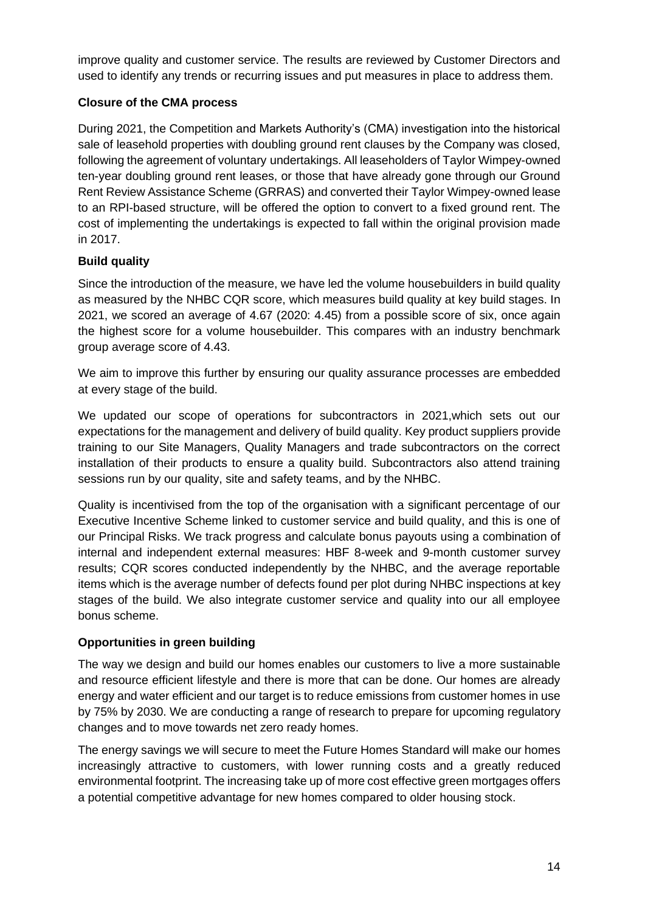improve quality and customer service. The results are reviewed by Customer Directors and used to identify any trends or recurring issues and put measures in place to address them.

# **Closure of the CMA process**

During 2021, the Competition and Markets Authority's (CMA) investigation into the historical sale of leasehold properties with doubling ground rent clauses by the Company was closed, following the agreement of voluntary undertakings. All leaseholders of Taylor Wimpey-owned ten-year doubling ground rent leases, or those that have already gone through our Ground Rent Review Assistance Scheme (GRRAS) and converted their Taylor Wimpey-owned lease to an RPI-based structure, will be offered the option to convert to a fixed ground rent. The cost of implementing the undertakings is expected to fall within the original provision made in 2017.

# **Build quality**

Since the introduction of the measure, we have led the volume housebuilders in build quality as measured by the NHBC CQR score, which measures build quality at key build stages. In 2021, we scored an average of 4.67 (2020: 4.45) from a possible score of six, once again the highest score for a volume housebuilder. This compares with an industry benchmark group average score of 4.43.

We aim to improve this further by ensuring our quality assurance processes are embedded at every stage of the build.

We updated our scope of operations for subcontractors in 2021,which sets out our expectations for the management and delivery of build quality. Key product suppliers provide training to our Site Managers, Quality Managers and trade subcontractors on the correct installation of their products to ensure a quality build. Subcontractors also attend training sessions run by our quality, site and safety teams, and by the NHBC.

Quality is incentivised from the top of the organisation with a significant percentage of our Executive Incentive Scheme linked to customer service and build quality, and this is one of our Principal Risks. We track progress and calculate bonus payouts using a combination of internal and independent external measures: HBF 8-week and 9-month customer survey results; CQR scores conducted independently by the NHBC, and the average reportable items which is the average number of defects found per plot during NHBC inspections at key stages of the build. We also integrate customer service and quality into our all employee bonus scheme.

# **Opportunities in green building**

The way we design and build our homes enables our customers to live a more sustainable and resource efficient lifestyle and there is more that can be done. Our homes are already energy and water efficient and our target is to reduce emissions from customer homes in use by 75% by 2030. We are conducting a range of research to prepare for upcoming regulatory changes and to move towards net zero ready homes.

The energy savings we will secure to meet the Future Homes Standard will make our homes increasingly attractive to customers, with lower running costs and a greatly reduced environmental footprint. The increasing take up of more cost effective green mortgages offers a potential competitive advantage for new homes compared to older housing stock.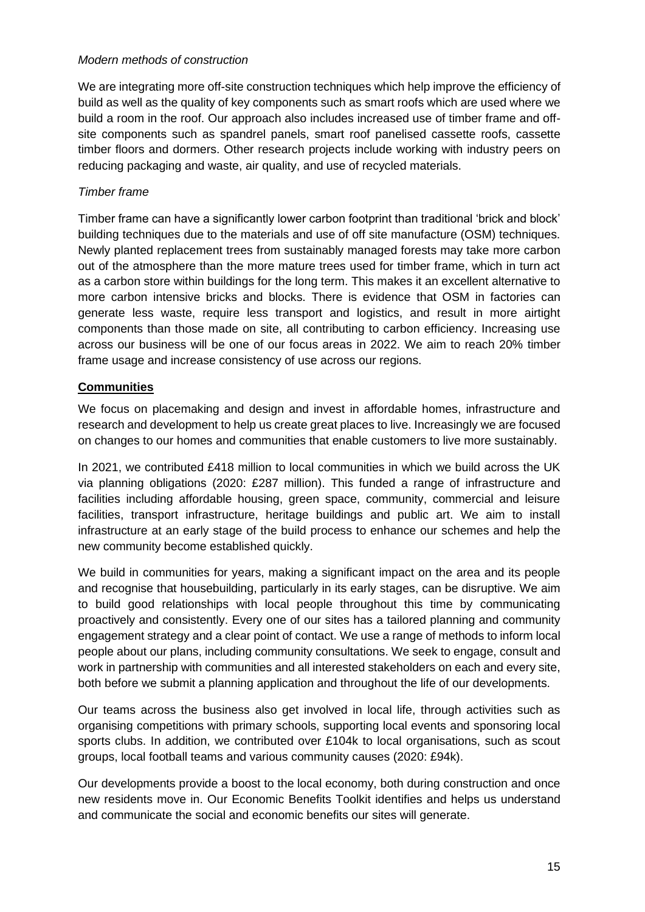#### *Modern methods of construction*

We are integrating more off-site construction techniques which help improve the efficiency of build as well as the quality of key components such as smart roofs which are used where we build a room in the roof. Our approach also includes increased use of timber frame and offsite components such as spandrel panels, smart roof panelised cassette roofs, cassette timber floors and dormers. Other research projects include working with industry peers on reducing packaging and waste, air quality, and use of recycled materials.

#### *Timber frame*

Timber frame can have a significantly lower carbon footprint than traditional 'brick and block' building techniques due to the materials and use of off site manufacture (OSM) techniques. Newly planted replacement trees from sustainably managed forests may take more carbon out of the atmosphere than the more mature trees used for timber frame, which in turn act as a carbon store within buildings for the long term. This makes it an excellent alternative to more carbon intensive bricks and blocks. There is evidence that OSM in factories can generate less waste, require less transport and logistics, and result in more airtight components than those made on site, all contributing to carbon efficiency. Increasing use across our business will be one of our focus areas in 2022. We aim to reach 20% timber frame usage and increase consistency of use across our regions.

# **Communities**

We focus on placemaking and design and invest in affordable homes, infrastructure and research and development to help us create great places to live. Increasingly we are focused on changes to our homes and communities that enable customers to live more sustainably.

In 2021, we contributed £418 million to local communities in which we build across the UK via planning obligations (2020: £287 million). This funded a range of infrastructure and facilities including affordable housing, green space, community, commercial and leisure facilities, transport infrastructure, heritage buildings and public art. We aim to install infrastructure at an early stage of the build process to enhance our schemes and help the new community become established quickly.

We build in communities for years, making a significant impact on the area and its people and recognise that housebuilding, particularly in its early stages, can be disruptive. We aim to build good relationships with local people throughout this time by communicating proactively and consistently. Every one of our sites has a tailored planning and community engagement strategy and a clear point of contact. We use a range of methods to inform local people about our plans, including community consultations. We seek to engage, consult and work in partnership with communities and all interested stakeholders on each and every site, both before we submit a planning application and throughout the life of our developments.

Our teams across the business also get involved in local life, through activities such as organising competitions with primary schools, supporting local events and sponsoring local sports clubs. In addition, we contributed over £104k to local organisations, such as scout groups, local football teams and various community causes (2020: £94k).

Our developments provide a boost to the local economy, both during construction and once new residents move in. Our Economic Benefits Toolkit identifies and helps us understand and communicate the social and economic benefits our sites will generate.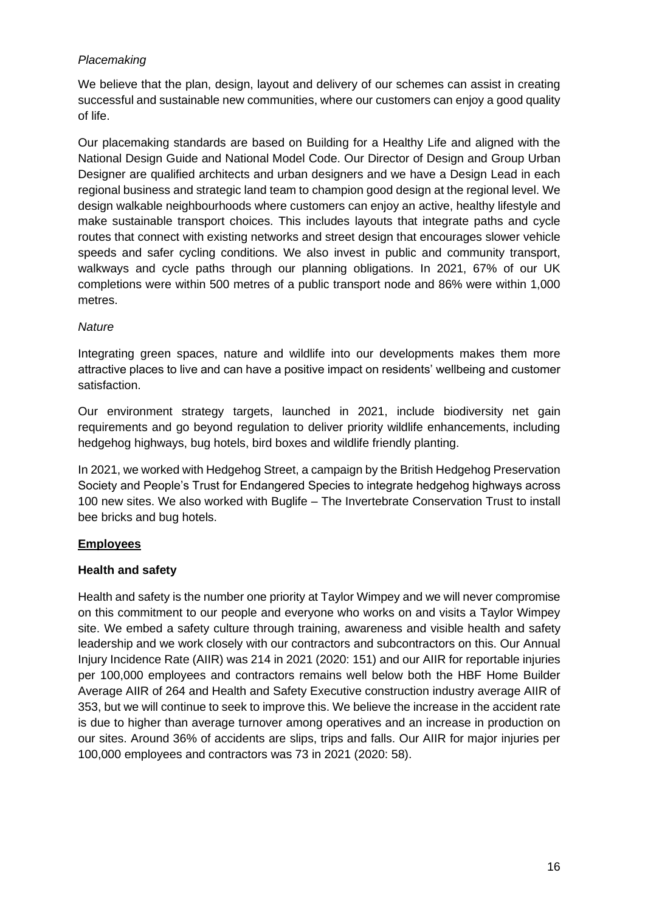# *Placemaking*

We believe that the plan, design, layout and delivery of our schemes can assist in creating successful and sustainable new communities, where our customers can enjoy a good quality of life.

Our placemaking standards are based on Building for a Healthy Life and aligned with the National Design Guide and National Model Code. Our Director of Design and Group Urban Designer are qualified architects and urban designers and we have a Design Lead in each regional business and strategic land team to champion good design at the regional level. We design walkable neighbourhoods where customers can enjoy an active, healthy lifestyle and make sustainable transport choices. This includes layouts that integrate paths and cycle routes that connect with existing networks and street design that encourages slower vehicle speeds and safer cycling conditions. We also invest in public and community transport, walkways and cycle paths through our planning obligations. In 2021, 67% of our UK completions were within 500 metres of a public transport node and 86% were within 1,000 metres.

#### *Nature*

Integrating green spaces, nature and wildlife into our developments makes them more attractive places to live and can have a positive impact on residents' wellbeing and customer satisfaction.

Our environment strategy targets, launched in 2021, include biodiversity net gain requirements and go beyond regulation to deliver priority wildlife enhancements, including hedgehog highways, bug hotels, bird boxes and wildlife friendly planting.

In 2021, we worked with Hedgehog Street, a campaign by the British Hedgehog Preservation Society and People's Trust for Endangered Species to integrate hedgehog highways across 100 new sites. We also worked with Buglife – The Invertebrate Conservation Trust to install bee bricks and bug hotels.

# **Employees**

# **Health and safety**

Health and safety is the number one priority at Taylor Wimpey and we will never compromise on this commitment to our people and everyone who works on and visits a Taylor Wimpey site. We embed a safety culture through training, awareness and visible health and safety leadership and we work closely with our contractors and subcontractors on this. Our Annual Injury Incidence Rate (AIIR) was 214 in 2021 (2020: 151) and our AIIR for reportable injuries per 100,000 employees and contractors remains well below both the HBF Home Builder Average AIIR of 264 and Health and Safety Executive construction industry average AIIR of 353, but we will continue to seek to improve this. We believe the increase in the accident rate is due to higher than average turnover among operatives and an increase in production on our sites. Around 36% of accidents are slips, trips and falls. Our AIIR for major injuries per 100,000 employees and contractors was 73 in 2021 (2020: 58).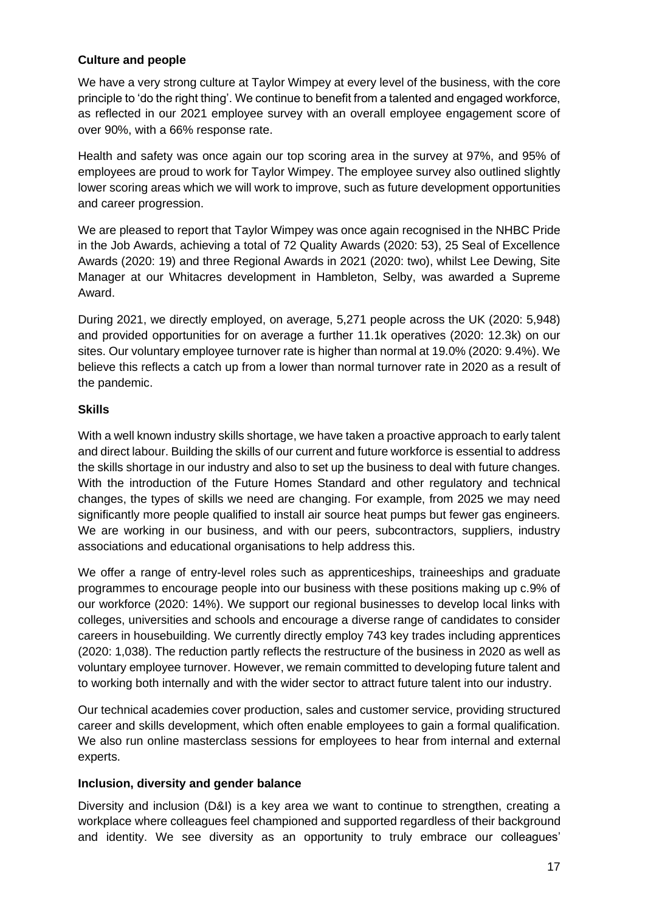# **Culture and people**

We have a very strong culture at Taylor Wimpey at every level of the business, with the core principle to 'do the right thing'. We continue to benefit from a talented and engaged workforce, as reflected in our 2021 employee survey with an overall employee engagement score of over 90%, with a 66% response rate.

Health and safety was once again our top scoring area in the survey at 97%, and 95% of employees are proud to work for Taylor Wimpey. The employee survey also outlined slightly lower scoring areas which we will work to improve, such as future development opportunities and career progression.

We are pleased to report that Taylor Wimpey was once again recognised in the NHBC Pride in the Job Awards, achieving a total of 72 Quality Awards (2020: 53), 25 Seal of Excellence Awards (2020: 19) and three Regional Awards in 2021 (2020: two), whilst Lee Dewing, Site Manager at our Whitacres development in Hambleton, Selby, was awarded a Supreme Award.

During 2021, we directly employed, on average, 5,271 people across the UK (2020: 5,948) and provided opportunities for on average a further 11.1k operatives (2020: 12.3k) on our sites. Our voluntary employee turnover rate is higher than normal at 19.0% (2020: 9.4%). We believe this reflects a catch up from a lower than normal turnover rate in 2020 as a result of the pandemic.

# **Skills**

With a well known industry skills shortage, we have taken a proactive approach to early talent and direct labour. Building the skills of our current and future workforce is essential to address the skills shortage in our industry and also to set up the business to deal with future changes. With the introduction of the Future Homes Standard and other regulatory and technical changes, the types of skills we need are changing. For example, from 2025 we may need significantly more people qualified to install air source heat pumps but fewer gas engineers. We are working in our business, and with our peers, subcontractors, suppliers, industry associations and educational organisations to help address this.

We offer a range of entry-level roles such as apprenticeships, traineeships and graduate programmes to encourage people into our business with these positions making up c.9% of our workforce (2020: 14%). We support our regional businesses to develop local links with colleges, universities and schools and encourage a diverse range of candidates to consider careers in housebuilding. We currently directly employ 743 key trades including apprentices (2020: 1,038). The reduction partly reflects the restructure of the business in 2020 as well as voluntary employee turnover. However, we remain committed to developing future talent and to working both internally and with the wider sector to attract future talent into our industry.

Our technical academies cover production, sales and customer service, providing structured career and skills development, which often enable employees to gain a formal qualification. We also run online masterclass sessions for employees to hear from internal and external experts.

#### **Inclusion, diversity and gender balance**

Diversity and inclusion (D&I) is a key area we want to continue to strengthen, creating a workplace where colleagues feel championed and supported regardless of their background and identity. We see diversity as an opportunity to truly embrace our colleagues'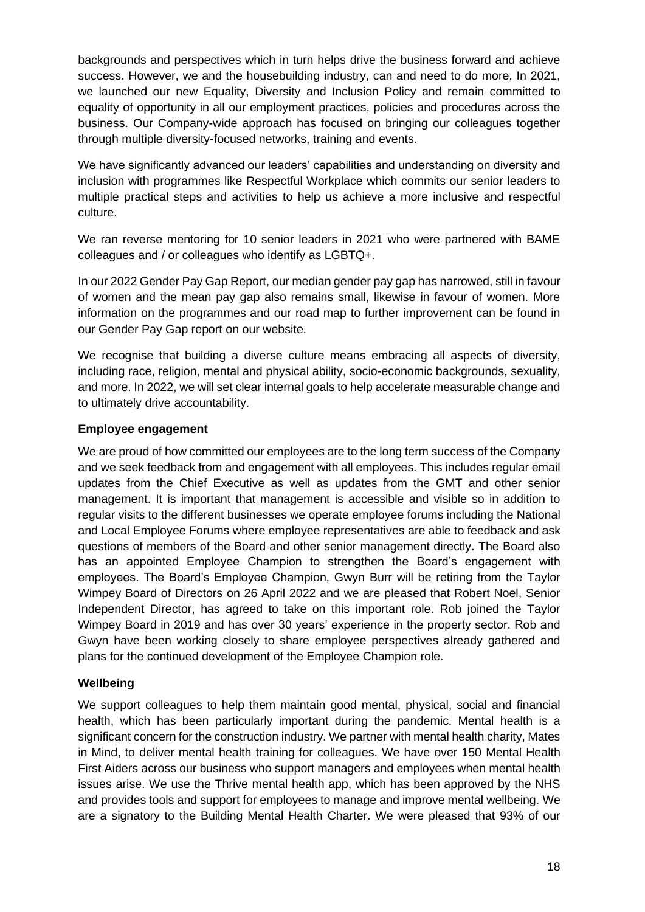backgrounds and perspectives which in turn helps drive the business forward and achieve success. However, we and the housebuilding industry, can and need to do more. In 2021, we launched our new Equality, Diversity and Inclusion Policy and remain committed to equality of opportunity in all our employment practices, policies and procedures across the business. Our Company-wide approach has focused on bringing our colleagues together through multiple diversity-focused networks, training and events.

We have significantly advanced our leaders' capabilities and understanding on diversity and inclusion with programmes like Respectful Workplace which commits our senior leaders to multiple practical steps and activities to help us achieve a more inclusive and respectful culture.

We ran reverse mentoring for 10 senior leaders in 2021 who were partnered with BAME colleagues and / or colleagues who identify as LGBTQ+.

In our 2022 Gender Pay Gap Report, our median gender pay gap has narrowed, still in favour of women and the mean pay gap also remains small, likewise in favour of women. More information on the programmes and our road map to further improvement can be found in our Gender Pay Gap report on our website.

We recognise that building a diverse culture means embracing all aspects of diversity, including race, religion, mental and physical ability, socio-economic backgrounds, sexuality, and more. In 2022, we will set clear internal goals to help accelerate measurable change and to ultimately drive accountability.

#### **Employee engagement**

We are proud of how committed our employees are to the long term success of the Company and we seek feedback from and engagement with all employees. This includes regular email updates from the Chief Executive as well as updates from the GMT and other senior management. It is important that management is accessible and visible so in addition to regular visits to the different businesses we operate employee forums including the National and Local Employee Forums where employee representatives are able to feedback and ask questions of members of the Board and other senior management directly. The Board also has an appointed Employee Champion to strengthen the Board's engagement with employees. The Board's Employee Champion, Gwyn Burr will be retiring from the Taylor Wimpey Board of Directors on 26 April 2022 and we are pleased that Robert Noel, Senior Independent Director, has agreed to take on this important role. Rob joined the Taylor Wimpey Board in 2019 and has over 30 years' experience in the property sector. Rob and Gwyn have been working closely to share employee perspectives already gathered and plans for the continued development of the Employee Champion role.

#### **Wellbeing**

We support colleagues to help them maintain good mental, physical, social and financial health, which has been particularly important during the pandemic. Mental health is a significant concern for the construction industry. We partner with mental health charity, Mates in Mind, to deliver mental health training for colleagues. We have over 150 Mental Health First Aiders across our business who support managers and employees when mental health issues arise. We use the Thrive mental health app, which has been approved by the NHS and provides tools and support for employees to manage and improve mental wellbeing. We are a signatory to the Building Mental Health Charter. We were pleased that 93% of our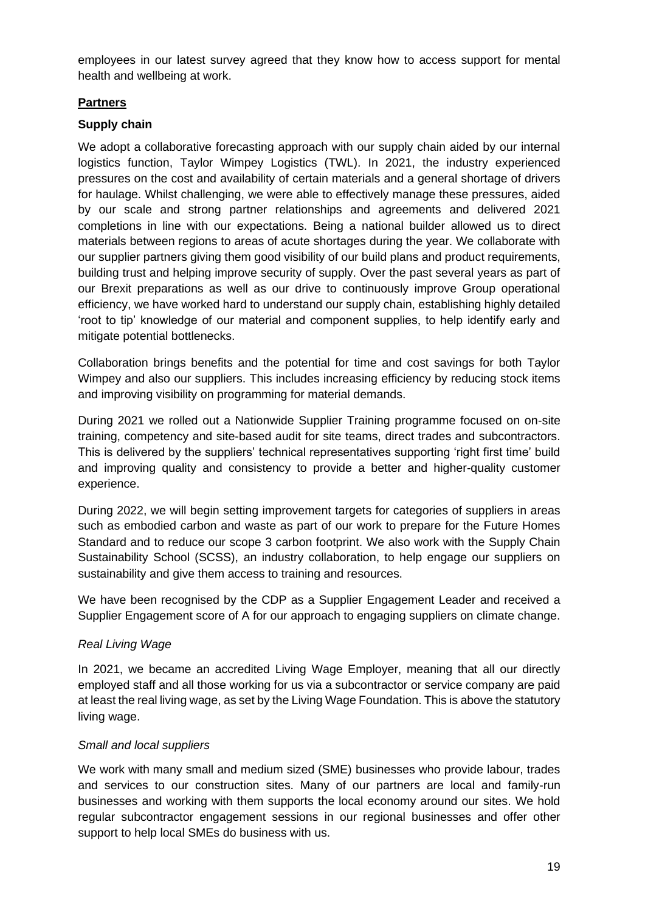employees in our latest survey agreed that they know how to access support for mental health and wellbeing at work.

# **Partners**

#### **Supply chain**

We adopt a collaborative forecasting approach with our supply chain aided by our internal logistics function, Taylor Wimpey Logistics (TWL). In 2021, the industry experienced pressures on the cost and availability of certain materials and a general shortage of drivers for haulage. Whilst challenging, we were able to effectively manage these pressures, aided by our scale and strong partner relationships and agreements and delivered 2021 completions in line with our expectations. Being a national builder allowed us to direct materials between regions to areas of acute shortages during the year. We collaborate with our supplier partners giving them good visibility of our build plans and product requirements, building trust and helping improve security of supply. Over the past several years as part of our Brexit preparations as well as our drive to continuously improve Group operational efficiency, we have worked hard to understand our supply chain, establishing highly detailed 'root to tip' knowledge of our material and component supplies, to help identify early and mitigate potential bottlenecks.

Collaboration brings benefits and the potential for time and cost savings for both Taylor Wimpey and also our suppliers. This includes increasing efficiency by reducing stock items and improving visibility on programming for material demands.

During 2021 we rolled out a Nationwide Supplier Training programme focused on on-site training, competency and site-based audit for site teams, direct trades and subcontractors. This is delivered by the suppliers' technical representatives supporting 'right first time' build and improving quality and consistency to provide a better and higher-quality customer experience.

During 2022, we will begin setting improvement targets for categories of suppliers in areas such as embodied carbon and waste as part of our work to prepare for the Future Homes Standard and to reduce our scope 3 carbon footprint. We also work with the Supply Chain Sustainability School (SCSS), an industry collaboration, to help engage our suppliers on sustainability and give them access to training and resources.

We have been recognised by the CDP as a Supplier Engagement Leader and received a Supplier Engagement score of A for our approach to engaging suppliers on climate change.

#### *Real Living Wage*

In 2021, we became an accredited Living Wage Employer, meaning that all our directly employed staff and all those working for us via a subcontractor or service company are paid at least the real living wage, as set by the Living Wage Foundation. This is above the statutory living wage.

#### *Small and local suppliers*

We work with many small and medium sized (SME) businesses who provide labour, trades and services to our construction sites. Many of our partners are local and family-run businesses and working with them supports the local economy around our sites. We hold regular subcontractor engagement sessions in our regional businesses and offer other support to help local SMEs do business with us.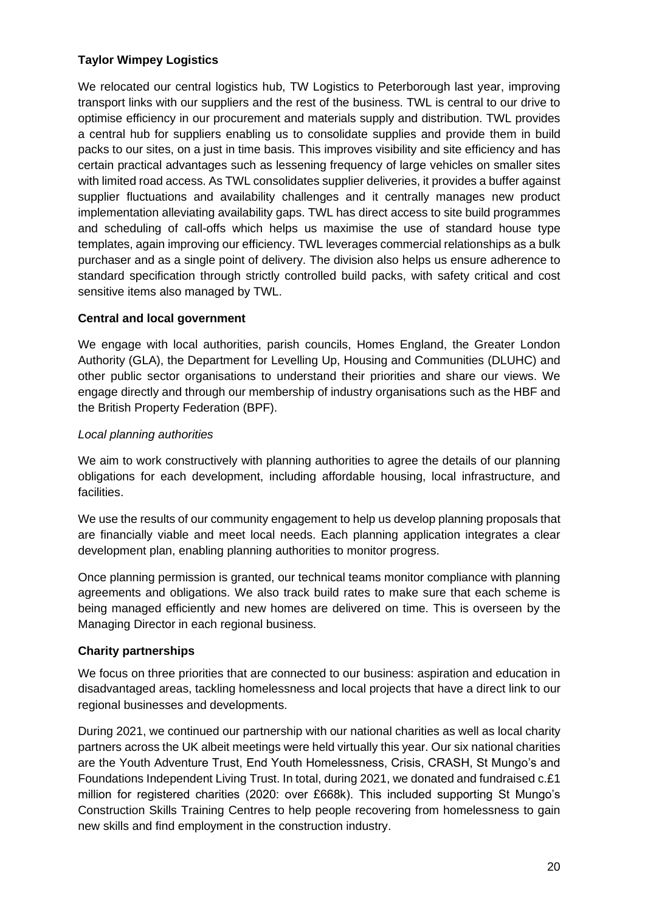# **Taylor Wimpey Logistics**

We relocated our central logistics hub, TW Logistics to Peterborough last year, improving transport links with our suppliers and the rest of the business. TWL is central to our drive to optimise efficiency in our procurement and materials supply and distribution. TWL provides a central hub for suppliers enabling us to consolidate supplies and provide them in build packs to our sites, on a just in time basis. This improves visibility and site efficiency and has certain practical advantages such as lessening frequency of large vehicles on smaller sites with limited road access. As TWL consolidates supplier deliveries, it provides a buffer against supplier fluctuations and availability challenges and it centrally manages new product implementation alleviating availability gaps. TWL has direct access to site build programmes and scheduling of call-offs which helps us maximise the use of standard house type templates, again improving our efficiency. TWL leverages commercial relationships as a bulk purchaser and as a single point of delivery. The division also helps us ensure adherence to standard specification through strictly controlled build packs, with safety critical and cost sensitive items also managed by TWL.

#### **Central and local government**

We engage with local authorities, parish councils, Homes England, the Greater London Authority (GLA), the Department for Levelling Up, Housing and Communities (DLUHC) and other public sector organisations to understand their priorities and share our views. We engage directly and through our membership of industry organisations such as the HBF and the British Property Federation (BPF).

#### *Local planning authorities*

We aim to work constructively with planning authorities to agree the details of our planning obligations for each development, including affordable housing, local infrastructure, and facilities.

We use the results of our community engagement to help us develop planning proposals that are financially viable and meet local needs. Each planning application integrates a clear development plan, enabling planning authorities to monitor progress.

Once planning permission is granted, our technical teams monitor compliance with planning agreements and obligations. We also track build rates to make sure that each scheme is being managed efficiently and new homes are delivered on time. This is overseen by the Managing Director in each regional business.

#### **Charity partnerships**

We focus on three priorities that are connected to our business: aspiration and education in disadvantaged areas, tackling homelessness and local projects that have a direct link to our regional businesses and developments.

During 2021, we continued our partnership with our national charities as well as local charity partners across the UK albeit meetings were held virtually this year. Our six national charities are the Youth Adventure Trust, End Youth Homelessness, Crisis, CRASH, St Mungo's and Foundations Independent Living Trust. In total, during 2021, we donated and fundraised c.£1 million for registered charities (2020: over £668k). This included supporting St Mungo's Construction Skills Training Centres to help people recovering from homelessness to gain new skills and find employment in the construction industry.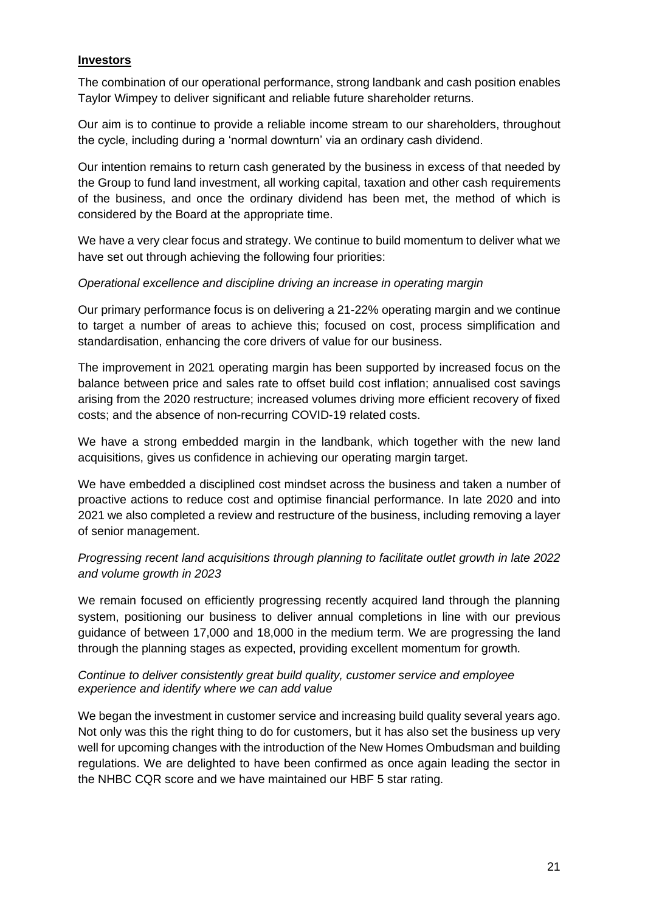# **Investors**

The combination of our operational performance, strong landbank and cash position enables Taylor Wimpey to deliver significant and reliable future shareholder returns.

Our aim is to continue to provide a reliable income stream to our shareholders, throughout the cycle, including during a 'normal downturn' via an ordinary cash dividend.

Our intention remains to return cash generated by the business in excess of that needed by the Group to fund land investment, all working capital, taxation and other cash requirements of the business, and once the ordinary dividend has been met, the method of which is considered by the Board at the appropriate time.

We have a very clear focus and strategy. We continue to build momentum to deliver what we have set out through achieving the following four priorities:

#### *Operational excellence and discipline driving an increase in operating margin*

Our primary performance focus is on delivering a 21-22% operating margin and we continue to target a number of areas to achieve this; focused on cost, process simplification and standardisation, enhancing the core drivers of value for our business.

The improvement in 2021 operating margin has been supported by increased focus on the balance between price and sales rate to offset build cost inflation; annualised cost savings arising from the 2020 restructure; increased volumes driving more efficient recovery of fixed costs; and the absence of non-recurring COVID-19 related costs.

We have a strong embedded margin in the landbank, which together with the new land acquisitions, gives us confidence in achieving our operating margin target.

We have embedded a disciplined cost mindset across the business and taken a number of proactive actions to reduce cost and optimise financial performance. In late 2020 and into 2021 we also completed a review and restructure of the business, including removing a layer of senior management.

# *Progressing recent land acquisitions through planning to facilitate outlet growth in late 2022 and volume growth in 2023*

We remain focused on efficiently progressing recently acquired land through the planning system, positioning our business to deliver annual completions in line with our previous guidance of between 17,000 and 18,000 in the medium term. We are progressing the land through the planning stages as expected, providing excellent momentum for growth.

#### *Continue to deliver consistently great build quality, customer service and employee experience and identify where we can add value*

We began the investment in customer service and increasing build quality several years ago. Not only was this the right thing to do for customers, but it has also set the business up very well for upcoming changes with the introduction of the New Homes Ombudsman and building regulations. We are delighted to have been confirmed as once again leading the sector in the NHBC CQR score and we have maintained our HBF 5 star rating.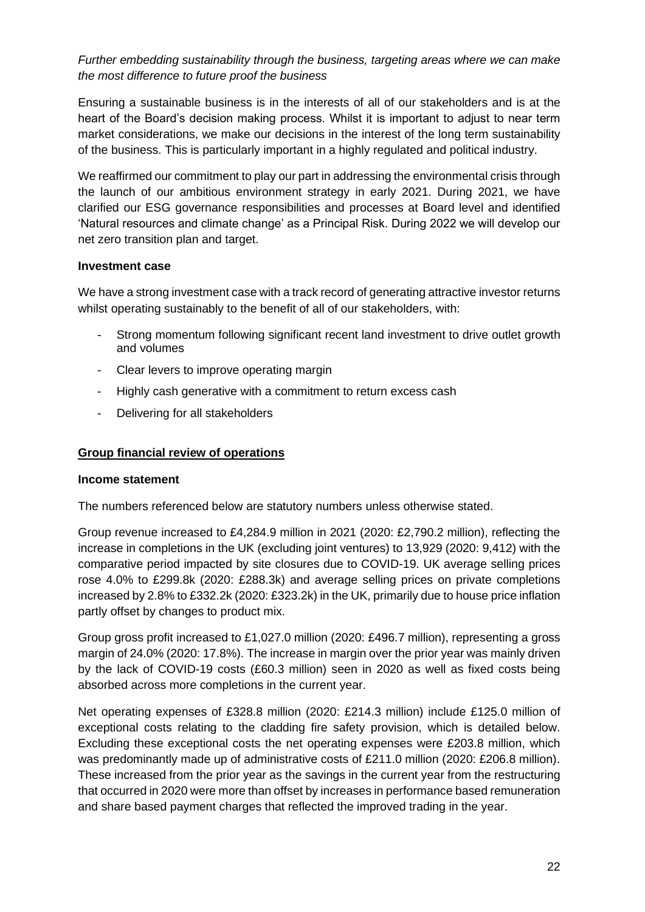# *Further embedding sustainability through the business, targeting areas where we can make the most difference to future proof the business*

Ensuring a sustainable business is in the interests of all of our stakeholders and is at the heart of the Board's decision making process. Whilst it is important to adjust to near term market considerations, we make our decisions in the interest of the long term sustainability of the business. This is particularly important in a highly regulated and political industry.

We reaffirmed our commitment to play our part in addressing the environmental crisis through the launch of our ambitious environment strategy in early 2021. During 2021, we have clarified our ESG governance responsibilities and processes at Board level and identified 'Natural resources and climate change' as a Principal Risk. During 2022 we will develop our net zero transition plan and target.

#### **Investment case**

We have a strong investment case with a track record of generating attractive investor returns whilst operating sustainably to the benefit of all of our stakeholders, with:

- Strong momentum following significant recent land investment to drive outlet growth and volumes
- Clear levers to improve operating margin
- Highly cash generative with a commitment to return excess cash
- Delivering for all stakeholders

#### **Group financial review of operations**

#### **Income statement**

The numbers referenced below are statutory numbers unless otherwise stated.

Group revenue increased to £4,284.9 million in 2021 (2020: £2,790.2 million), reflecting the increase in completions in the UK (excluding joint ventures) to 13,929 (2020: 9,412) with the comparative period impacted by site closures due to COVID-19. UK average selling prices rose 4.0% to £299.8k (2020: £288.3k) and average selling prices on private completions increased by 2.8% to £332.2k (2020: £323.2k) in the UK, primarily due to house price inflation partly offset by changes to product mix.

Group gross profit increased to £1,027.0 million (2020: £496.7 million), representing a gross margin of 24.0% (2020: 17.8%). The increase in margin over the prior year was mainly driven by the lack of COVID-19 costs (£60.3 million) seen in 2020 as well as fixed costs being absorbed across more completions in the current year.

Net operating expenses of £328.8 million (2020: £214.3 million) include £125.0 million of exceptional costs relating to the cladding fire safety provision, which is detailed below. Excluding these exceptional costs the net operating expenses were £203.8 million, which was predominantly made up of administrative costs of £211.0 million (2020: £206.8 million). These increased from the prior year as the savings in the current year from the restructuring that occurred in 2020 were more than offset by increases in performance based remuneration and share based payment charges that reflected the improved trading in the year.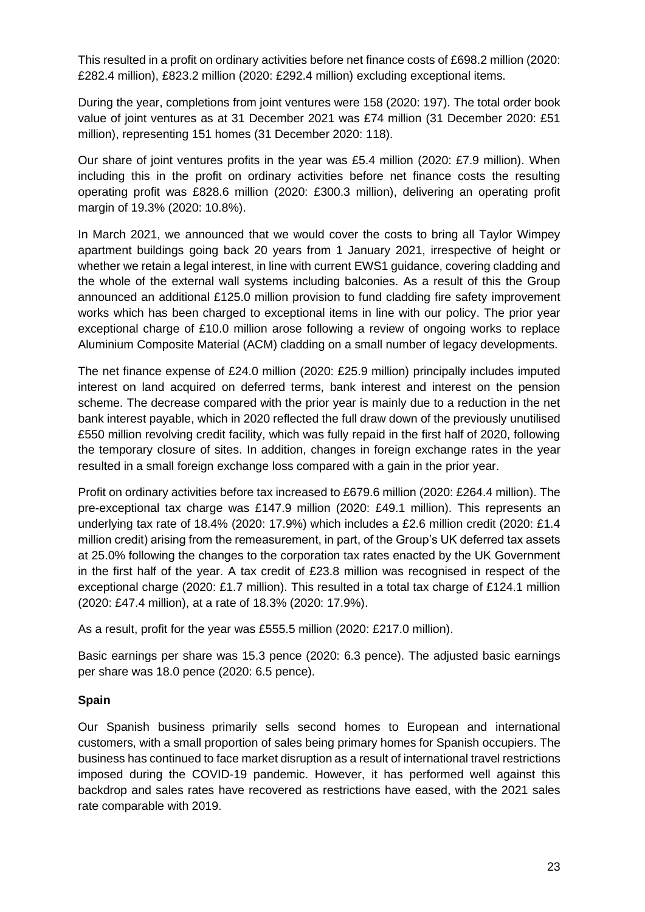This resulted in a profit on ordinary activities before net finance costs of £698.2 million (2020: £282.4 million), £823.2 million (2020: £292.4 million) excluding exceptional items.

During the year, completions from joint ventures were 158 (2020: 197). The total order book value of joint ventures as at 31 December 2021 was £74 million (31 December 2020: £51 million), representing 151 homes (31 December 2020: 118).

Our share of joint ventures profits in the year was £5.4 million (2020: £7.9 million). When including this in the profit on ordinary activities before net finance costs the resulting operating profit was £828.6 million (2020: £300.3 million), delivering an operating profit margin of 19.3% (2020: 10.8%).

In March 2021, we announced that we would cover the costs to bring all Taylor Wimpey apartment buildings going back 20 years from 1 January 2021, irrespective of height or whether we retain a legal interest, in line with current EWS1 guidance, covering cladding and the whole of the external wall systems including balconies. As a result of this the Group announced an additional £125.0 million provision to fund cladding fire safety improvement works which has been charged to exceptional items in line with our policy. The prior year exceptional charge of £10.0 million arose following a review of ongoing works to replace Aluminium Composite Material (ACM) cladding on a small number of legacy developments.

The net finance expense of £24.0 million (2020: £25.9 million) principally includes imputed interest on land acquired on deferred terms, bank interest and interest on the pension scheme. The decrease compared with the prior year is mainly due to a reduction in the net bank interest payable, which in 2020 reflected the full draw down of the previously unutilised £550 million revolving credit facility, which was fully repaid in the first half of 2020, following the temporary closure of sites. In addition, changes in foreign exchange rates in the year resulted in a small foreign exchange loss compared with a gain in the prior year.

Profit on ordinary activities before tax increased to £679.6 million (2020: £264.4 million). The pre-exceptional tax charge was £147.9 million (2020: £49.1 million). This represents an underlying tax rate of 18.4% (2020: 17.9%) which includes a £2.6 million credit (2020: £1.4 million credit) arising from the remeasurement, in part, of the Group's UK deferred tax assets at 25.0% following the changes to the corporation tax rates enacted by the UK Government in the first half of the year. A tax credit of £23.8 million was recognised in respect of the exceptional charge (2020: £1.7 million). This resulted in a total tax charge of £124.1 million (2020: £47.4 million), at a rate of 18.3% (2020: 17.9%).

As a result, profit for the year was £555.5 million (2020: £217.0 million).

Basic earnings per share was 15.3 pence (2020: 6.3 pence). The adjusted basic earnings per share was 18.0 pence (2020: 6.5 pence).

# **Spain**

Our Spanish business primarily sells second homes to European and international customers, with a small proportion of sales being primary homes for Spanish occupiers. The business has continued to face market disruption as a result of international travel restrictions imposed during the COVID-19 pandemic. However, it has performed well against this backdrop and sales rates have recovered as restrictions have eased, with the 2021 sales rate comparable with 2019.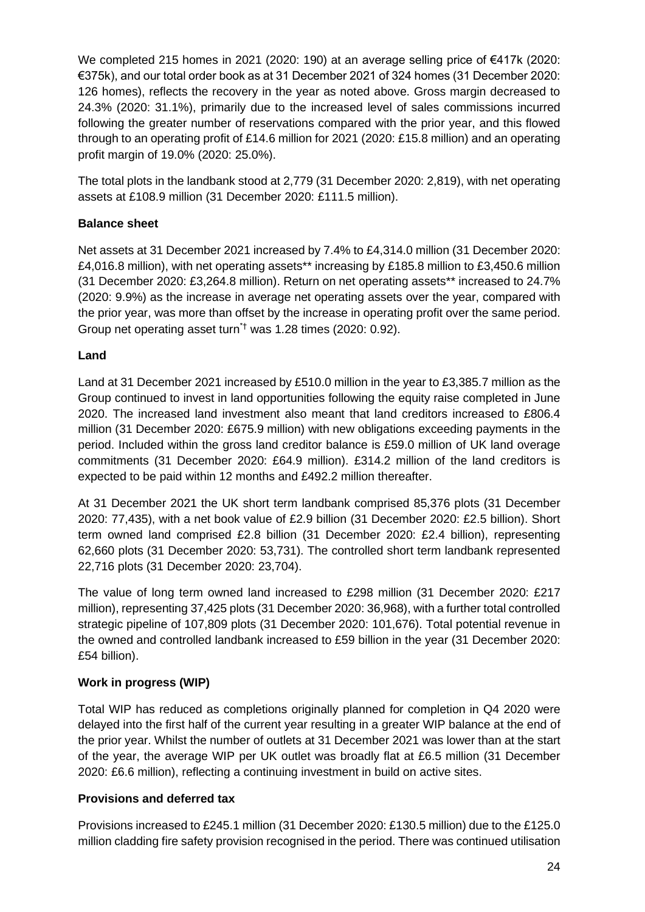We completed 215 homes in 2021 (2020: 190) at an average selling price of €417k (2020: €375k), and our total order book as at 31 December 2021 of 324 homes (31 December 2020: 126 homes), reflects the recovery in the year as noted above. Gross margin decreased to 24.3% (2020: 31.1%), primarily due to the increased level of sales commissions incurred following the greater number of reservations compared with the prior year, and this flowed through to an operating profit of £14.6 million for 2021 (2020: £15.8 million) and an operating profit margin of 19.0% (2020: 25.0%).

The total plots in the landbank stood at 2,779 (31 December 2020: 2,819), with net operating assets at £108.9 million (31 December 2020: £111.5 million).

# **Balance sheet**

Net assets at 31 December 2021 increased by 7.4% to £4,314.0 million (31 December 2020: £4,016.8 million), with net operating assets\*\* increasing by £185.8 million to £3,450.6 million (31 December 2020: £3,264.8 million). Return on net operating assets\*\* increased to 24.7% (2020: 9.9%) as the increase in average net operating assets over the year, compared with the prior year, was more than offset by the increase in operating profit over the same period. Group net operating asset turn\*† was 1.28 times (2020: 0.92).

# **Land**

Land at 31 December 2021 increased by £510.0 million in the year to £3,385.7 million as the Group continued to invest in land opportunities following the equity raise completed in June 2020. The increased land investment also meant that land creditors increased to £806.4 million (31 December 2020: £675.9 million) with new obligations exceeding payments in the period. Included within the gross land creditor balance is £59.0 million of UK land overage commitments (31 December 2020: £64.9 million). £314.2 million of the land creditors is expected to be paid within 12 months and £492.2 million thereafter.

At 31 December 2021 the UK short term landbank comprised 85,376 plots (31 December 2020: 77,435), with a net book value of £2.9 billion (31 December 2020: £2.5 billion). Short term owned land comprised £2.8 billion (31 December 2020: £2.4 billion), representing 62,660 plots (31 December 2020: 53,731). The controlled short term landbank represented 22,716 plots (31 December 2020: 23,704).

The value of long term owned land increased to £298 million (31 December 2020: £217 million), representing 37,425 plots (31 December 2020: 36,968), with a further total controlled strategic pipeline of 107,809 plots (31 December 2020: 101,676). Total potential revenue in the owned and controlled landbank increased to £59 billion in the year (31 December 2020: £54 billion).

# **Work in progress (WIP)**

Total WIP has reduced as completions originally planned for completion in Q4 2020 were delayed into the first half of the current year resulting in a greater WIP balance at the end of the prior year. Whilst the number of outlets at 31 December 2021 was lower than at the start of the year, the average WIP per UK outlet was broadly flat at £6.5 million (31 December 2020: £6.6 million), reflecting a continuing investment in build on active sites.

# **Provisions and deferred tax**

Provisions increased to £245.1 million (31 December 2020: £130.5 million) due to the £125.0 million cladding fire safety provision recognised in the period. There was continued utilisation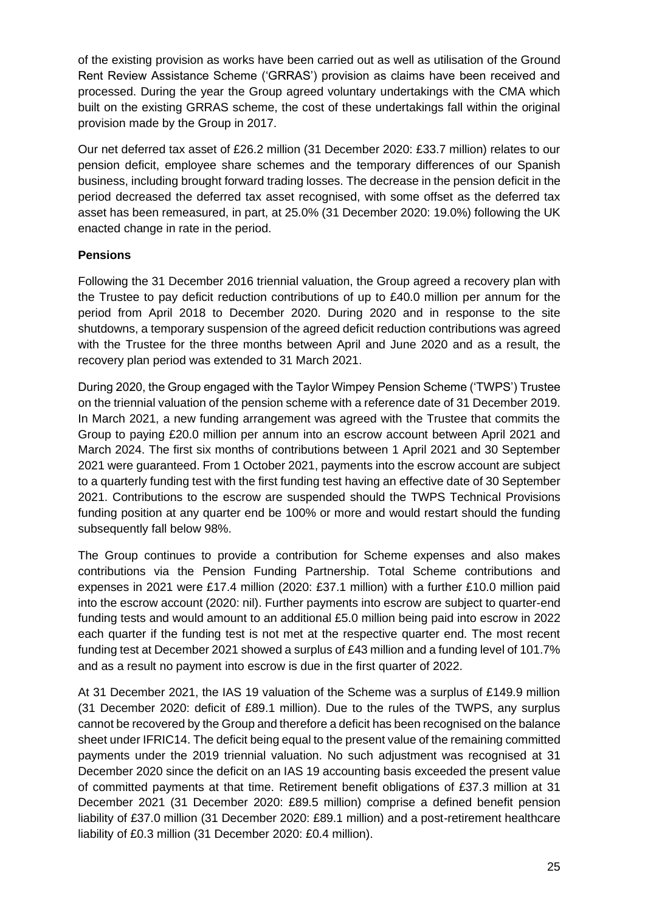of the existing provision as works have been carried out as well as utilisation of the Ground Rent Review Assistance Scheme ('GRRAS') provision as claims have been received and processed. During the year the Group agreed voluntary undertakings with the CMA which built on the existing GRRAS scheme, the cost of these undertakings fall within the original provision made by the Group in 2017.

Our net deferred tax asset of £26.2 million (31 December 2020: £33.7 million) relates to our pension deficit, employee share schemes and the temporary differences of our Spanish business, including brought forward trading losses. The decrease in the pension deficit in the period decreased the deferred tax asset recognised, with some offset as the deferred tax asset has been remeasured, in part, at 25.0% (31 December 2020: 19.0%) following the UK enacted change in rate in the period.

#### **Pensions**

Following the 31 December 2016 triennial valuation, the Group agreed a recovery plan with the Trustee to pay deficit reduction contributions of up to £40.0 million per annum for the period from April 2018 to December 2020. During 2020 and in response to the site shutdowns, a temporary suspension of the agreed deficit reduction contributions was agreed with the Trustee for the three months between April and June 2020 and as a result, the recovery plan period was extended to 31 March 2021.

During 2020, the Group engaged with the Taylor Wimpey Pension Scheme ('TWPS') Trustee on the triennial valuation of the pension scheme with a reference date of 31 December 2019. In March 2021, a new funding arrangement was agreed with the Trustee that commits the Group to paying £20.0 million per annum into an escrow account between April 2021 and March 2024. The first six months of contributions between 1 April 2021 and 30 September 2021 were guaranteed. From 1 October 2021, payments into the escrow account are subject to a quarterly funding test with the first funding test having an effective date of 30 September 2021. Contributions to the escrow are suspended should the TWPS Technical Provisions funding position at any quarter end be 100% or more and would restart should the funding subsequently fall below 98%.

The Group continues to provide a contribution for Scheme expenses and also makes contributions via the Pension Funding Partnership. Total Scheme contributions and expenses in 2021 were £17.4 million (2020: £37.1 million) with a further £10.0 million paid into the escrow account (2020: nil). Further payments into escrow are subject to quarter-end funding tests and would amount to an additional £5.0 million being paid into escrow in 2022 each quarter if the funding test is not met at the respective quarter end. The most recent funding test at December 2021 showed a surplus of £43 million and a funding level of 101.7% and as a result no payment into escrow is due in the first quarter of 2022.

At 31 December 2021, the IAS 19 valuation of the Scheme was a surplus of £149.9 million (31 December 2020: deficit of £89.1 million). Due to the rules of the TWPS, any surplus cannot be recovered by the Group and therefore a deficit has been recognised on the balance sheet under IFRIC14. The deficit being equal to the present value of the remaining committed payments under the 2019 triennial valuation. No such adjustment was recognised at 31 December 2020 since the deficit on an IAS 19 accounting basis exceeded the present value of committed payments at that time. Retirement benefit obligations of £37.3 million at 31 December 2021 (31 December 2020: £89.5 million) comprise a defined benefit pension liability of £37.0 million (31 December 2020: £89.1 million) and a post-retirement healthcare liability of £0.3 million (31 December 2020: £0.4 million).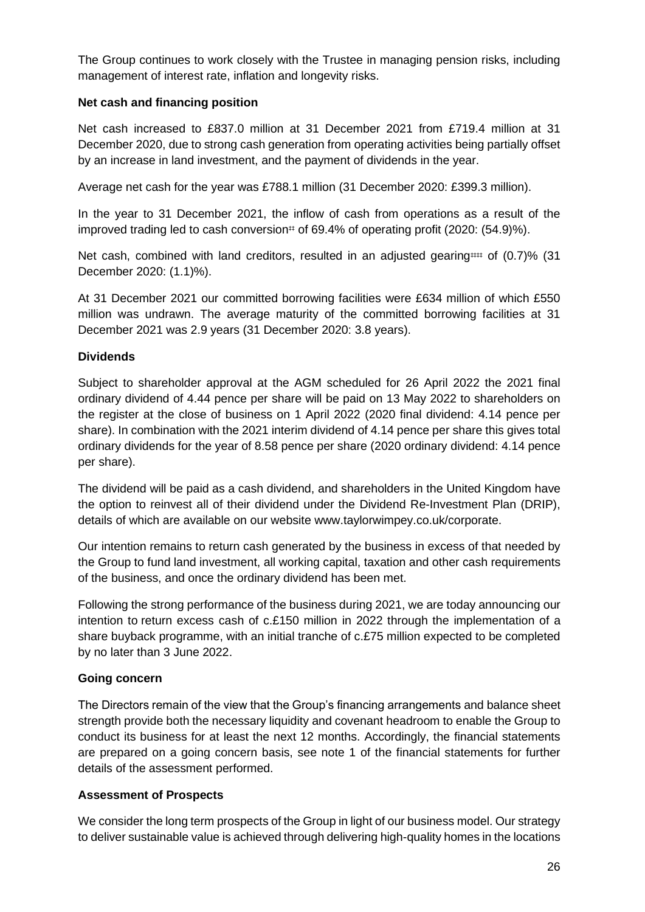The Group continues to work closely with the Trustee in managing pension risks, including management of interest rate, inflation and longevity risks.

#### **Net cash and financing position**

Net cash increased to £837.0 million at 31 December 2021 from £719.4 million at 31 December 2020, due to strong cash generation from operating activities being partially offset by an increase in land investment, and the payment of dividends in the year.

Average net cash for the year was £788.1 million (31 December 2020: £399.3 million).

In the year to 31 December 2021, the inflow of cash from operations as a result of the improved trading led to cash conversion# of 69.4% of operating profit (2020:  $(54.9)$ %).

Net cash, combined with land creditors, resulted in an adjusted gearing### of  $(0.7)$ % (31) December 2020: (1.1)%).

At 31 December 2021 our committed borrowing facilities were £634 million of which £550 million was undrawn. The average maturity of the committed borrowing facilities at 31 December 2021 was 2.9 years (31 December 2020: 3.8 years).

#### **Dividends**

Subject to shareholder approval at the AGM scheduled for 26 April 2022 the 2021 final ordinary dividend of 4.44 pence per share will be paid on 13 May 2022 to shareholders on the register at the close of business on 1 April 2022 (2020 final dividend: 4.14 pence per share). In combination with the 2021 interim dividend of 4.14 pence per share this gives total ordinary dividends for the year of 8.58 pence per share (2020 ordinary dividend: 4.14 pence per share).

The dividend will be paid as a cash dividend, and shareholders in the United Kingdom have the option to reinvest all of their dividend under the Dividend Re-Investment Plan (DRIP), details of which are available on our website www.taylorwimpey.co.uk/corporate.

Our intention remains to return cash generated by the business in excess of that needed by the Group to fund land investment, all working capital, taxation and other cash requirements of the business, and once the ordinary dividend has been met.

Following the strong performance of the business during 2021, we are today announcing our intention to return excess cash of c.£150 million in 2022 through the implementation of a share buyback programme, with an initial tranche of c.£75 million expected to be completed by no later than 3 June 2022.

# **Going concern**

The Directors remain of the view that the Group's financing arrangements and balance sheet strength provide both the necessary liquidity and covenant headroom to enable the Group to conduct its business for at least the next 12 months. Accordingly, the financial statements are prepared on a going concern basis, see note 1 of the financial statements for further details of the assessment performed.

# **Assessment of Prospects**

We consider the long term prospects of the Group in light of our business model. Our strategy to deliver sustainable value is achieved through delivering high-quality homes in the locations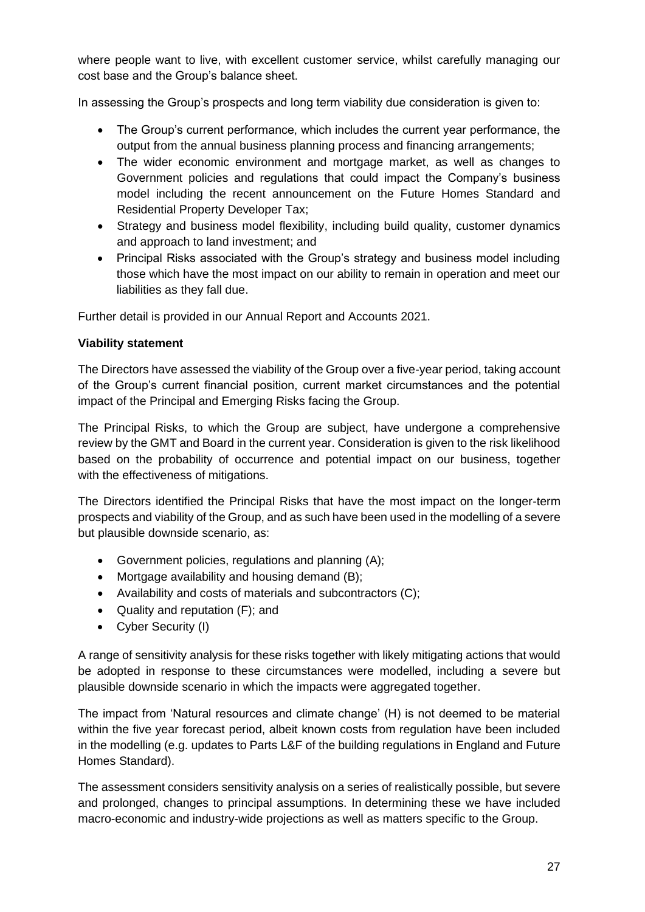where people want to live, with excellent customer service, whilst carefully managing our cost base and the Group's balance sheet.

In assessing the Group's prospects and long term viability due consideration is given to:

- The Group's current performance, which includes the current year performance, the output from the annual business planning process and financing arrangements;
- The wider economic environment and mortgage market, as well as changes to Government policies and regulations that could impact the Company's business model including the recent announcement on the Future Homes Standard and Residential Property Developer Tax;
- Strategy and business model flexibility, including build quality, customer dynamics and approach to land investment; and
- Principal Risks associated with the Group's strategy and business model including those which have the most impact on our ability to remain in operation and meet our liabilities as they fall due.

Further detail is provided in our Annual Report and Accounts 2021.

# **Viability statement**

The Directors have assessed the viability of the Group over a five-year period, taking account of the Group's current financial position, current market circumstances and the potential impact of the Principal and Emerging Risks facing the Group.

The Principal Risks, to which the Group are subject, have undergone a comprehensive review by the GMT and Board in the current year. Consideration is given to the risk likelihood based on the probability of occurrence and potential impact on our business, together with the effectiveness of mitigations.

The Directors identified the Principal Risks that have the most impact on the longer-term prospects and viability of the Group, and as such have been used in the modelling of a severe but plausible downside scenario, as:

- Government policies, regulations and planning (A);
- Mortgage availability and housing demand (B);
- Availability and costs of materials and subcontractors (C);
- Quality and reputation (F); and
- Cyber Security (I)

A range of sensitivity analysis for these risks together with likely mitigating actions that would be adopted in response to these circumstances were modelled, including a severe but plausible downside scenario in which the impacts were aggregated together.

The impact from 'Natural resources and climate change' (H) is not deemed to be material within the five year forecast period, albeit known costs from regulation have been included in the modelling (e.g. updates to Parts L&F of the building regulations in England and Future Homes Standard).

The assessment considers sensitivity analysis on a series of realistically possible, but severe and prolonged, changes to principal assumptions. In determining these we have included macro-economic and industry-wide projections as well as matters specific to the Group.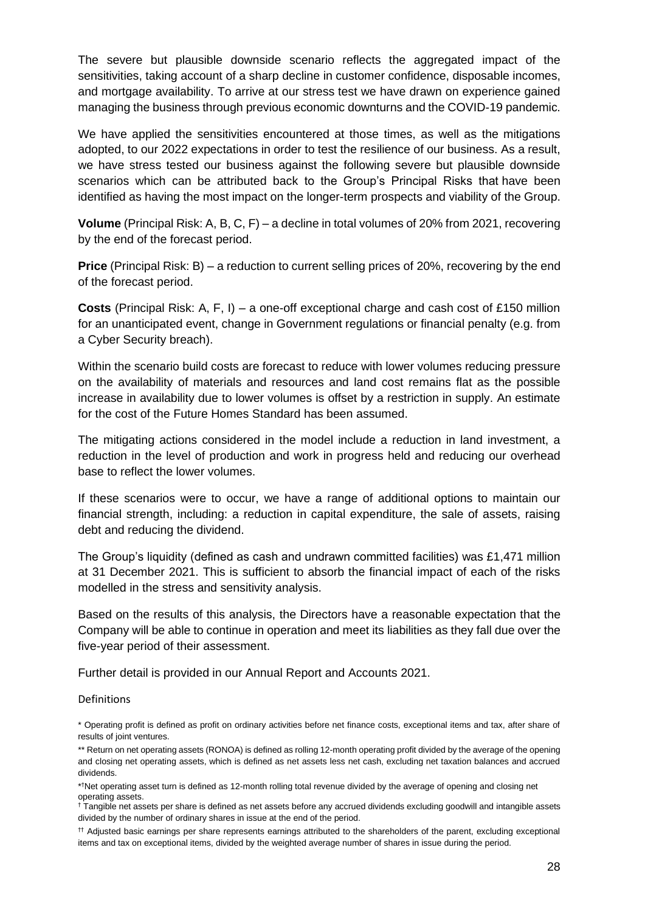The severe but plausible downside scenario reflects the aggregated impact of the sensitivities, taking account of a sharp decline in customer confidence, disposable incomes, and mortgage availability. To arrive at our stress test we have drawn on experience gained managing the business through previous economic downturns and the COVID-19 pandemic.

We have applied the sensitivities encountered at those times, as well as the mitigations adopted, to our 2022 expectations in order to test the resilience of our business. As a result, we have stress tested our business against the following severe but plausible downside scenarios which can be attributed back to the Group's Principal Risks that have been identified as having the most impact on the longer-term prospects and viability of the Group.

**Volume** (Principal Risk: A, B, C, F) – a decline in total volumes of 20% from 2021, recovering by the end of the forecast period.

**Price** (Principal Risk: B) – a reduction to current selling prices of 20%, recovering by the end of the forecast period.

**Costs** (Principal Risk: A, F, I) – a one-off exceptional charge and cash cost of £150 million for an unanticipated event, change in Government regulations or financial penalty (e.g. from a Cyber Security breach).

Within the scenario build costs are forecast to reduce with lower volumes reducing pressure on the availability of materials and resources and land cost remains flat as the possible increase in availability due to lower volumes is offset by a restriction in supply. An estimate for the cost of the Future Homes Standard has been assumed.

The mitigating actions considered in the model include a reduction in land investment, a reduction in the level of production and work in progress held and reducing our overhead base to reflect the lower volumes.

If these scenarios were to occur, we have a range of additional options to maintain our financial strength, including: a reduction in capital expenditure, the sale of assets, raising debt and reducing the dividend.

The Group's liquidity (defined as cash and undrawn committed facilities) was £1,471 million at 31 December 2021. This is sufficient to absorb the financial impact of each of the risks modelled in the stress and sensitivity analysis.

Based on the results of this analysis, the Directors have a reasonable expectation that the Company will be able to continue in operation and meet its liabilities as they fall due over the five-year period of their assessment.

Further detail is provided in our Annual Report and Accounts 2021.

#### Definitions

\* Operating profit is defined as profit on ordinary activities before net finance costs, exceptional items and tax, after share of results of joint ventures.

<sup>\*\*</sup> Return on net operating assets (RONOA) is defined as rolling 12-month operating profit divided by the average of the opening and closing net operating assets, which is defined as net assets less net cash, excluding net taxation balances and accrued dividends.

<sup>\*</sup> †Net operating asset turn is defined as 12-month rolling total revenue divided by the average of opening and closing net operating assets.

<sup>†</sup> Tangible net assets per share is defined as net assets before any accrued dividends excluding goodwill and intangible assets divided by the number of ordinary shares in issue at the end of the period.

<sup>††</sup> Adjusted basic earnings per share represents earnings attributed to the shareholders of the parent, excluding exceptional items and tax on exceptional items, divided by the weighted average number of shares in issue during the period.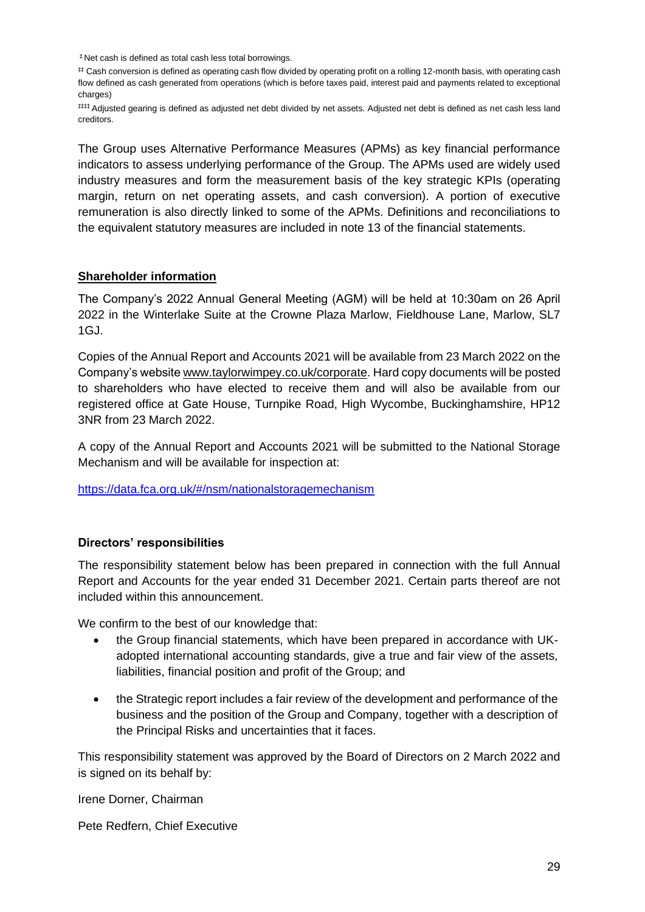‡ Net cash is defined as total cash less total borrowings.

# Cash conversion is defined as operating cash flow divided by operating profit on a rolling 12-month basis, with operating cash flow defined as cash generated from operations (which is before taxes paid, interest paid and payments related to exceptional charges)

‡‡‡‡ Adjusted gearing is defined as adjusted net debt divided by net assets. Adjusted net debt is defined as net cash less land creditors.

The Group uses Alternative Performance Measures (APMs) as key financial performance indicators to assess underlying performance of the Group. The APMs used are widely used industry measures and form the measurement basis of the key strategic KPIs (operating margin, return on net operating assets, and cash conversion). A portion of executive remuneration is also directly linked to some of the APMs. Definitions and reconciliations to the equivalent statutory measures are included in note 13 of the financial statements.

#### **Shareholder information**

The Company's 2022 Annual General Meeting (AGM) will be held at 10:30am on 26 April 2022 in the Winterlake Suite at the Crowne Plaza Marlow, Fieldhouse Lane, Marlow, SL7 1GJ.

Copies of the Annual Report and Accounts 2021 will be available from 23 March 2022 on the Company's website [www.taylorwimpey.co.uk/corporate.](http://www.taylorwimpey.co.uk/corporate) Hard copy documents will be posted to shareholders who have elected to receive them and will also be available from our registered office at Gate House, Turnpike Road, High Wycombe, Buckinghamshire, HP12 3NR from 23 March 2022.

A copy of the Annual Report and Accounts 2021 will be submitted to the National Storage Mechanism and will be available for inspection at:

[https://data.fca.org.uk/#/nsm/nationalstoragemechanism](https://eur02.safelinks.protection.outlook.com/?url=https%3A%2F%2Fdata.fca.org.uk%2F%23%2Fnsm%2Fnationalstoragemechanism&data=04%7C01%7CGraham.Connor%40taylorwimpey.com%7C49f0fc7715404527880708d8ce67eeb3%7C111bfc7fa92548b698024c6754c35b6f%7C0%7C0%7C637486293062865857%7CUnknown%7CTWFpbGZsb3d8eyJWIjoiMC4wLjAwMDAiLCJQIjoiV2luMzIiLCJBTiI6Ik1haWwiLCJXVCI6Mn0%3D%7C1000&sdata=vZmXCZ0OAiS8qgQWCDFqbPKLZMUt0Aa%2F6M15nwsNgOc%3D&reserved=0)

#### **Directors' responsibilities**

The responsibility statement below has been prepared in connection with the full Annual Report and Accounts for the year ended 31 December 2021. Certain parts thereof are not included within this announcement.

We confirm to the best of our knowledge that:

- the Group financial statements, which have been prepared in accordance with UKadopted international accounting standards, give a true and fair view of the assets, liabilities, financial position and profit of the Group; and
- the Strategic report includes a fair review of the development and performance of the business and the position of the Group and Company, together with a description of the Principal Risks and uncertainties that it faces.

This responsibility statement was approved by the Board of Directors on 2 March 2022 and is signed on its behalf by:

Irene Dorner, Chairman

Pete Redfern, Chief Executive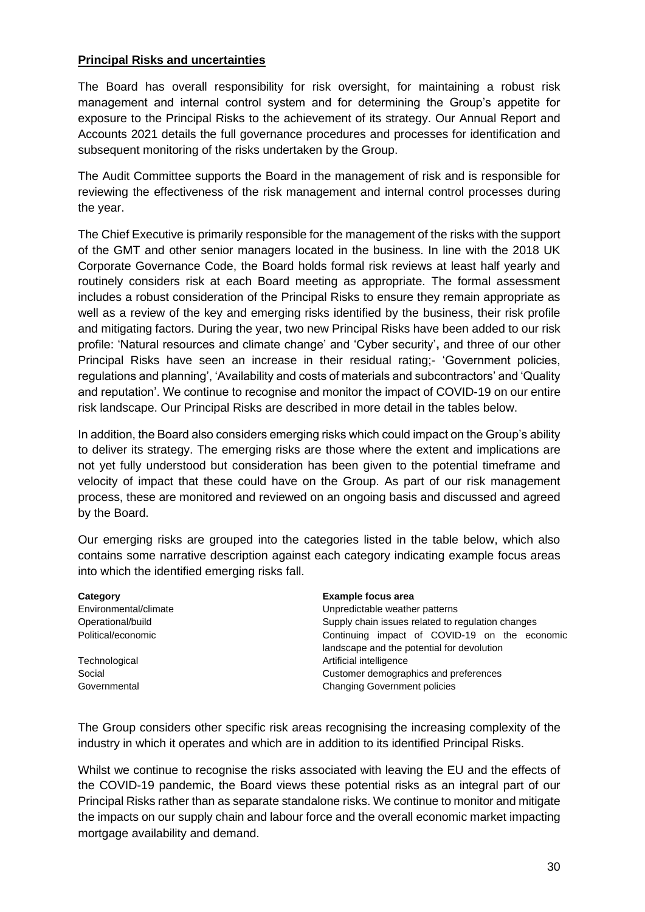#### **Principal Risks and uncertainties**

The Board has overall responsibility for risk oversight, for maintaining a robust risk management and internal control system and for determining the Group's appetite for exposure to the Principal Risks to the achievement of its strategy. Our Annual Report and Accounts 2021 details the full governance procedures and processes for identification and subsequent monitoring of the risks undertaken by the Group.

The Audit Committee supports the Board in the management of risk and is responsible for reviewing the effectiveness of the risk management and internal control processes during the year.

The Chief Executive is primarily responsible for the management of the risks with the support of the GMT and other senior managers located in the business. In line with the 2018 UK Corporate Governance Code, the Board holds formal risk reviews at least half yearly and routinely considers risk at each Board meeting as appropriate. The formal assessment includes a robust consideration of the Principal Risks to ensure they remain appropriate as well as a review of the key and emerging risks identified by the business, their risk profile and mitigating factors. During the year, two new Principal Risks have been added to our risk profile: 'Natural resources and climate change' and 'Cyber security'**,** and three of our other Principal Risks have seen an increase in their residual rating;- 'Government policies, regulations and planning', 'Availability and costs of materials and subcontractors' and 'Quality and reputation'. We continue to recognise and monitor the impact of COVID-19 on our entire risk landscape. Our Principal Risks are described in more detail in the tables below.

In addition, the Board also considers emerging risks which could impact on the Group's ability to deliver its strategy. The emerging risks are those where the extent and implications are not yet fully understood but consideration has been given to the potential timeframe and velocity of impact that these could have on the Group. As part of our risk management process, these are monitored and reviewed on an ongoing basis and discussed and agreed by the Board.

Our emerging risks are grouped into the categories listed in the table below, which also contains some narrative description against each category indicating example focus areas into which the identified emerging risks fall.

| Category              | <b>Example focus area</b>                         |  |  |  |  |
|-----------------------|---------------------------------------------------|--|--|--|--|
| Environmental/climate | Unpredictable weather patterns                    |  |  |  |  |
| Operational/build     | Supply chain issues related to regulation changes |  |  |  |  |
| Political/economic    | Continuing impact of COVID-19 on the economic     |  |  |  |  |
|                       | landscape and the potential for devolution        |  |  |  |  |
| Technological         | Artificial intelligence                           |  |  |  |  |
| Social                | Customer demographics and preferences             |  |  |  |  |
| Governmental          | <b>Changing Government policies</b>               |  |  |  |  |

The Group considers other specific risk areas recognising the increasing complexity of the industry in which it operates and which are in addition to its identified Principal Risks.

Whilst we continue to recognise the risks associated with leaving the EU and the effects of the COVID-19 pandemic, the Board views these potential risks as an integral part of our Principal Risks rather than as separate standalone risks. We continue to monitor and mitigate the impacts on our supply chain and labour force and the overall economic market impacting mortgage availability and demand.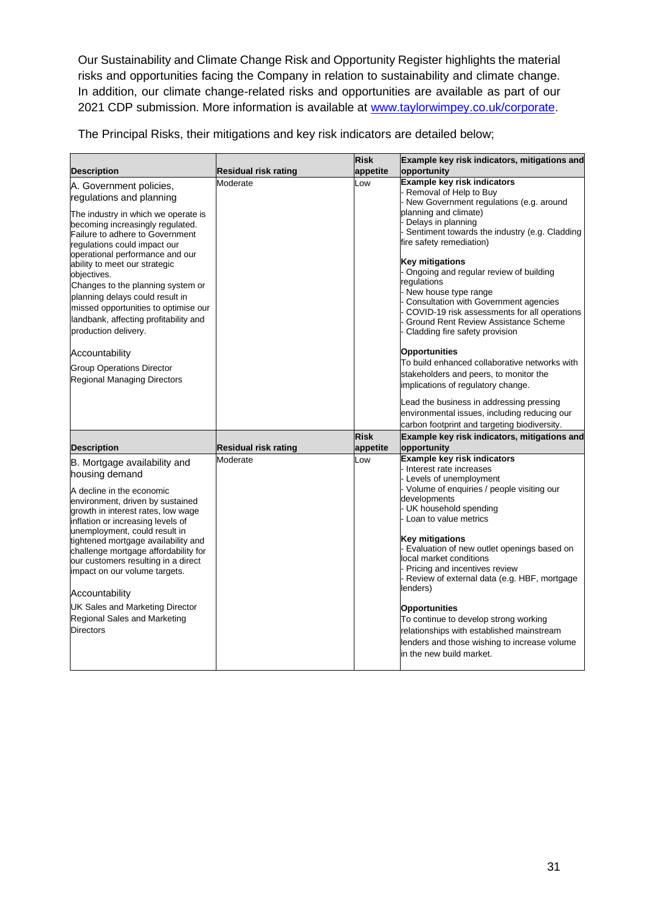Our Sustainability and Climate Change Risk and Opportunity Register highlights the material risks and opportunities facing the Company in relation to sustainability and climate change. In addition, our climate change-related risks and opportunities are available as part of our 2021 CDP submission. More information is available at [www.taylorwimpey.co.uk/corporate.](http://www.taylorwimpey.co.uk/corporate)

The Principal Risks, their mitigations and key risk indicators are detailed below;

|                                                                                                                                                                                      |                             | <b>Risk</b>             | Example key risk indicators, mitigations and                                                                                                                                           |
|--------------------------------------------------------------------------------------------------------------------------------------------------------------------------------------|-----------------------------|-------------------------|----------------------------------------------------------------------------------------------------------------------------------------------------------------------------------------|
| <b>Description</b>                                                                                                                                                                   | <b>Residual risk rating</b> | appetite                | opportunity                                                                                                                                                                            |
| A. Government policies,<br>regulations and planning                                                                                                                                  | Moderate                    | Low                     | Example key risk indicators<br>Removal of Help to Buy<br>New Government regulations (e.g. around                                                                                       |
| The industry in which we operate is<br>becoming increasingly regulated.<br>Failure to adhere to Government<br>regulations could impact our<br>operational performance and our        |                             |                         | planning and climate)<br>Delays in planning<br>Sentiment towards the industry (e.g. Cladding<br>fire safety remediation)                                                               |
| ability to meet our strategic<br>objectives.<br>Changes to the planning system or<br>planning delays could result in                                                                 |                             |                         | <b>Key mitigations</b><br>Ongoing and regular review of building<br>regulations<br>New house type range                                                                                |
| missed opportunities to optimise our<br>landbank, affecting profitability and<br>production delivery.                                                                                |                             |                         | Consultation with Government agencies<br>COVID-19 risk assessments for all operations<br>Ground Rent Review Assistance Scheme<br>Cladding fire safety provision                        |
| Accountability<br><b>Group Operations Director</b><br>Regional Managing Directors                                                                                                    |                             |                         | Opportunities<br>To build enhanced collaborative networks with<br>stakeholders and peers, to monitor the                                                                               |
|                                                                                                                                                                                      |                             |                         | implications of regulatory change.<br>Lead the business in addressing pressing                                                                                                         |
|                                                                                                                                                                                      |                             |                         | environmental issues, including reducing our<br>carbon footprint and targeting biodiversity.                                                                                           |
| <b>Description</b>                                                                                                                                                                   | Residual risk rating        | <b>Risk</b><br>appetite | Example key risk indicators, mitigations and<br>opportunity                                                                                                                            |
| B. Mortgage availability and<br>housing demand                                                                                                                                       | Moderate                    | .ow                     | Example key risk indicators<br>Interest rate increases<br>- Levels of unemployment                                                                                                     |
| A decline in the economic<br>environment, driven by sustained<br>growth in interest rates, low wage<br>inflation or increasing levels of                                             |                             |                         | - Volume of enquiries / people visiting our<br>developments<br>- UK household spending<br>Loan to value metrics                                                                        |
| unemployment, could result in<br>tightened mortgage availability and<br>challenge mortgage affordability for<br>our customers resulting in a direct<br>impact on our volume targets. |                             |                         | <b>Key mitigations</b><br>Evaluation of new outlet openings based on<br>local market conditions<br>Pricing and incentives review<br>Review of external data (e.g. HBF, mortgage        |
| Accountability                                                                                                                                                                       |                             |                         | lenders)                                                                                                                                                                               |
| <b>UK Sales and Marketing Director</b><br>Regional Sales and Marketing<br><b>Directors</b>                                                                                           |                             |                         | <b>Opportunities</b><br>To continue to develop strong working<br>relationships with established mainstream<br>lenders and those wishing to increase volume<br>in the new build market. |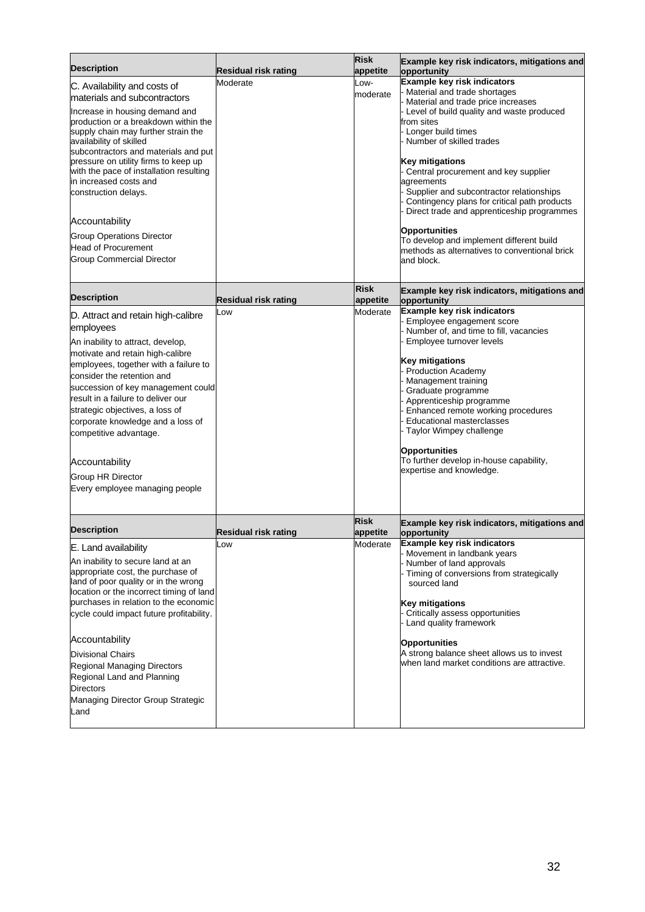| <b>Description</b>                                                                                                                                                                                                                                                                                                                                                                                                                                                                                            | <b>Residual risk rating</b> | <b>Risk</b><br>appetite | Example key risk indicators, mitigations and<br>opportunity                                                                                                                                                                                                                                                                                                                                                                                                                                                                                                   |
|---------------------------------------------------------------------------------------------------------------------------------------------------------------------------------------------------------------------------------------------------------------------------------------------------------------------------------------------------------------------------------------------------------------------------------------------------------------------------------------------------------------|-----------------------------|-------------------------|---------------------------------------------------------------------------------------------------------------------------------------------------------------------------------------------------------------------------------------------------------------------------------------------------------------------------------------------------------------------------------------------------------------------------------------------------------------------------------------------------------------------------------------------------------------|
| C. Availability and costs of<br>materials and subcontractors<br>Increase in housing demand and<br>production or a breakdown within the<br>supply chain may further strain the<br>availability of skilled<br>subcontractors and materials and put<br>pressure on utility firms to keep up<br>with the pace of installation resulting<br>in increased costs and<br>construction delays.<br>Accountability<br><b>Group Operations Director</b><br><b>Head of Procurement</b><br><b>Group Commercial Director</b> | Moderate                    | -OW-<br>moderate        | Example key risk indicators<br>Material and trade shortages<br>Material and trade price increases<br>Level of build quality and waste produced<br>from sites<br>Longer build times<br>Number of skilled trades<br>Key mitigations<br>Central procurement and key supplier<br>agreements<br>Supplier and subcontractor relationships<br>Contingency plans for critical path products<br>Direct trade and apprenticeship programmes<br>Opportunities<br>To develop and implement different build<br>methods as alternatives to conventional brick<br>and block. |
| <b>Description</b>                                                                                                                                                                                                                                                                                                                                                                                                                                                                                            | Residual risk rating        | <b>Risk</b><br>appetite | Example key risk indicators, mitigations and<br>opportunity                                                                                                                                                                                                                                                                                                                                                                                                                                                                                                   |
| D. Attract and retain high-calibre<br>employees<br>An inability to attract, develop,<br>motivate and retain high-calibre<br>employees, together with a failure to<br>consider the retention and<br>succession of key management could<br>result in a failure to deliver our<br>strategic objectives, a loss of<br>corporate knowledge and a loss of<br>competitive advantage.<br>Accountability<br><b>Group HR Director</b><br>Every employee managing people                                                 | Low                         | Moderate                | Example key risk indicators<br>Employee engagement score<br>Number of, and time to fill, vacancies<br>Employee turnover levels<br><b>Key mitigations</b><br><b>Production Academy</b><br>Management training<br>Graduate programme<br>Apprenticeship programme<br>Enhanced remote working procedures<br><b>Educational masterclasses</b><br>Taylor Wimpey challenge<br><b>Opportunities</b><br>To further develop in-house capability,<br>expertise and knowledge.                                                                                            |
| <b>Description</b>                                                                                                                                                                                                                                                                                                                                                                                                                                                                                            | Residual risk rating        | <b>Risk</b><br>appetite | Example key risk indicators, mitigations and<br>opportunity                                                                                                                                                                                                                                                                                                                                                                                                                                                                                                   |
| E. Land availability<br>An inability to secure land at an<br>appropriate cost, the purchase of<br>land of poor quality or in the wrong<br>location or the incorrect timing of land<br>purchases in relation to the economic<br>cycle could impact future profitability.<br>Accountability<br><b>Divisional Chairs</b><br>Regional Managing Directors<br>Regional Land and Planning<br><b>Directors</b><br>Managing Director Group Strategic<br>Land                                                           | LOW                         | Moderate                | Example key risk indicators<br>Movement in landbank years<br>Number of land approvals<br>Timing of conversions from strategically<br>sourced land<br><b>Key mitigations</b><br>Critically assess opportunities<br>Land quality framework<br>Opportunities<br>A strong balance sheet allows us to invest<br>when land market conditions are attractive.                                                                                                                                                                                                        |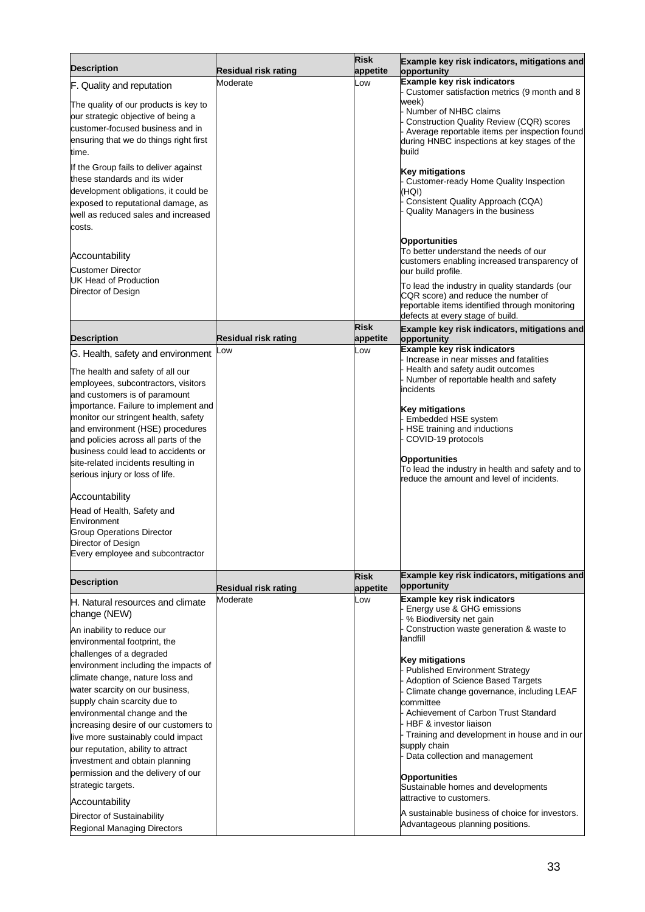|                                                                      |                             | <b>Risk</b>             | Example key risk indicators, mitigations and                                                    |
|----------------------------------------------------------------------|-----------------------------|-------------------------|-------------------------------------------------------------------------------------------------|
| <b>Description</b>                                                   | <b>Residual risk rating</b> | appetite                | opportunity                                                                                     |
| F. Quality and reputation                                            | Moderate                    | .ow                     | Example key risk indicators<br>- Customer satisfaction metrics (9 month and 8                   |
| The quality of our products is key to                                |                             |                         | week)                                                                                           |
| our strategic objective of being a                                   |                             |                         | - Number of NHBC claims                                                                         |
| customer-focused business and in                                     |                             |                         | <b>Construction Quality Review (CQR) scores</b>                                                 |
| ensuring that we do things right first                               |                             |                         | - Average reportable items per inspection found<br>during HNBC inspections at key stages of the |
| time.                                                                |                             |                         | build                                                                                           |
| If the Group fails to deliver against                                |                             |                         |                                                                                                 |
| these standards and its wider                                        |                             |                         | <b>Key mitigations</b>                                                                          |
| development obligations, it could be                                 |                             |                         | Customer-ready Home Quality Inspection<br>(HQI)                                                 |
| exposed to reputational damage, as                                   |                             |                         | Consistent Quality Approach (CQA)                                                               |
| well as reduced sales and increased                                  |                             |                         | Quality Managers in the business                                                                |
| costs.                                                               |                             |                         |                                                                                                 |
|                                                                      |                             |                         | <b>Opportunities</b>                                                                            |
|                                                                      |                             |                         | To better understand the needs of our                                                           |
| Accountability                                                       |                             |                         | customers enabling increased transparency of                                                    |
| <b>Customer Director</b>                                             |                             |                         | our build profile.                                                                              |
| UK Head of Production<br>Director of Design                          |                             |                         | To lead the industry in quality standards (our                                                  |
|                                                                      |                             |                         | CQR score) and reduce the number of                                                             |
|                                                                      |                             |                         | reportable items identified through monitoring<br>defects at every stage of build.              |
|                                                                      |                             | <b>Risk</b>             | Example key risk indicators, mitigations and                                                    |
| <b>Description</b>                                                   | <b>Residual risk rating</b> | appetite                | opportunity                                                                                     |
| G. Health, safety and environment                                    | _ow                         | .ow                     | <b>Example key risk indicators</b><br>Increase in near misses and fatalities                    |
| The health and safety of all our                                     |                             |                         | Health and safety audit outcomes                                                                |
| employees, subcontractors, visitors                                  |                             |                         | - Number of reportable health and safety                                                        |
| and customers is of paramount                                        |                             |                         | incidents                                                                                       |
| importance. Failure to implement and                                 |                             |                         | Key mitigations                                                                                 |
| monitor our stringent health, safety                                 |                             |                         | Embedded HSE system                                                                             |
| and environment (HSE) procedures                                     |                             |                         | HSE training and inductions                                                                     |
| and policies across all parts of the                                 |                             |                         | COVID-19 protocols                                                                              |
| business could lead to accidents or                                  |                             |                         | Opportunities                                                                                   |
| site-related incidents resulting in                                  |                             |                         | To lead the industry in health and safety and to                                                |
| serious injury or loss of life.                                      |                             |                         | reduce the amount and level of incidents.                                                       |
| Accountability                                                       |                             |                         |                                                                                                 |
|                                                                      |                             |                         |                                                                                                 |
| Head of Health, Safety and<br>Environment                            |                             |                         |                                                                                                 |
| <b>Group Operations Director</b>                                     |                             |                         |                                                                                                 |
| Director of Design                                                   |                             |                         |                                                                                                 |
| Every employee and subcontractor                                     |                             |                         |                                                                                                 |
|                                                                      |                             |                         | Example key risk indicators, mitigations and                                                    |
| <b>Description</b>                                                   | <b>Residual risk rating</b> | <b>Risk</b><br>appetite | opportunity                                                                                     |
| IH. Natural resources and climate                                    | Moderate                    | Low                     | Example key risk indicators                                                                     |
| change (NEW)                                                         |                             |                         | Energy use & GHG emissions                                                                      |
|                                                                      |                             |                         | % Biodiversity net gain<br>Construction waste generation & waste to                             |
| An inability to reduce our<br>environmental footprint, the           |                             |                         | landfill                                                                                        |
| challenges of a degraded                                             |                             |                         |                                                                                                 |
| environment including the impacts of                                 |                             |                         | <b>Key mitigations</b>                                                                          |
| climate change, nature loss and                                      |                             |                         | - Published Environment Strategy                                                                |
| water scarcity on our business,                                      |                             |                         | Adoption of Science Based Targets                                                               |
| supply chain scarcity due to                                         |                             |                         | Climate change governance, including LEAF<br>committee                                          |
| environmental change and the                                         |                             |                         | Achievement of Carbon Trust Standard                                                            |
| increasing desire of our customers to                                |                             |                         | HBF & investor liaison                                                                          |
| live more sustainably could impact                                   |                             |                         | - Training and development in house and in our                                                  |
|                                                                      |                             |                         |                                                                                                 |
|                                                                      |                             |                         | supply chain                                                                                    |
| our reputation, ability to attract                                   |                             |                         | - Data collection and management                                                                |
| investment and obtain planning<br>permission and the delivery of our |                             |                         |                                                                                                 |
| strategic targets.                                                   |                             |                         | Opportunities                                                                                   |
|                                                                      |                             |                         | Sustainable homes and developments<br>attractive to customers.                                  |
| Accountability<br>Director of Sustainability                         |                             |                         | A sustainable business of choice for investors.                                                 |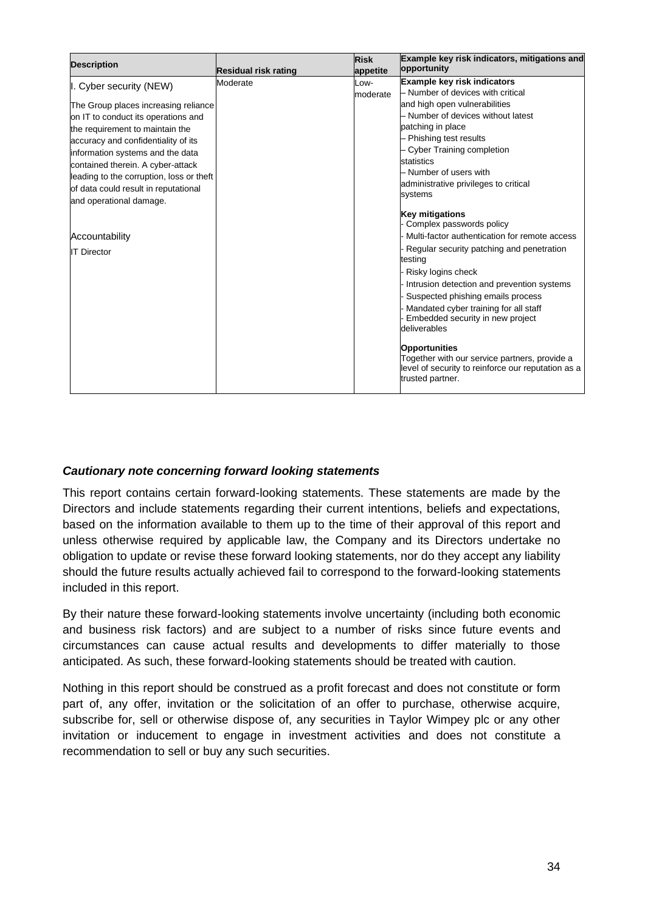| <b>Description</b>                       |                             | <b>Risk</b> | Example key risk indicators, mitigations and       |
|------------------------------------------|-----------------------------|-------------|----------------------------------------------------|
|                                          | <b>Residual risk rating</b> | appetite    | opportunity                                        |
| I. Cyber security (NEW)                  | Moderate                    | LOW-        | <b>Example key risk indicators</b>                 |
|                                          |                             | moderate    | - Number of devices with critical                  |
| The Group places increasing reliance     |                             |             | and high open vulnerabilities                      |
| on IT to conduct its operations and      |                             |             | - Number of devices without latest                 |
| the requirement to maintain the          |                             |             | patching in place                                  |
| accuracy and confidentiality of its      |                             |             | - Phishing test results                            |
| information systems and the data         |                             |             | - Cyber Training completion                        |
| contained therein. A cyber-attack        |                             |             | statistics                                         |
| leading to the corruption, loss or theft |                             |             | - Number of users with                             |
| of data could result in reputational     |                             |             | administrative privileges to critical              |
| and operational damage.                  |                             |             | systems                                            |
|                                          |                             |             | <b>Key mitigations</b>                             |
|                                          |                             |             | Complex passwords policy                           |
| Accountability                           |                             |             | Multi-factor authentication for remote access      |
| <b>IT Director</b>                       |                             |             | Regular security patching and penetration          |
|                                          |                             |             | testing                                            |
|                                          |                             |             | Risky logins check                                 |
|                                          |                             |             | Intrusion detection and prevention systems         |
|                                          |                             |             | Suspected phishing emails process                  |
|                                          |                             |             | Mandated cyber training for all staff              |
|                                          |                             |             | Embedded security in new project                   |
|                                          |                             |             | deliverables                                       |
|                                          |                             |             | <b>Opportunities</b>                               |
|                                          |                             |             | Together with our service partners, provide a      |
|                                          |                             |             | level of security to reinforce our reputation as a |
|                                          |                             |             | trusted partner.                                   |
|                                          |                             |             |                                                    |

#### *Cautionary note concerning forward looking statements*

This report contains certain forward-looking statements. These statements are made by the Directors and include statements regarding their current intentions, beliefs and expectations, based on the information available to them up to the time of their approval of this report and unless otherwise required by applicable law, the Company and its Directors undertake no obligation to update or revise these forward looking statements, nor do they accept any liability should the future results actually achieved fail to correspond to the forward-looking statements included in this report.

By their nature these forward-looking statements involve uncertainty (including both economic and business risk factors) and are subject to a number of risks since future events and circumstances can cause actual results and developments to differ materially to those anticipated. As such, these forward-looking statements should be treated with caution.

Nothing in this report should be construed as a profit forecast and does not constitute or form part of, any offer, invitation or the solicitation of an offer to purchase, otherwise acquire, subscribe for, sell or otherwise dispose of, any securities in Taylor Wimpey plc or any other invitation or inducement to engage in investment activities and does not constitute a recommendation to sell or buy any such securities.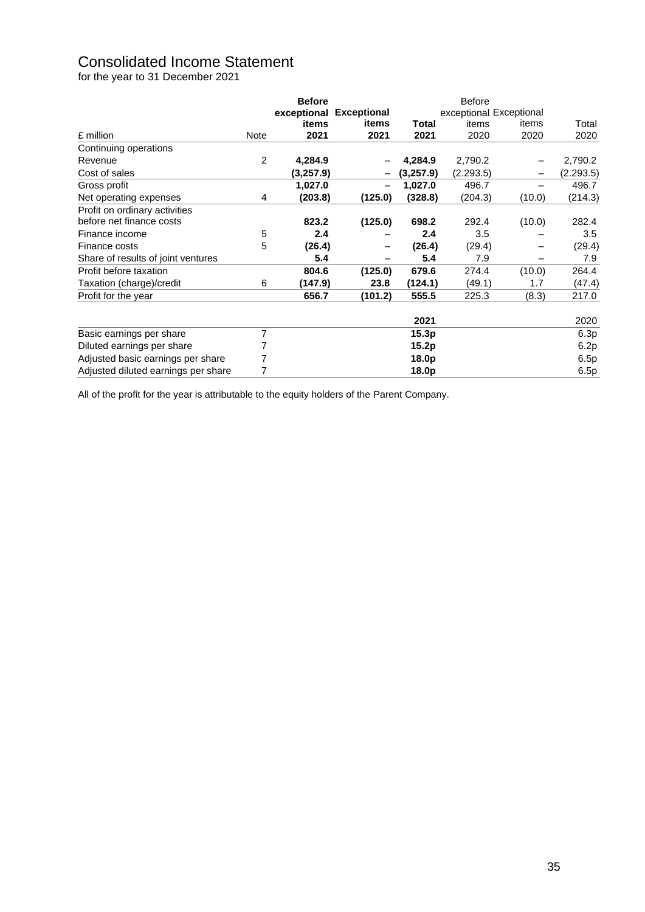# Consolidated Income Statement

for the year to 31 December 2021

|                                     |                | <b>Before</b> |                          |                   | <b>Before</b>           |        |           |
|-------------------------------------|----------------|---------------|--------------------------|-------------------|-------------------------|--------|-----------|
|                                     |                | exceptional   | <b>Exceptional</b>       |                   | exceptional Exceptional |        |           |
|                                     |                | items         | items                    | Total             | items                   | items  | Total     |
| £ million                           | Note           | 2021          | 2021                     | 2021              | 2020                    | 2020   | 2020      |
| Continuing operations               |                |               |                          |                   |                         |        |           |
| Revenue                             | 2              | 4,284.9       |                          | 4,284.9           | 2,790.2                 |        | 2,790.2   |
| Cost of sales                       |                | (3,257.9)     |                          | (3,257.9)         | (2.293.5)               |        | (2.293.5) |
| Gross profit                        |                | 1,027.0       | $\overline{\phantom{0}}$ | 1,027.0           | 496.7                   |        | 496.7     |
| Net operating expenses              | 4              | (203.8)       | (125.0)                  | (328.8)           | (204.3)                 | (10.0) | (214.3)   |
| Profit on ordinary activities       |                |               |                          |                   |                         |        |           |
| before net finance costs            |                | 823.2         | (125.0)                  | 698.2             | 292.4                   | (10.0) | 282.4     |
| Finance income                      | 5              | 2.4           |                          | 2.4               | 3.5                     |        | 3.5       |
| Finance costs                       | 5              | (26.4)        |                          | (26.4)            | (29.4)                  |        | (29.4)    |
| Share of results of joint ventures  |                | 5.4           |                          | 5.4               | 7.9                     |        | 7.9       |
| Profit before taxation              |                | 804.6         | (125.0)                  | 679.6             | 274.4                   | (10.0) | 264.4     |
| Taxation (charge)/credit            | 6              | (147.9)       | 23.8                     | (124.1)           | (49.1)                  | 1.7    | (47.4)    |
| Profit for the year                 |                | 656.7         | (101.2)                  | 555.5             | 225.3                   | (8.3)  | 217.0     |
|                                     |                |               |                          | 2021              |                         |        | 2020      |
| Basic earnings per share            | $\overline{7}$ |               |                          | 15.3p             |                         |        | 6.3p      |
| Diluted earnings per share          |                |               |                          | 15.2p             |                         |        | 6.2p      |
| Adjusted basic earnings per share   | 7              |               |                          | 18.0p             |                         |        | 6.5p      |
| Adjusted diluted earnings per share | 7              |               |                          | 18.0 <sub>p</sub> |                         |        | 6.5p      |

All of the profit for the year is attributable to the equity holders of the Parent Company.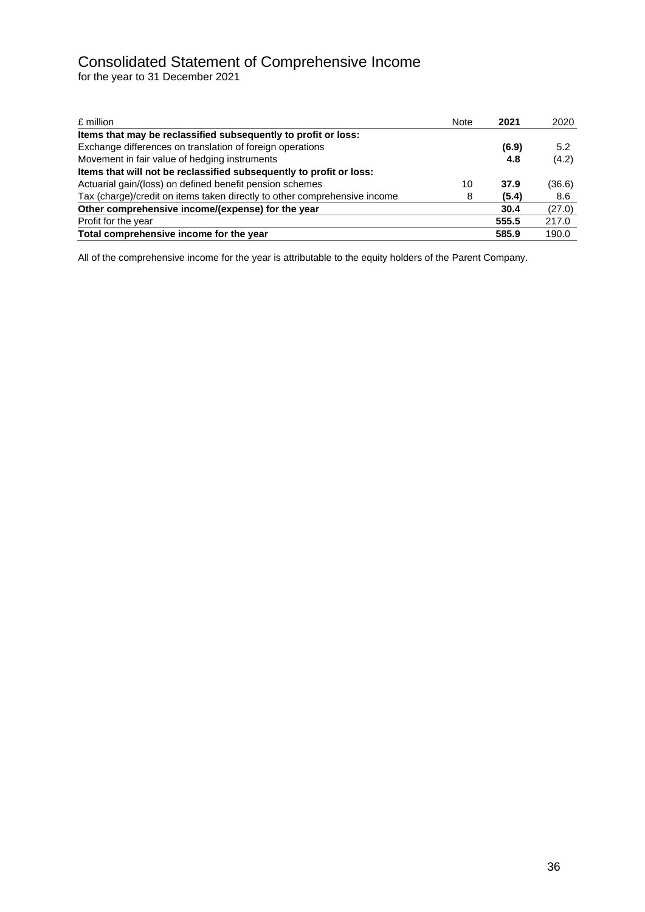# Consolidated Statement of Comprehensive Income

for the year to 31 December 2021

| £ million                                                                 | <b>Note</b> | 2021  | 2020   |
|---------------------------------------------------------------------------|-------------|-------|--------|
| Items that may be reclassified subsequently to profit or loss:            |             |       |        |
| Exchange differences on translation of foreign operations                 |             | (6.9) | 5.2    |
| Movement in fair value of hedging instruments                             |             | 4.8   | (4.2)  |
| Items that will not be reclassified subsequently to profit or loss:       |             |       |        |
| Actuarial gain/(loss) on defined benefit pension schemes                  | 10          | 37.9  | (36.6) |
| Tax (charge)/credit on items taken directly to other comprehensive income | 8           | (5.4) | 8.6    |
| Other comprehensive income/(expense) for the year                         |             | 30.4  | (27.0) |
| Profit for the year                                                       |             | 555.5 | 217.0  |
| Total comprehensive income for the year                                   |             | 585.9 | 190.0  |

All of the comprehensive income for the year is attributable to the equity holders of the Parent Company.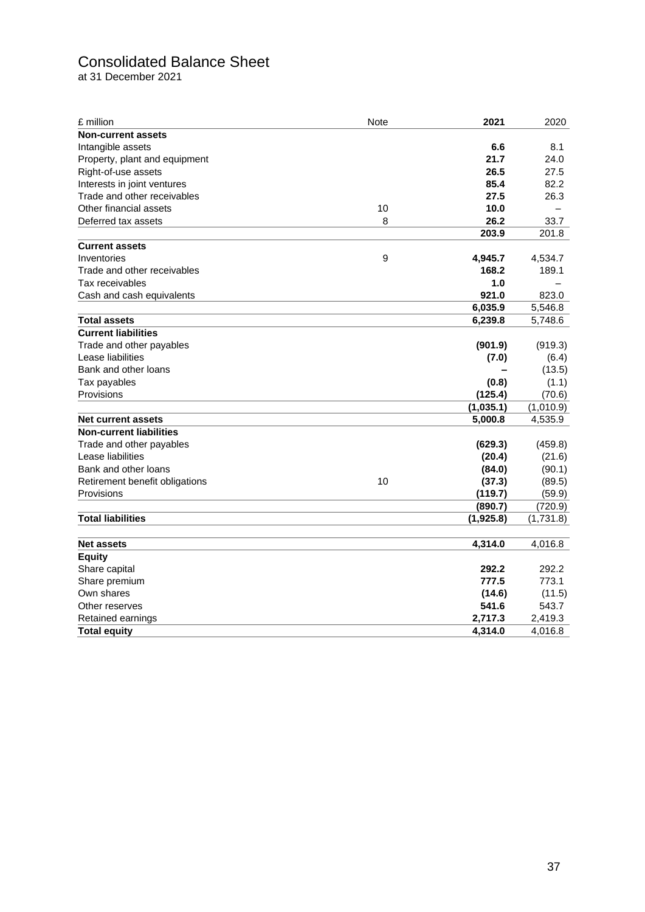# Consolidated Balance Sheet

at 31 December 2021

| £ million                      | Note | 2021      | 2020      |
|--------------------------------|------|-----------|-----------|
| <b>Non-current assets</b>      |      |           |           |
| Intangible assets              |      | 6.6       | 8.1       |
| Property, plant and equipment  |      | 21.7      | 24.0      |
| Right-of-use assets            |      | 26.5      | 27.5      |
| Interests in joint ventures    |      | 85.4      | 82.2      |
| Trade and other receivables    |      | 27.5      | 26.3      |
| Other financial assets         | 10   | 10.0      |           |
| Deferred tax assets            | 8    | 26.2      | 33.7      |
|                                |      | 203.9     | 201.8     |
| <b>Current assets</b>          |      |           |           |
| Inventories                    | 9    | 4,945.7   | 4,534.7   |
| Trade and other receivables    |      | 168.2     | 189.1     |
| Tax receivables                |      | 1.0       |           |
| Cash and cash equivalents      |      | 921.0     | 823.0     |
|                                |      | 6,035.9   | 5,546.8   |
| <b>Total assets</b>            |      | 6,239.8   | 5,748.6   |
| <b>Current liabilities</b>     |      |           |           |
| Trade and other payables       |      | (901.9)   | (919.3)   |
| Lease liabilities              |      | (7.0)     | (6.4)     |
| Bank and other loans           |      |           | (13.5)    |
| Tax payables                   |      | (0.8)     | (1.1)     |
| Provisions                     |      | (125.4)   | (70.6)    |
|                                |      | (1,035.1) | (1,010.9) |
| <b>Net current assets</b>      |      | 5,000.8   | 4,535.9   |
| <b>Non-current liabilities</b> |      |           |           |
| Trade and other payables       |      | (629.3)   | (459.8)   |
| Lease liabilities              |      | (20.4)    | (21.6)    |
| Bank and other loans           |      | (84.0)    | (90.1)    |
| Retirement benefit obligations | 10   | (37.3)    | (89.5)    |
| Provisions                     |      | (119.7)   | (59.9)    |
|                                |      | (890.7)   | (720.9)   |
| <b>Total liabilities</b>       |      | (1,925.8) | (1,731.8) |
| <b>Net assets</b>              |      | 4,314.0   | 4,016.8   |
| <b>Equity</b>                  |      |           |           |
| Share capital                  |      | 292.2     | 292.2     |
| Share premium                  |      | 777.5     | 773.1     |
| Own shares                     |      | (14.6)    | (11.5)    |
| Other reserves                 |      | 541.6     | 543.7     |
| Retained earnings              |      | 2,717.3   | 2,419.3   |
| <b>Total equity</b>            |      | 4.314.0   | 4,016.8   |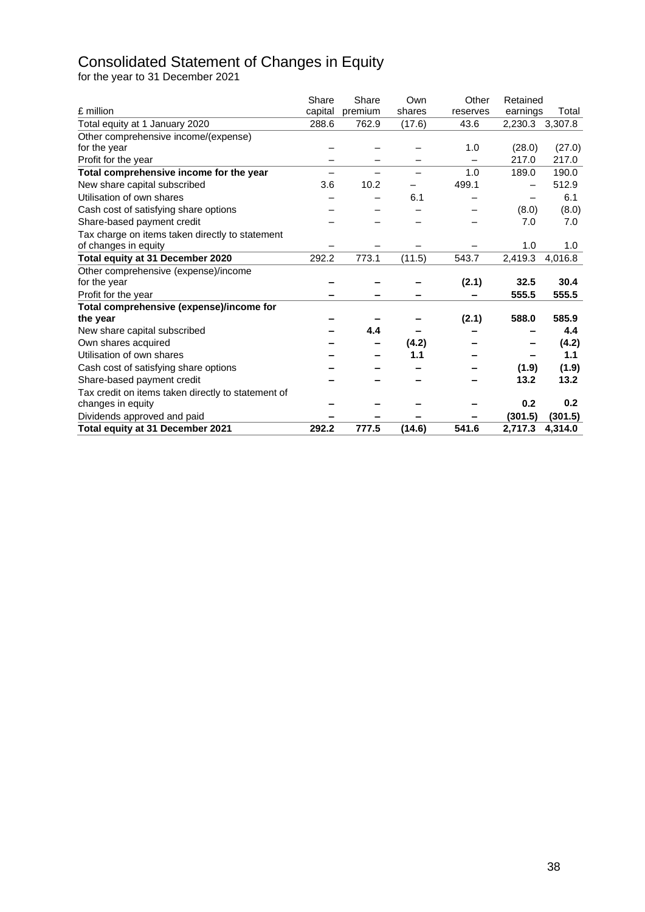# Consolidated Statement of Changes in Equity

for the year to 31 December 2021

| £ million                                          | Share<br>capital | Share<br>premium | Own<br>shares | Other<br>reserves | Retained<br>earnings | Total   |
|----------------------------------------------------|------------------|------------------|---------------|-------------------|----------------------|---------|
| Total equity at 1 January 2020                     | 288.6            | 762.9            | (17.6)        | 43.6              | 2,230.3              | 3,307.8 |
| Other comprehensive income/(expense)               |                  |                  |               |                   |                      |         |
| for the year                                       |                  |                  |               | 1.0               | (28.0)               | (27.0)  |
| Profit for the year                                |                  |                  |               |                   | 217.0                | 217.0   |
| Total comprehensive income for the year            |                  |                  |               | 1.0               | 189.0                | 190.0   |
| New share capital subscribed                       | 3.6              | 10.2             |               | 499.1             |                      | 512.9   |
| Utilisation of own shares                          |                  |                  |               |                   |                      |         |
|                                                    |                  |                  | 6.1           |                   |                      | 6.1     |
| Cash cost of satisfying share options              |                  |                  |               |                   | (8.0)                | (8.0)   |
| Share-based payment credit                         |                  |                  |               |                   | 7.0                  | 7.0     |
| Tax charge on items taken directly to statement    |                  |                  |               |                   |                      |         |
| of changes in equity                               |                  |                  |               |                   | 1.0                  | 1.0     |
| Total equity at 31 December 2020                   | 292.2            | 773.1            | (11.5)        | 543.7             | 2,419.3              | 4,016.8 |
| Other comprehensive (expense)/income               |                  |                  |               |                   |                      |         |
| for the year                                       |                  |                  |               | (2.1)             | 32.5                 | 30.4    |
| Profit for the year                                |                  |                  |               |                   | 555.5                | 555.5   |
| Total comprehensive (expense)/income for           |                  |                  |               |                   |                      |         |
| the year                                           |                  |                  |               | (2.1)             | 588.0                | 585.9   |
| New share capital subscribed                       |                  | 4.4              |               |                   |                      | 4.4     |
| Own shares acquired                                |                  |                  | (4.2)         |                   |                      | (4.2)   |
| Utilisation of own shares                          |                  |                  | 1.1           |                   |                      | 1.1     |
| Cash cost of satisfying share options              |                  |                  |               |                   | (1.9)                | (1.9)   |
| Share-based payment credit                         |                  |                  |               |                   | 13.2                 | 13.2    |
| Tax credit on items taken directly to statement of |                  |                  |               |                   |                      |         |
| changes in equity                                  |                  |                  |               |                   | 0.2                  | 0.2     |
| Dividends approved and paid                        |                  |                  |               |                   | (301.5)              | (301.5) |
| Total equity at 31 December 2021                   | 292.2            | 777.5            | (14.6)        | 541.6             | 2,717.3              | 4.314.0 |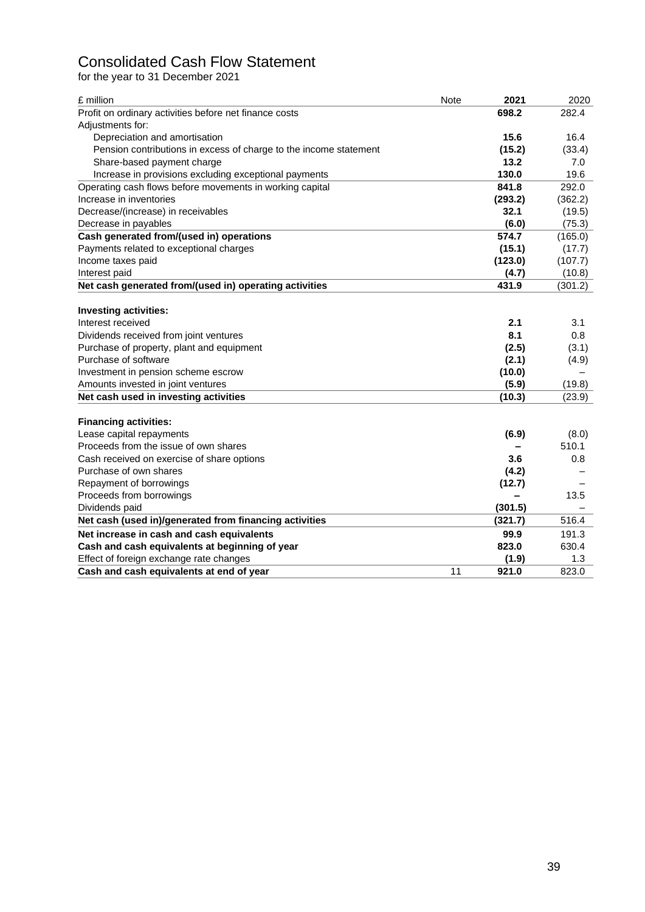# Consolidated Cash Flow Statement

for the year to 31 December 2021

| £ million                                                         | <b>Note</b> | 2021    | 2020    |
|-------------------------------------------------------------------|-------------|---------|---------|
| Profit on ordinary activities before net finance costs            |             | 698.2   | 282.4   |
| Adjustments for:                                                  |             |         |         |
| Depreciation and amortisation                                     |             | 15.6    | 16.4    |
| Pension contributions in excess of charge to the income statement |             | (15.2)  | (33.4)  |
| Share-based payment charge                                        |             | 13.2    | 7.0     |
| Increase in provisions excluding exceptional payments             |             | 130.0   | 19.6    |
| Operating cash flows before movements in working capital          |             | 841.8   | 292.0   |
| Increase in inventories                                           |             | (293.2) | (362.2) |
| Decrease/(increase) in receivables                                |             | 32.1    | (19.5)  |
| Decrease in payables                                              |             | (6.0)   | (75.3)  |
| Cash generated from/(used in) operations                          |             | 574.7   | (165.0) |
| Payments related to exceptional charges                           |             | (15.1)  | (17.7)  |
| Income taxes paid                                                 |             | (123.0) | (107.7) |
| Interest paid                                                     |             | (4.7)   | (10.8)  |
| Net cash generated from/(used in) operating activities            |             | 431.9   | (301.2) |
|                                                                   |             |         |         |
| <b>Investing activities:</b>                                      |             |         |         |
| Interest received                                                 |             | 2.1     | 3.1     |
| Dividends received from joint ventures                            |             | 8.1     | 0.8     |
| Purchase of property, plant and equipment                         |             | (2.5)   | (3.1)   |
| Purchase of software                                              |             | (2.1)   | (4.9)   |
| Investment in pension scheme escrow                               |             | (10.0)  |         |
| Amounts invested in joint ventures                                |             | (5.9)   | (19.8)  |
| Net cash used in investing activities                             |             | (10.3)  | (23.9)  |
|                                                                   |             |         |         |
| <b>Financing activities:</b>                                      |             |         |         |
| Lease capital repayments                                          |             | (6.9)   | (8.0)   |
| Proceeds from the issue of own shares                             |             |         | 510.1   |
| Cash received on exercise of share options                        |             | 3.6     | 0.8     |
| Purchase of own shares                                            |             | (4.2)   |         |
| Repayment of borrowings                                           |             | (12.7)  |         |
| Proceeds from borrowings                                          |             |         | 13.5    |
| Dividends paid                                                    |             | (301.5) |         |
| Net cash (used in)/generated from financing activities            |             | (321.7) | 516.4   |
| Net increase in cash and cash equivalents                         |             | 99.9    | 191.3   |
| Cash and cash equivalents at beginning of year                    |             | 823.0   | 630.4   |
| Effect of foreign exchange rate changes                           |             | (1.9)   | 1.3     |
| Cash and cash equivalents at end of year                          | 11          | 921.0   | 823.0   |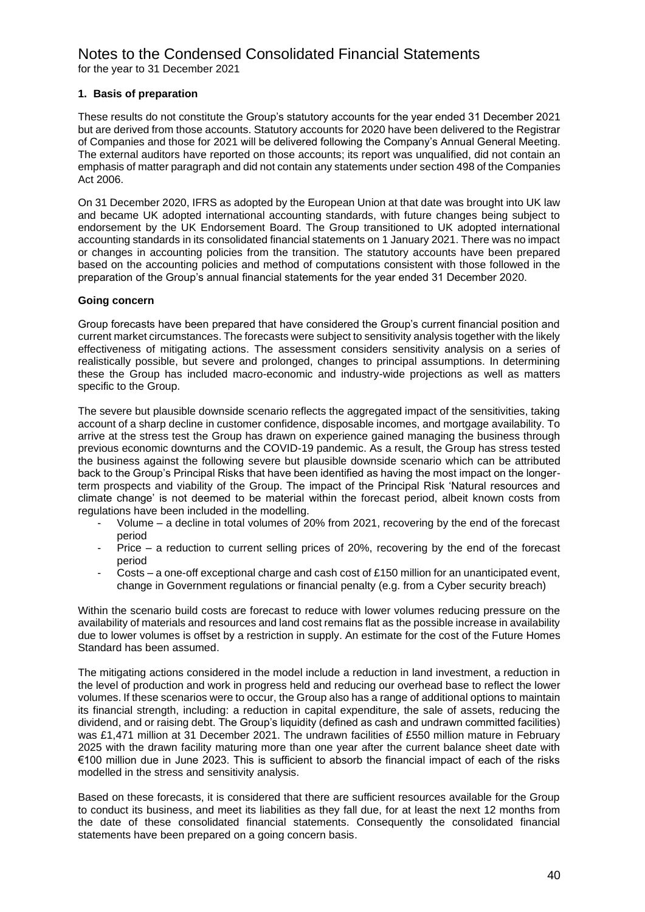#### Notes to the Condensed Consolidated Financial Statements for the year to 31 December 2021

#### **1. Basis of preparation**

These results do not constitute the Group's statutory accounts for the year ended 31 December 2021 but are derived from those accounts. Statutory accounts for 2020 have been delivered to the Registrar of Companies and those for 2021 will be delivered following the Company's Annual General Meeting. The external auditors have reported on those accounts; its report was unqualified, did not contain an emphasis of matter paragraph and did not contain any statements under section 498 of the Companies Act 2006.

On 31 December 2020, IFRS as adopted by the European Union at that date was brought into UK law and became UK adopted international accounting standards, with future changes being subject to endorsement by the UK Endorsement Board. The Group transitioned to UK adopted international accounting standards in its consolidated financial statements on 1 January 2021. There was no impact or changes in accounting policies from the transition. The statutory accounts have been prepared based on the accounting policies and method of computations consistent with those followed in the preparation of the Group's annual financial statements for the year ended 31 December 2020.

#### **Going concern**

Group forecasts have been prepared that have considered the Group's current financial position and current market circumstances. The forecasts were subject to sensitivity analysis together with the likely effectiveness of mitigating actions. The assessment considers sensitivity analysis on a series of realistically possible, but severe and prolonged, changes to principal assumptions. In determining these the Group has included macro-economic and industry-wide projections as well as matters specific to the Group.

The severe but plausible downside scenario reflects the aggregated impact of the sensitivities, taking account of a sharp decline in customer confidence, disposable incomes, and mortgage availability. To arrive at the stress test the Group has drawn on experience gained managing the business through previous economic downturns and the COVID-19 pandemic. As a result, the Group has stress tested the business against the following severe but plausible downside scenario which can be attributed back to the Group's Principal Risks that have been identified as having the most impact on the longerterm prospects and viability of the Group. The impact of the Principal Risk 'Natural resources and climate change' is not deemed to be material within the forecast period, albeit known costs from regulations have been included in the modelling.

- Volume a decline in total volumes of 20% from 2021, recovering by the end of the forecast period
- Price a reduction to current selling prices of 20%, recovering by the end of the forecast period
- Costs a one-off exceptional charge and cash cost of £150 million for an unanticipated event, change in Government regulations or financial penalty (e.g. from a Cyber security breach)

Within the scenario build costs are forecast to reduce with lower volumes reducing pressure on the availability of materials and resources and land cost remains flat as the possible increase in availability due to lower volumes is offset by a restriction in supply. An estimate for the cost of the Future Homes Standard has been assumed.

The mitigating actions considered in the model include a reduction in land investment, a reduction in the level of production and work in progress held and reducing our overhead base to reflect the lower volumes. If these scenarios were to occur, the Group also has a range of additional options to maintain its financial strength, including: a reduction in capital expenditure, the sale of assets, reducing the dividend, and or raising debt. The Group's liquidity (defined as cash and undrawn committed facilities) was £1,471 million at 31 December 2021. The undrawn facilities of £550 million mature in February 2025 with the drawn facility maturing more than one year after the current balance sheet date with €100 million due in June 2023. This is sufficient to absorb the financial impact of each of the risks modelled in the stress and sensitivity analysis.

Based on these forecasts, it is considered that there are sufficient resources available for the Group to conduct its business, and meet its liabilities as they fall due, for at least the next 12 months from the date of these consolidated financial statements. Consequently the consolidated financial statements have been prepared on a going concern basis.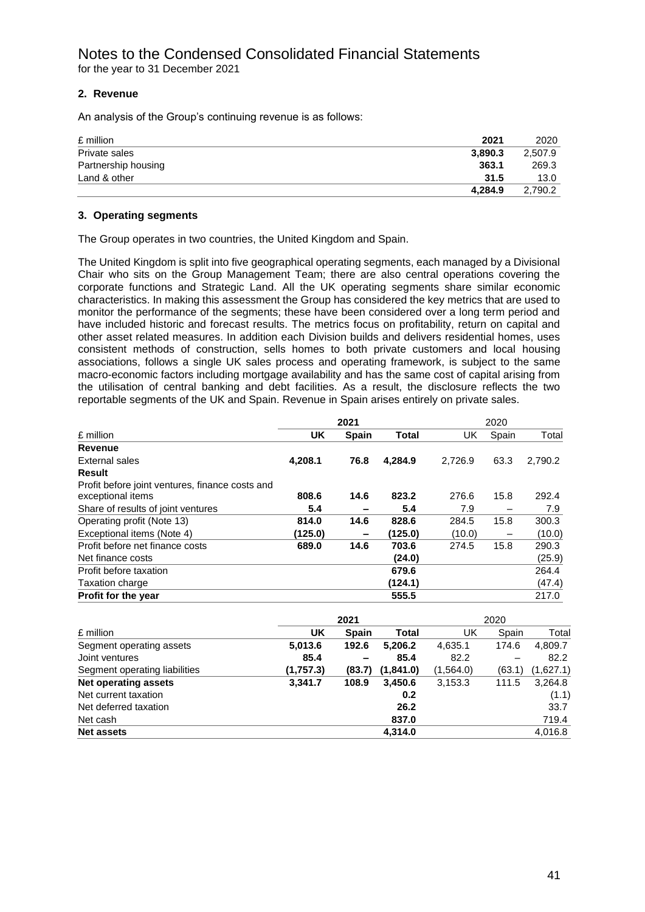#### **2. Revenue**

An analysis of the Group's continuing revenue is as follows:

| £ million           | 2021    | 2020    |
|---------------------|---------|---------|
| Private sales       | 3,890.3 | 2.507.9 |
| Partnership housing | 363.1   | 269.3   |
| Land & other        | 31.5    | 13.0    |
|                     | 4.284.9 | 2.790.2 |

#### **3. Operating segments**

The Group operates in two countries, the United Kingdom and Spain.

The United Kingdom is split into five geographical operating segments, each managed by a Divisional Chair who sits on the Group Management Team; there are also central operations covering the corporate functions and Strategic Land. All the UK operating segments share similar economic characteristics. In making this assessment the Group has considered the key metrics that are used to monitor the performance of the segments; these have been considered over a long term period and have included historic and forecast results. The metrics focus on profitability, return on capital and other asset related measures. In addition each Division builds and delivers residential homes, uses consistent methods of construction, sells homes to both private customers and local housing associations, follows a single UK sales process and operating framework, is subject to the same macro-economic factors including mortgage availability and has the same cost of capital arising from the utilisation of central banking and debt facilities. As a result, the disclosure reflects the two reportable segments of the UK and Spain. Revenue in Spain arises entirely on private sales.

|                                                                      | 2021    |                          | 2020         |         |       |         |
|----------------------------------------------------------------------|---------|--------------------------|--------------|---------|-------|---------|
| £ million                                                            | UK      | <b>Spain</b>             | <b>Total</b> | UK      | Spain | Total   |
| Revenue                                                              |         |                          |              |         |       |         |
| External sales                                                       | 4.208.1 | 76.8                     | 4.284.9      | 2.726.9 | 63.3  | 2,790.2 |
| <b>Result</b>                                                        |         |                          |              |         |       |         |
| Profit before joint ventures, finance costs and<br>exceptional items | 808.6   | 14.6                     | 823.2        | 276.6   | 15.8  | 292.4   |
| Share of results of joint ventures                                   | 5.4     | $\overline{\phantom{0}}$ | 5.4          | 7.9     |       | 7.9     |
| Operating profit (Note 13)                                           | 814.0   | 14.6                     | 828.6        | 284.5   | 15.8  | 300.3   |
| Exceptional items (Note 4)                                           | (125.0) | $\qquad \qquad$          | (125.0)      | (10.0)  |       | (10.0)  |
| Profit before net finance costs                                      | 689.0   | 14.6                     | 703.6        | 274.5   | 15.8  | 290.3   |
| Net finance costs                                                    |         |                          | (24.0)       |         |       | (25.9)  |
| Profit before taxation                                               |         |                          | 679.6        |         |       | 264.4   |
| <b>Taxation charge</b>                                               |         |                          | (124.1)      |         |       | (47.4)  |
| Profit for the year                                                  |         |                          | 555.5        |         |       | 217.0   |

|                               |           | 2021         |           |           | 2020   |           |
|-------------------------------|-----------|--------------|-----------|-----------|--------|-----------|
| £ million                     | UK        | <b>Spain</b> | Total     | UK        | Spain  | Total     |
| Segment operating assets      | 5,013.6   | 192.6        | 5,206.2   | 4,635.1   | 174.6  | 4,809.7   |
| Joint ventures                | 85.4      |              | 85.4      | 82.2      |        | 82.2      |
| Segment operating liabilities | (1,757.3) | (83.7)       | (1,841.0) | (1,564.0) | (63.1) | (1,627.1) |
| <b>Net operating assets</b>   | 3,341.7   | 108.9        | 3,450.6   | 3,153.3   | 111.5  | 3,264.8   |
| Net current taxation          |           |              | 0.2       |           |        | (1.1)     |
| Net deferred taxation         |           |              | 26.2      |           |        | 33.7      |
| Net cash                      |           |              | 837.0     |           |        | 719.4     |
| <b>Net assets</b>             |           |              | 4,314.0   |           |        | 4,016.8   |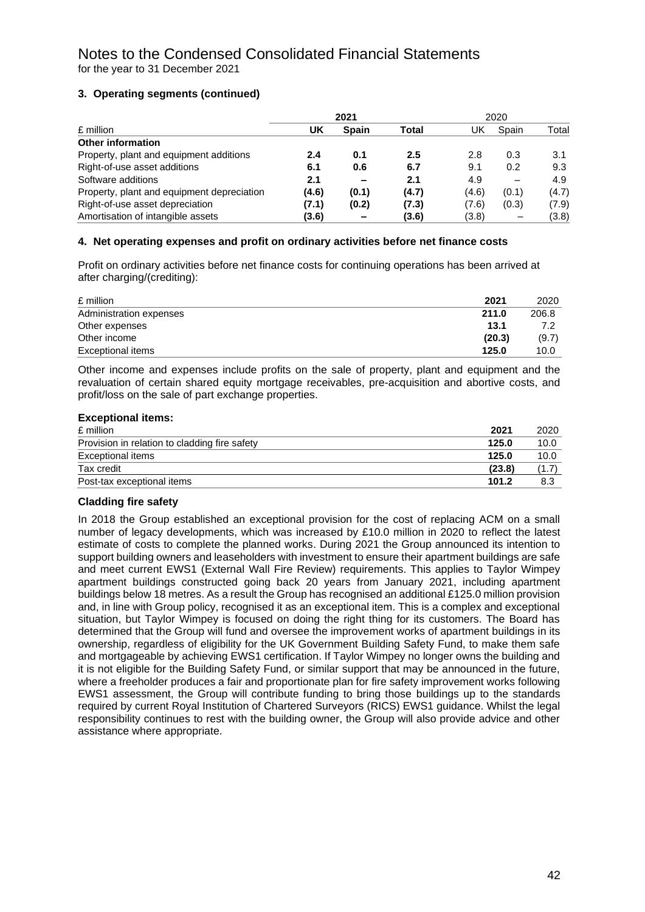#### **3. Operating segments (continued)**

|                                            |       | 2021         |       |       | 2020  |       |
|--------------------------------------------|-------|--------------|-------|-------|-------|-------|
| £ million                                  | UK    | <b>Spain</b> | Total | UK    | Spain | Total |
| <b>Other information</b>                   |       |              |       |       |       |       |
| Property, plant and equipment additions    | 2.4   | 0.1          | 2.5   | 2.8   | 0.3   | 3.1   |
| Right-of-use asset additions               | 6.1   | 0.6          | 6.7   | 9.1   | 0.2   | 9.3   |
| Software additions                         | 2.1   | -            | 2.1   | 4.9   |       | 4.9   |
| Property, plant and equipment depreciation | (4.6) | (0.1)        | (4.7) | (4.6) | (0.1) | (4.7) |
| Right-of-use asset depreciation            | (7.1) | (0.2)        | (7.3) | (7.6) | (0.3) | (7.9) |
| Amortisation of intangible assets          | (3.6) |              | (3.6) | (3.8) |       | (3.8) |

#### **4. Net operating expenses and profit on ordinary activities before net finance costs**

Profit on ordinary activities before net finance costs for continuing operations has been arrived at after charging/(crediting):

| £ million               | 2021   | 2020  |
|-------------------------|--------|-------|
| Administration expenses | 211.0  | 206.8 |
| Other expenses          | 13.1   |       |
| Other income            | (20.3) | (9.7) |
| Exceptional items       | 125.0  | 10.0  |

Other income and expenses include profits on the sale of property, plant and equipment and the revaluation of certain shared equity mortgage receivables, pre-acquisition and abortive costs, and profit/loss on the sale of part exchange properties.

| <b>Exceptional items:</b>                     |        |       |
|-----------------------------------------------|--------|-------|
| £ million                                     | 2021   | 2020  |
| Provision in relation to cladding fire safety | 125.0  | 10.0  |
| <b>Exceptional items</b>                      | 125.0  | 10.0  |
| Tax credit                                    | (23.8) | (1.7) |
| Post-tax exceptional items                    | 101.2  | 8.3   |

#### **Cladding fire safety**

In 2018 the Group established an exceptional provision for the cost of replacing ACM on a small number of legacy developments, which was increased by £10.0 million in 2020 to reflect the latest estimate of costs to complete the planned works. During 2021 the Group announced its intention to support building owners and leaseholders with investment to ensure their apartment buildings are safe and meet current EWS1 (External Wall Fire Review) requirements. This applies to Taylor Wimpey apartment buildings constructed going back 20 years from January 2021, including apartment buildings below 18 metres. As a result the Group has recognised an additional £125.0 million provision and, in line with Group policy, recognised it as an exceptional item. This is a complex and exceptional situation, but Taylor Wimpey is focused on doing the right thing for its customers. The Board has determined that the Group will fund and oversee the improvement works of apartment buildings in its ownership, regardless of eligibility for the UK Government Building Safety Fund, to make them safe and mortgageable by achieving EWS1 certification. If Taylor Wimpey no longer owns the building and it is not eligible for the Building Safety Fund, or similar support that may be announced in the future, where a freeholder produces a fair and proportionate plan for fire safety improvement works following EWS1 assessment, the Group will contribute funding to bring those buildings up to the standards required by current Royal Institution of Chartered Surveyors (RICS) EWS1 guidance. Whilst the legal responsibility continues to rest with the building owner, the Group will also provide advice and other assistance where appropriate.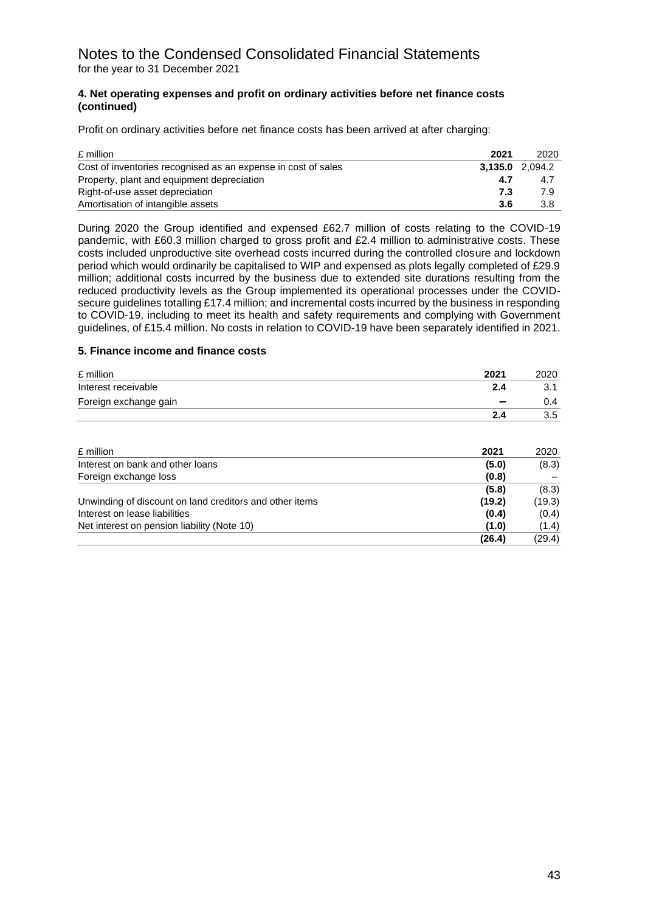# Notes to the Condensed Consolidated Financial Statements for the year to 31 December 2021

#### **4. Net operating expenses and profit on ordinary activities before net finance costs (continued)**

Profit on ordinary activities before net finance costs has been arrived at after charging:

| £ million                                                     | 2021 | 2020                   |
|---------------------------------------------------------------|------|------------------------|
| Cost of inventories recognised as an expense in cost of sales |      | <b>3.135.0</b> 2.094.2 |
| Property, plant and equipment depreciation                    | 4.7  | 4.7                    |
| Right-of-use asset depreciation                               | 7.3  | 79                     |
| Amortisation of intangible assets                             | 3.6  | 3.8                    |

During 2020 the Group identified and expensed £62.7 million of costs relating to the COVID-19 pandemic, with £60.3 million charged to gross profit and £2.4 million to administrative costs. These costs included unproductive site overhead costs incurred during the controlled closure and lockdown period which would ordinarily be capitalised to WIP and expensed as plots legally completed of £29.9 million; additional costs incurred by the business due to extended site durations resulting from the reduced productivity levels as the Group implemented its operational processes under the COVIDsecure guidelines totalling £17.4 million; and incremental costs incurred by the business in responding to COVID-19, including to meet its health and safety requirements and complying with Government guidelines, of £15.4 million. No costs in relation to COVID-19 have been separately identified in 2021.

#### **5. Finance income and finance costs**

| £ million             | 2021 | 2020  |
|-----------------------|------|-------|
| Interest receivable   | 2.4  | ا . ب |
| Foreign exchange gain |      | J.4   |
|                       | 2.4  | 3.5   |

| £ million                                               | 2021   | 2020   |
|---------------------------------------------------------|--------|--------|
| Interest on bank and other loans                        | (5.0)  | (8.3)  |
| Foreign exchange loss                                   | (0.8)  |        |
|                                                         | (5.8)  | (8.3)  |
| Unwinding of discount on land creditors and other items | (19.2) | (19.3) |
| Interest on lease liabilities                           | (0.4)  | (0.4)  |
| Net interest on pension liability (Note 10)             | (1.0)  | (1.4)  |
|                                                         | (26.4) | (29.4) |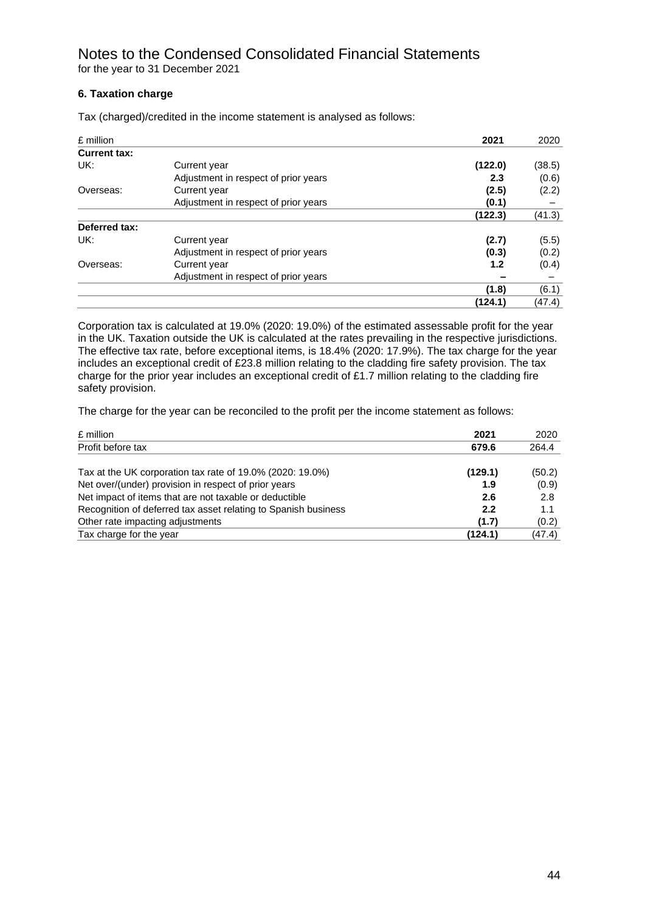# Notes to the Condensed Consolidated Financial Statements for the year to 31 December 2021

#### **6. Taxation charge**

| £ million           |                                      | 2021    | 2020   |
|---------------------|--------------------------------------|---------|--------|
| <b>Current tax:</b> |                                      |         |        |
| UK:                 | Current year                         | (122.0) | (38.5) |
|                     | Adjustment in respect of prior years | 2.3     | (0.6)  |
| Overseas:           | Current year                         | (2.5)   | (2.2)  |
|                     | Adjustment in respect of prior years | (0.1)   |        |
|                     |                                      | (122.3) | (41.3) |
| Deferred tax:       |                                      |         |        |
| UK:                 | Current year                         | (2.7)   | (5.5)  |
|                     | Adjustment in respect of prior years | (0.3)   | (0.2)  |
| Overseas:           | Current year                         | 1.2     | (0.4)  |
|                     | Adjustment in respect of prior years |         |        |
|                     |                                      | (1.8)   | (6.1)  |
|                     |                                      | (124.1) | (47.4) |

Tax (charged)/credited in the income statement is analysed as follows:

Corporation tax is calculated at 19.0% (2020: 19.0%) of the estimated assessable profit for the year in the UK. Taxation outside the UK is calculated at the rates prevailing in the respective jurisdictions. The effective tax rate, before exceptional items, is 18.4% (2020: 17.9%). The tax charge for the year includes an exceptional credit of £23.8 million relating to the cladding fire safety provision. The tax charge for the prior year includes an exceptional credit of £1.7 million relating to the cladding fire safety provision.

The charge for the year can be reconciled to the profit per the income statement as follows:

| £ million                                                      | 2021    | 2020   |
|----------------------------------------------------------------|---------|--------|
| Profit before tax                                              | 679.6   | 264.4  |
| Tax at the UK corporation tax rate of 19.0% (2020: 19.0%)      | (129.1) | (50.2) |
| Net over/(under) provision in respect of prior years           | 1.9     | (0.9)  |
| Net impact of items that are not taxable or deductible         | 2.6     | 2.8    |
| Recognition of deferred tax asset relating to Spanish business | 2.2     | 1.1    |
| Other rate impacting adjustments                               | (1.7)   | (0.2)  |
| Tax charge for the year                                        | (124.1) | (47.4) |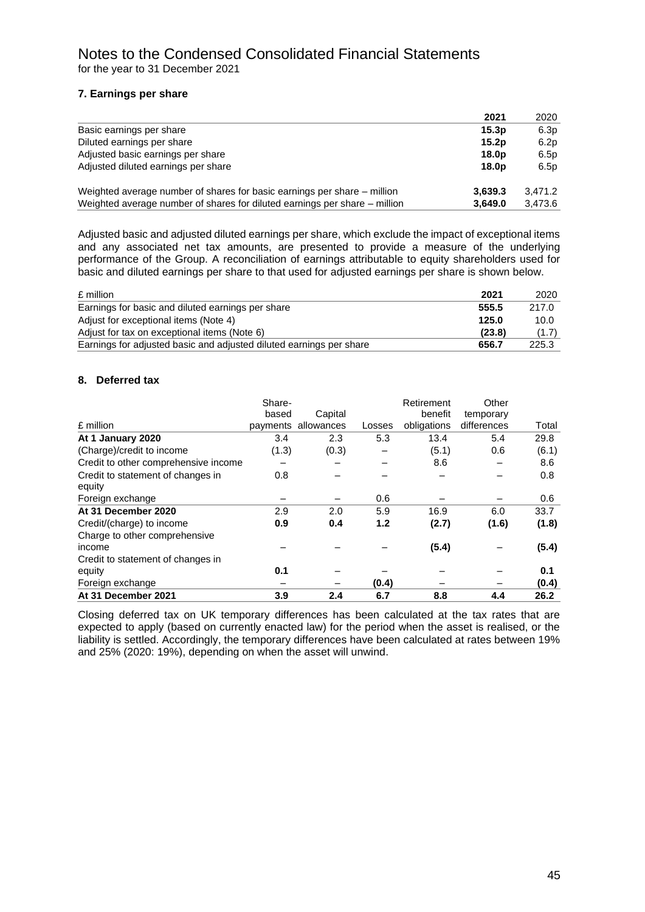#### **7. Earnings per share**

|                                                                            | 2021              | 2020    |
|----------------------------------------------------------------------------|-------------------|---------|
| Basic earnings per share                                                   | 15.3 <sub>D</sub> | 6.3p    |
| Diluted earnings per share                                                 | 15.2 <sub>D</sub> | 6.2p    |
| Adjusted basic earnings per share                                          | 18.0 <sub>p</sub> | 6.5p    |
| Adjusted diluted earnings per share                                        | 18.0 <sub>p</sub> | 6.5p    |
| Weighted average number of shares for basic earnings per share – million   | 3,639.3           | 3.471.2 |
| Weighted average number of shares for diluted earnings per share – million | 3.649.0           | 3,473.6 |

Adjusted basic and adjusted diluted earnings per share, which exclude the impact of exceptional items and any associated net tax amounts, are presented to provide a measure of the underlying performance of the Group. A reconciliation of earnings attributable to equity shareholders used for basic and diluted earnings per share to that used for adjusted earnings per share is shown below.

| £ million                                                           | 2021   | 2020  |
|---------------------------------------------------------------------|--------|-------|
| Earnings for basic and diluted earnings per share                   | 555.5  | 217.0 |
| Adjust for exceptional items (Note 4)                               | 125.0  | 10.0  |
| Adjust for tax on exceptional items (Note 6)                        | (23.8) | (1.7) |
| Earnings for adjusted basic and adjusted diluted earnings per share | 656.7  | 225.3 |

#### **8. Deferred tax**

|                                      | Share- |                     |        | Retirement<br>benefit | Other       |       |
|--------------------------------------|--------|---------------------|--------|-----------------------|-------------|-------|
|                                      | based  | Capital             |        |                       | temporary   |       |
| £ million                            |        | payments allowances | Losses | obligations           | differences | Total |
| At 1 January 2020                    | 3.4    | 2.3                 | 5.3    | 13.4                  | 5.4         | 29.8  |
| (Charge)/credit to income            | (1.3)  | (0.3)               |        | (5.1)                 | 0.6         | (6.1) |
| Credit to other comprehensive income |        |                     |        | 8.6                   |             | 8.6   |
| Credit to statement of changes in    | 0.8    |                     |        |                       |             | 0.8   |
| equity                               |        |                     |        |                       |             |       |
| Foreign exchange                     |        |                     | 0.6    |                       |             | 0.6   |
| At 31 December 2020                  | 2.9    | 2.0                 | 5.9    | 16.9                  | 6.0         | 33.7  |
| Credit/(charge) to income            | 0.9    | 0.4                 | 1.2    | (2.7)                 | (1.6)       | (1.8) |
| Charge to other comprehensive        |        |                     |        |                       |             |       |
| income                               |        |                     |        | (5.4)                 |             | (5.4) |
| Credit to statement of changes in    |        |                     |        |                       |             |       |
| equity                               | 0.1    |                     |        |                       |             | 0.1   |
| Foreign exchange                     |        |                     | (0.4)  |                       |             | (0.4) |
| At 31 December 2021                  | 3.9    | 2.4                 | 6.7    | 8.8                   | 4.4         | 26.2  |

Closing deferred tax on UK temporary differences has been calculated at the tax rates that are expected to apply (based on currently enacted law) for the period when the asset is realised, or the liability is settled. Accordingly, the temporary differences have been calculated at rates between 19% and 25% (2020: 19%), depending on when the asset will unwind.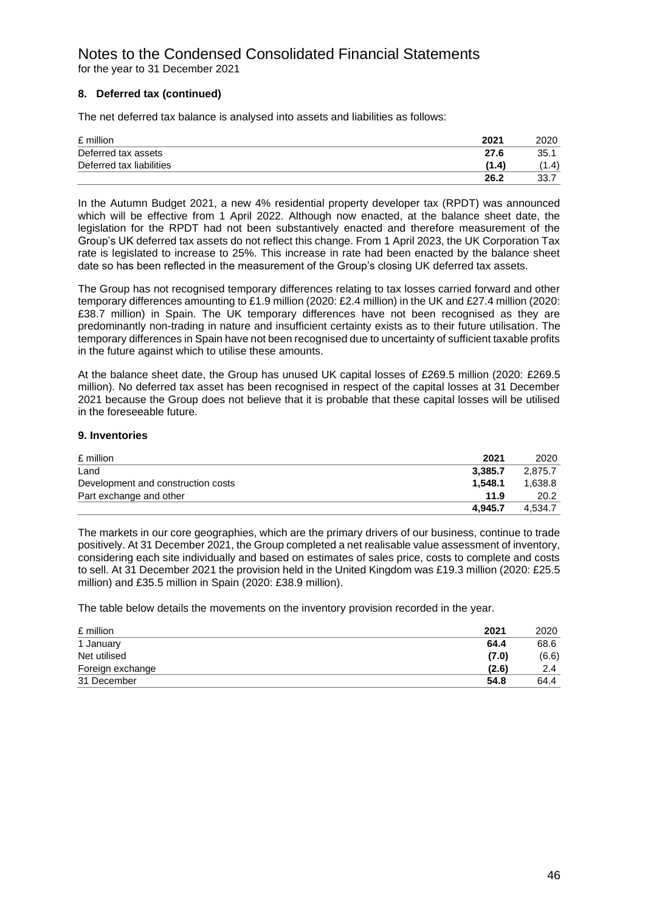# Notes to the Condensed Consolidated Financial Statements for the year to 31 December 2021

#### **8. Deferred tax (continued)**

The net deferred tax balance is analysed into assets and liabilities as follows:

| £ million                | 2021  | 2020  |
|--------------------------|-------|-------|
| Deferred tax assets      | 27.6  | 35.1  |
| Deferred tax liabilities | (1.4) | (1.4) |
|                          | 26.2  | 33.7  |

In the Autumn Budget 2021, a new 4% residential property developer tax (RPDT) was announced which will be effective from 1 April 2022. Although now enacted, at the balance sheet date, the legislation for the RPDT had not been substantively enacted and therefore measurement of the Group's UK deferred tax assets do not reflect this change. From 1 April 2023, the UK Corporation Tax rate is legislated to increase to 25%. This increase in rate had been enacted by the balance sheet date so has been reflected in the measurement of the Group's closing UK deferred tax assets.

The Group has not recognised temporary differences relating to tax losses carried forward and other temporary differences amounting to £1.9 million (2020: £2.4 million) in the UK and £27.4 million (2020: £38.7 million) in Spain. The UK temporary differences have not been recognised as they are predominantly non-trading in nature and insufficient certainty exists as to their future utilisation. The temporary differences in Spain have not been recognised due to uncertainty of sufficient taxable profits in the future against which to utilise these amounts.

At the balance sheet date, the Group has unused UK capital losses of £269.5 million (2020: £269.5 million). No deferred tax asset has been recognised in respect of the capital losses at 31 December 2021 because the Group does not believe that it is probable that these capital losses will be utilised in the foreseeable future.

#### **9. Inventories**

| £ million                          | 2021    | 2020    |
|------------------------------------|---------|---------|
| Land                               | 3.385.7 | 2.875.7 |
| Development and construction costs | 1.548.1 | 1.638.8 |
| Part exchange and other            | 11.9    | 20.2    |
|                                    | 4.945.7 | 4.534.7 |

The markets in our core geographies, which are the primary drivers of our business, continue to trade positively. At 31 December 2021, the Group completed a net realisable value assessment of inventory, considering each site individually and based on estimates of sales price, costs to complete and costs to sell. At 31 December 2021 the provision held in the United Kingdom was £19.3 million (2020: £25.5 million) and £35.5 million in Spain (2020: £38.9 million).

The table below details the movements on the inventory provision recorded in the year.

| £ million        | 2021  | 2020          |
|------------------|-------|---------------|
| 1 January        | 64.4  | 68.6          |
| Net utilised     | (7.0) | (6.6)         |
| Foreign exchange | (2.6) | $2.4^{\circ}$ |
| 31 December      | 54.8  | 64.4          |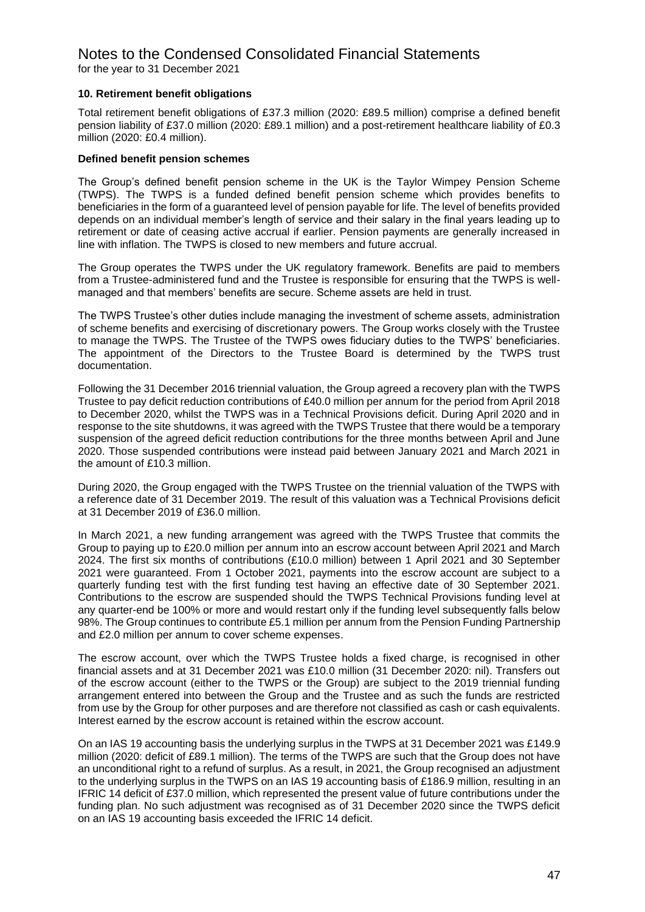#### Notes to the Condensed Consolidated Financial Statements for the year to 31 December 2021

#### **10. Retirement benefit obligations**

Total retirement benefit obligations of £37.3 million (2020: £89.5 million) comprise a defined benefit pension liability of £37.0 million (2020: £89.1 million) and a post-retirement healthcare liability of £0.3 million (2020: £0.4 million).

#### **Defined benefit pension schemes**

The Group's defined benefit pension scheme in the UK is the Taylor Wimpey Pension Scheme (TWPS). The TWPS is a funded defined benefit pension scheme which provides benefits to beneficiaries in the form of a guaranteed level of pension payable for life. The level of benefits provided depends on an individual member's length of service and their salary in the final years leading up to retirement or date of ceasing active accrual if earlier. Pension payments are generally increased in line with inflation. The TWPS is closed to new members and future accrual.

The Group operates the TWPS under the UK regulatory framework. Benefits are paid to members from a Trustee-administered fund and the Trustee is responsible for ensuring that the TWPS is wellmanaged and that members' benefits are secure. Scheme assets are held in trust.

The TWPS Trustee's other duties include managing the investment of scheme assets, administration of scheme benefits and exercising of discretionary powers. The Group works closely with the Trustee to manage the TWPS. The Trustee of the TWPS owes fiduciary duties to the TWPS' beneficiaries. The appointment of the Directors to the Trustee Board is determined by the TWPS trust documentation.

Following the 31 December 2016 triennial valuation, the Group agreed a recovery plan with the TWPS Trustee to pay deficit reduction contributions of £40.0 million per annum for the period from April 2018 to December 2020, whilst the TWPS was in a Technical Provisions deficit. During April 2020 and in response to the site shutdowns, it was agreed with the TWPS Trustee that there would be a temporary suspension of the agreed deficit reduction contributions for the three months between April and June 2020. Those suspended contributions were instead paid between January 2021 and March 2021 in the amount of £10.3 million.

During 2020, the Group engaged with the TWPS Trustee on the triennial valuation of the TWPS with a reference date of 31 December 2019. The result of this valuation was a Technical Provisions deficit at 31 December 2019 of £36.0 million.

In March 2021, a new funding arrangement was agreed with the TWPS Trustee that commits the Group to paying up to £20.0 million per annum into an escrow account between April 2021 and March 2024. The first six months of contributions (£10.0 million) between 1 April 2021 and 30 September 2021 were guaranteed. From 1 October 2021, payments into the escrow account are subject to a quarterly funding test with the first funding test having an effective date of 30 September 2021. Contributions to the escrow are suspended should the TWPS Technical Provisions funding level at any quarter-end be 100% or more and would restart only if the funding level subsequently falls below 98%. The Group continues to contribute £5.1 million per annum from the Pension Funding Partnership and £2.0 million per annum to cover scheme expenses.

The escrow account, over which the TWPS Trustee holds a fixed charge, is recognised in other financial assets and at 31 December 2021 was £10.0 million (31 December 2020: nil). Transfers out of the escrow account (either to the TWPS or the Group) are subject to the 2019 triennial funding arrangement entered into between the Group and the Trustee and as such the funds are restricted from use by the Group for other purposes and are therefore not classified as cash or cash equivalents. Interest earned by the escrow account is retained within the escrow account.

On an IAS 19 accounting basis the underlying surplus in the TWPS at 31 December 2021 was £149.9 million (2020: deficit of £89.1 million). The terms of the TWPS are such that the Group does not have an unconditional right to a refund of surplus. As a result, in 2021, the Group recognised an adjustment to the underlying surplus in the TWPS on an IAS 19 accounting basis of £186.9 million, resulting in an IFRIC 14 deficit of £37.0 million, which represented the present value of future contributions under the funding plan. No such adjustment was recognised as of 31 December 2020 since the TWPS deficit on an IAS 19 accounting basis exceeded the IFRIC 14 deficit.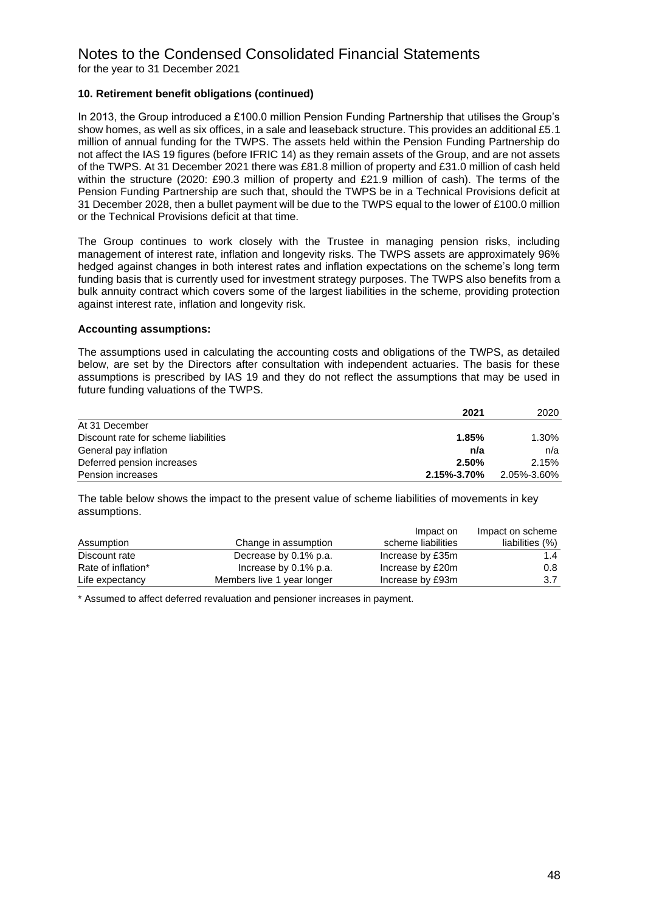# Notes to the Condensed Consolidated Financial Statements

for the year to 31 December 2021

#### **10. Retirement benefit obligations (continued)**

In 2013, the Group introduced a £100.0 million Pension Funding Partnership that utilises the Group's show homes, as well as six offices, in a sale and leaseback structure. This provides an additional £5.1 million of annual funding for the TWPS. The assets held within the Pension Funding Partnership do not affect the IAS 19 figures (before IFRIC 14) as they remain assets of the Group, and are not assets of the TWPS. At 31 December 2021 there was £81.8 million of property and £31.0 million of cash held within the structure (2020: £90.3 million of property and £21.9 million of cash). The terms of the Pension Funding Partnership are such that, should the TWPS be in a Technical Provisions deficit at 31 December 2028, then a bullet payment will be due to the TWPS equal to the lower of £100.0 million or the Technical Provisions deficit at that time.

The Group continues to work closely with the Trustee in managing pension risks, including management of interest rate, inflation and longevity risks. The TWPS assets are approximately 96% hedged against changes in both interest rates and inflation expectations on the scheme's long term funding basis that is currently used for investment strategy purposes. The TWPS also benefits from a bulk annuity contract which covers some of the largest liabilities in the scheme, providing protection against interest rate, inflation and longevity risk.

#### **Accounting assumptions:**

The assumptions used in calculating the accounting costs and obligations of the TWPS, as detailed below, are set by the Directors after consultation with independent actuaries. The basis for these assumptions is prescribed by IAS 19 and they do not reflect the assumptions that may be used in future funding valuations of the TWPS.

| 2021                                          | 2020        |
|-----------------------------------------------|-------------|
| At 31 December                                |             |
| Discount rate for scheme liabilities<br>1.85% | $1.30\%$    |
| General pay inflation<br>n/a                  | n/a         |
| Deferred pension increases<br>2.50%           | 2.15%       |
| Pension increases<br>2.15%-3.70%              | 2.05%-3.60% |

The table below shows the impact to the present value of scheme liabilities of movements in key assumptions.

|                    |                            | Impact on          | Impact on scheme |
|--------------------|----------------------------|--------------------|------------------|
| Assumption         | Change in assumption       | scheme liabilities | liabilities (%)  |
| Discount rate      | Decrease by 0.1% p.a.      | Increase by £35m   | 1.4              |
| Rate of inflation* | Increase by 0.1% p.a.      | Increase by £20m   | $0.8^{\circ}$    |
| Life expectancy    | Members live 1 year longer | Increase by £93m   | 3.7              |

\* Assumed to affect deferred revaluation and pensioner increases in payment.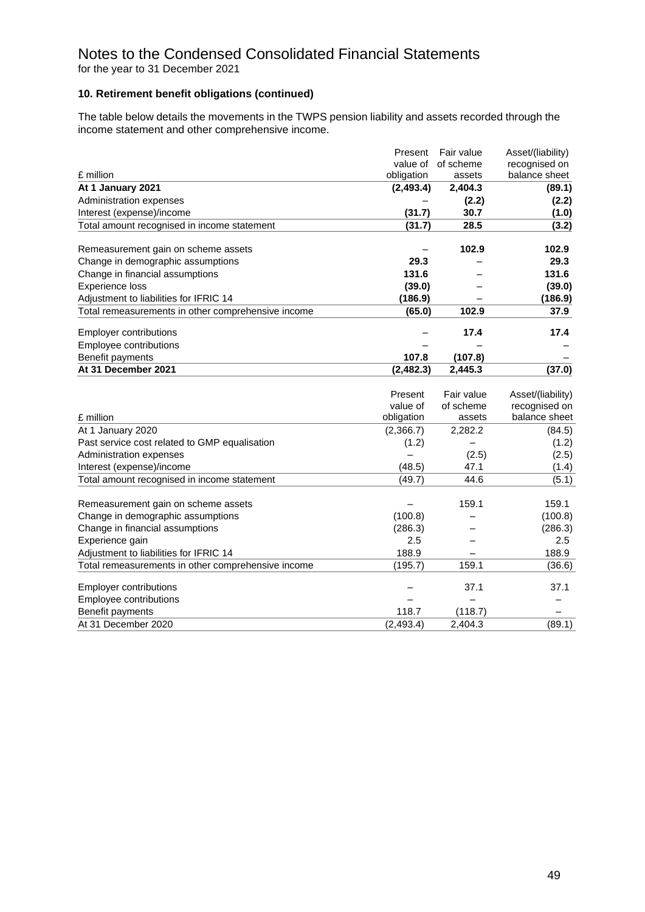#### **10. Retirement benefit obligations (continued)**

The table below details the movements in the TWPS pension liability and assets recorded through the income statement and other comprehensive income.

|                                                    | Present    | Fair value | Asset/(liability) |
|----------------------------------------------------|------------|------------|-------------------|
|                                                    | value of   | of scheme  | recognised on     |
| £ million                                          | obligation | assets     | balance sheet     |
| At 1 January 2021                                  | (2, 493.4) | 2,404.3    | (89.1)            |
| Administration expenses                            |            | (2.2)      | (2.2)             |
| Interest (expense)/income                          | (31.7)     | 30.7       | (1.0)             |
| Total amount recognised in income statement        | (31.7)     | 28.5       | (3.2)             |
| Remeasurement gain on scheme assets                |            | 102.9      | 102.9             |
| Change in demographic assumptions                  | 29.3       |            | 29.3              |
| Change in financial assumptions                    | 131.6      |            | 131.6             |
| <b>Experience loss</b>                             | (39.0)     |            | (39.0)            |
| Adjustment to liabilities for IFRIC 14             | (186.9)    |            | (186.9)           |
| Total remeasurements in other comprehensive income | (65.0)     | 102.9      | 37.9              |
| <b>Employer contributions</b>                      |            | 17.4       | 17.4              |
| Employee contributions                             |            |            |                   |
| Benefit payments                                   | 107.8      | (107.8)    |                   |
| At 31 December 2021                                | (2, 482.3) | 2,445.3    | (37.0)            |
|                                                    |            |            |                   |
|                                                    | Present    | Fair value | Asset/(liability) |
|                                                    | value of   | of scheme  | recognised on     |
| £ million                                          | obligation | assets     | balance sheet     |
| At 1 January 2020                                  | (2,366.7)  | 2,282.2    | (84.5)            |
| Past service cost related to GMP equalisation      | (1.2)      |            | (1.2)             |
| Administration expenses                            |            | (2.5)      | (2.5)             |
| Interest (expense)/income                          | (48.5)     | 47.1       | (1.4)             |
| Total amount recognised in income statement        | (49.7)     | 44.6       | (5.1)             |
| Remeasurement gain on scheme assets                |            | 159.1      | 159.1             |
| Change in demographic assumptions                  | (100.8)    |            | (100.8)           |
| Change in financial assumptions                    | (286.3)    |            | (286.3)           |
| Experience gain                                    | 2.5        |            | 2.5               |
| Adjustment to liabilities for IFRIC 14             | 188.9      |            | 188.9             |
| Total remeasurements in other comprehensive income | (195.7)    | 159.1      | (36.6)            |
| <b>Employer contributions</b>                      |            | 37.1       | 37.1              |
| Employee contributions                             |            |            |                   |
| Benefit payments                                   | 118.7      | (118.7)    |                   |
| At 31 December 2020                                | (2, 493.4) | 2,404.3    | (89.1)            |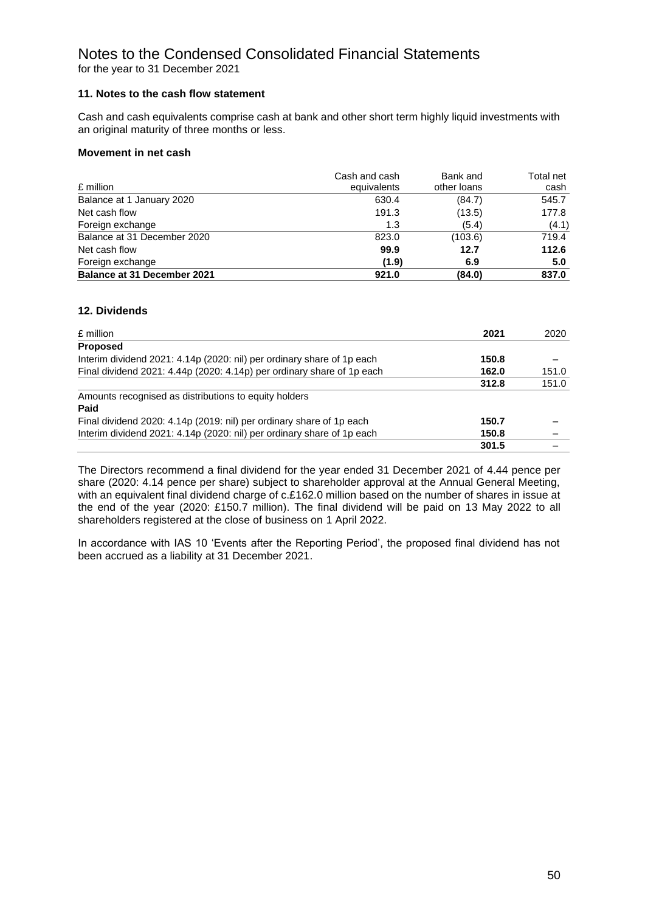#### Notes to the Condensed Consolidated Financial Statements for the year to 31 December 2021

#### **11. Notes to the cash flow statement**

Cash and cash equivalents comprise cash at bank and other short term highly liquid investments with an original maturity of three months or less.

#### **Movement in net cash**

| £ million                          | Cash and cash<br>equivalents | Bank and<br>other loans | Total net<br>cash |
|------------------------------------|------------------------------|-------------------------|-------------------|
| Balance at 1 January 2020          | 630.4                        | (84.7)                  | 545.7             |
| Net cash flow                      | 191.3                        | (13.5)                  | 177.8             |
| Foreign exchange                   | 1.3                          | (5.4)                   | (4.1)             |
| Balance at 31 December 2020        | 823.0                        | (103.6)                 | 719.4             |
| Net cash flow                      | 99.9                         | 12.7                    | 112.6             |
| Foreign exchange                   | (1.9)                        | 6.9                     | 5.0               |
| <b>Balance at 31 December 2021</b> | 921.0                        | (84.0)                  | 837.0             |

#### **12. Dividends**

| £ million                                                              | 2021  | 2020  |
|------------------------------------------------------------------------|-------|-------|
| <b>Proposed</b>                                                        |       |       |
| Interim dividend 2021: 4.14p (2020: nil) per ordinary share of 1p each | 150.8 |       |
| Final dividend 2021: 4.44p (2020: 4.14p) per ordinary share of 1p each | 162.0 | 151.0 |
|                                                                        | 312.8 | 151.0 |
| Amounts recognised as distributions to equity holders                  |       |       |
| Paid                                                                   |       |       |
| Final dividend 2020: 4.14p (2019: nil) per ordinary share of 1p each   | 150.7 |       |
| Interim dividend 2021: 4.14p (2020: nil) per ordinary share of 1p each | 150.8 |       |
|                                                                        | 301.5 |       |

The Directors recommend a final dividend for the year ended 31 December 2021 of 4.44 pence per share (2020: 4.14 pence per share) subject to shareholder approval at the Annual General Meeting, with an equivalent final dividend charge of c.£162.0 million based on the number of shares in issue at the end of the year (2020: £150.7 million). The final dividend will be paid on 13 May 2022 to all shareholders registered at the close of business on 1 April 2022.

In accordance with IAS 10 'Events after the Reporting Period', the proposed final dividend has not been accrued as a liability at 31 December 2021.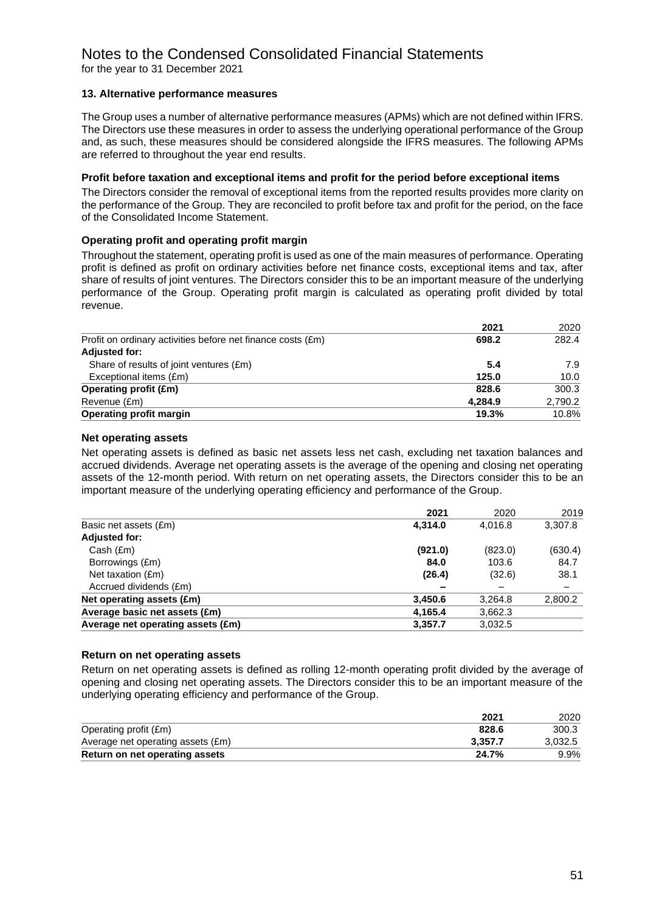# Notes to the Condensed Consolidated Financial Statements

for the year to 31 December 2021

#### **13. Alternative performance measures**

The Group uses a number of alternative performance measures (APMs) which are not defined within IFRS. The Directors use these measures in order to assess the underlying operational performance of the Group and, as such, these measures should be considered alongside the IFRS measures. The following APMs are referred to throughout the year end results.

#### **Profit before taxation and exceptional items and profit for the period before exceptional items**

The Directors consider the removal of exceptional items from the reported results provides more clarity on the performance of the Group. They are reconciled to profit before tax and profit for the period, on the face of the Consolidated Income Statement.

#### **Operating profit and operating profit margin**

Throughout the statement, operating profit is used as one of the main measures of performance. Operating profit is defined as profit on ordinary activities before net finance costs, exceptional items and tax, after share of results of joint ventures. The Directors consider this to be an important measure of the underlying performance of the Group. Operating profit margin is calculated as operating profit divided by total revenue.

|                                                             | 2021    | 2020    |
|-------------------------------------------------------------|---------|---------|
| Profit on ordinary activities before net finance costs (£m) | 698.2   | 282.4   |
| <b>Adjusted for:</b>                                        |         |         |
| Share of results of joint ventures (£m)                     | 5.4     | 7.9     |
| Exceptional items (£m)                                      | 125.0   | 10.0    |
| <b>Operating profit (£m)</b>                                | 828.6   | 300.3   |
| Revenue (£m)                                                | 4.284.9 | 2,790.2 |
| <b>Operating profit margin</b>                              | 19.3%   | 10.8%   |

#### **Net operating assets**

Net operating assets is defined as basic net assets less net cash, excluding net taxation balances and accrued dividends. Average net operating assets is the average of the opening and closing net operating assets of the 12-month period. With return on net operating assets, the Directors consider this to be an important measure of the underlying operating efficiency and performance of the Group.

|                                   | 2021    | 2020    | 2019    |
|-----------------------------------|---------|---------|---------|
| Basic net assets (£m)             | 4.314.0 | 4.016.8 | 3,307.8 |
| <b>Adjusted for:</b>              |         |         |         |
| Cash (Em)                         | (921.0) | (823.0) | (630.4) |
| Borrowings (£m)                   | 84.0    | 103.6   | 84.7    |
| Net taxation (£m)                 | (26.4)  | (32.6)  | 38.1    |
| Accrued dividends (£m)            |         | -       | -       |
| Net operating assets (£m)         | 3,450.6 | 3,264.8 | 2,800.2 |
| Average basic net assets (£m)     | 4,165.4 | 3,662.3 |         |
| Average net operating assets (£m) | 3,357.7 | 3,032.5 |         |
|                                   |         |         |         |

#### **Return on net operating assets**

Return on net operating assets is defined as rolling 12-month operating profit divided by the average of opening and closing net operating assets. The Directors consider this to be an important measure of the underlying operating efficiency and performance of the Group.

|                                   | 2021    | 2020    |
|-----------------------------------|---------|---------|
| Operating profit (£m)             | 828.6   | 300.3   |
| Average net operating assets (£m) | 3.357.7 | 3,032.5 |
| Return on net operating assets    | 24.7%   | 9.9%    |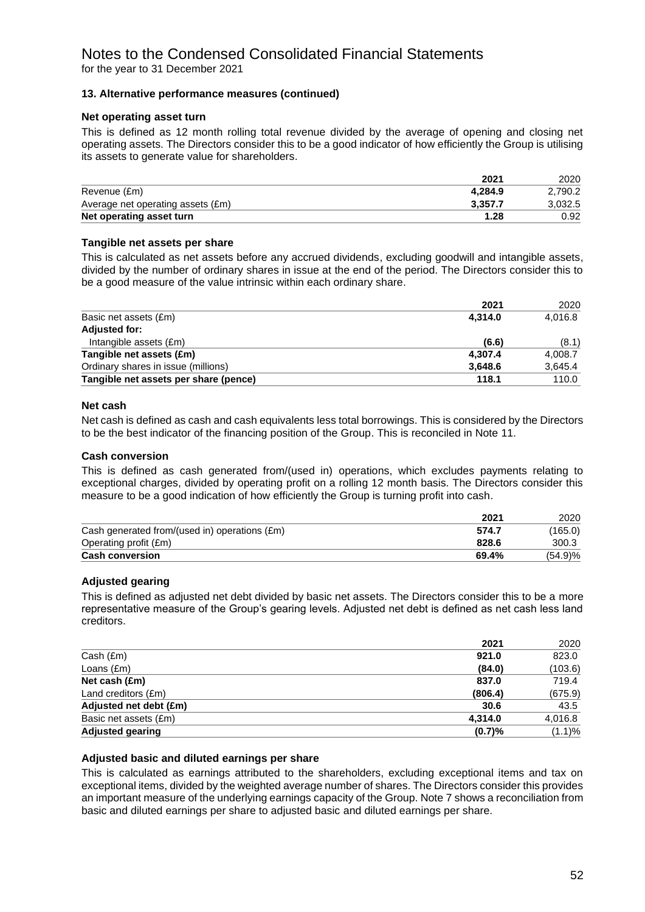#### Notes to the Condensed Consolidated Financial Statements for the year to 31 December 2021

#### **13. Alternative performance measures (continued)**

#### **Net operating asset turn**

This is defined as 12 month rolling total revenue divided by the average of opening and closing net operating assets. The Directors consider this to be a good indicator of how efficiently the Group is utilising its assets to generate value for shareholders.

|                                   | 2021    | 2020    |
|-----------------------------------|---------|---------|
| Revenue (£m)                      | 4.284.9 | 2.790.2 |
| Average net operating assets (£m) | 3.357.7 | 3.032.5 |
| Net operating asset turn          | 1.28    | 0.92    |

#### **Tangible net assets per share**

This is calculated as net assets before any accrued dividends, excluding goodwill and intangible assets, divided by the number of ordinary shares in issue at the end of the period. The Directors consider this to be a good measure of the value intrinsic within each ordinary share.

|                                       | 2021    | 2020    |
|---------------------------------------|---------|---------|
| Basic net assets (£m)                 | 4.314.0 | 4,016.8 |
| <b>Adjusted for:</b>                  |         |         |
| Intangible assets (£m)                | (6.6)   | (8.1)   |
| Tangible net assets (£m)              | 4,307.4 | 4,008.7 |
| Ordinary shares in issue (millions)   | 3,648.6 | 3,645.4 |
| Tangible net assets per share (pence) | 118.1   | 110.0   |

#### **Net cash**

Net cash is defined as cash and cash equivalents less total borrowings. This is considered by the Directors to be the best indicator of the financing position of the Group. This is reconciled in Note 11.

#### **Cash conversion**

This is defined as cash generated from/(used in) operations, which excludes payments relating to exceptional charges, divided by operating profit on a rolling 12 month basis. The Directors consider this measure to be a good indication of how efficiently the Group is turning profit into cash.

|                                               | 2021  | 2020       |
|-----------------------------------------------|-------|------------|
| Cash generated from/(used in) operations (£m) | 574.7 | (165.0)    |
| Operating profit (£m)                         | 828.6 | 300.3      |
| <b>Cash conversion</b>                        | 69.4% | $(54.9)\%$ |

#### **Adjusted gearing**

This is defined as adjusted net debt divided by basic net assets. The Directors consider this to be a more representative measure of the Group's gearing levels. Adjusted net debt is defined as net cash less land creditors.

|                         | 2021    | 2020    |
|-------------------------|---------|---------|
| Cash (Em)               | 921.0   | 823.0   |
| Loans $(fm)$            | (84.0)  | (103.6) |
| Net cash (£m)           | 837.0   | 719.4   |
| Land creditors (£m)     | (806.4) | (675.9) |
| Adjusted net debt (£m)  | 30.6    | 43.5    |
| Basic net assets (£m)   | 4.314.0 | 4,016.8 |
| <b>Adjusted gearing</b> | (0.7)%  | (1.1)%  |

#### **Adjusted basic and diluted earnings per share**

This is calculated as earnings attributed to the shareholders, excluding exceptional items and tax on exceptional items, divided by the weighted average number of shares. The Directors consider this provides an important measure of the underlying earnings capacity of the Group. Note 7 shows a reconciliation from basic and diluted earnings per share to adjusted basic and diluted earnings per share.